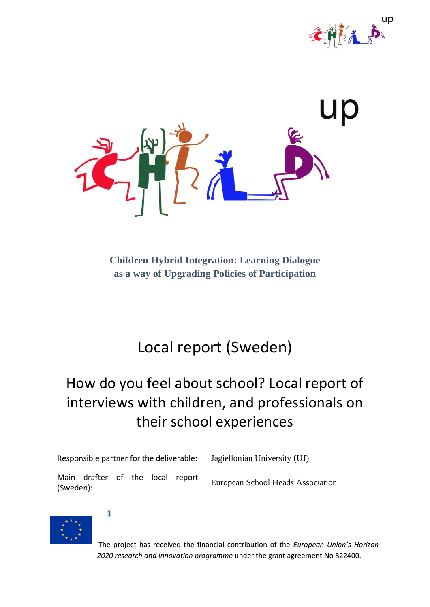



**Children Hybrid Integration: Learning Dialogue as a way of Upgrading Policies of Participation**

# Local report (Sweden)

# How do you feel about school? Local report of interviews with children, and professionals on their school experiences

Responsible partner for the deliverable: Jagiellonian University (UJ)

Main drafter of the local report Stram dialter of the local report<br>European School Heads Association

1

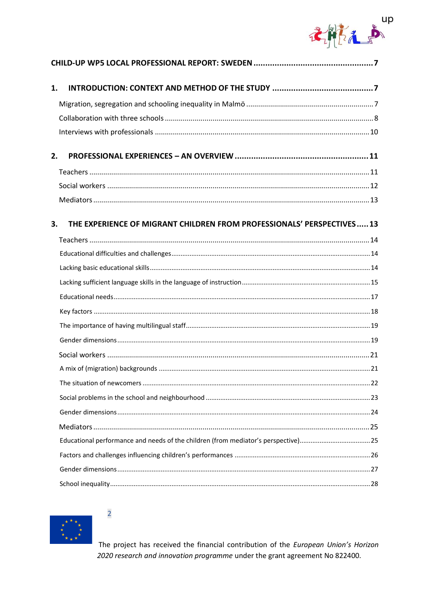

| 1. |                                                                       |  |
|----|-----------------------------------------------------------------------|--|
|    |                                                                       |  |
|    |                                                                       |  |
|    |                                                                       |  |
| 2. |                                                                       |  |
|    |                                                                       |  |
|    |                                                                       |  |
|    |                                                                       |  |
| 3. | THE EXPERIENCE OF MIGRANT CHILDREN FROM PROFESSIONALS' PERSPECTIVES13 |  |
|    |                                                                       |  |
|    |                                                                       |  |
|    |                                                                       |  |
|    |                                                                       |  |
|    |                                                                       |  |
|    |                                                                       |  |
|    |                                                                       |  |
|    |                                                                       |  |
|    |                                                                       |  |
|    |                                                                       |  |
|    |                                                                       |  |
|    |                                                                       |  |
|    |                                                                       |  |
|    |                                                                       |  |
|    |                                                                       |  |
|    |                                                                       |  |
|    |                                                                       |  |
|    |                                                                       |  |



 $\overline{2}$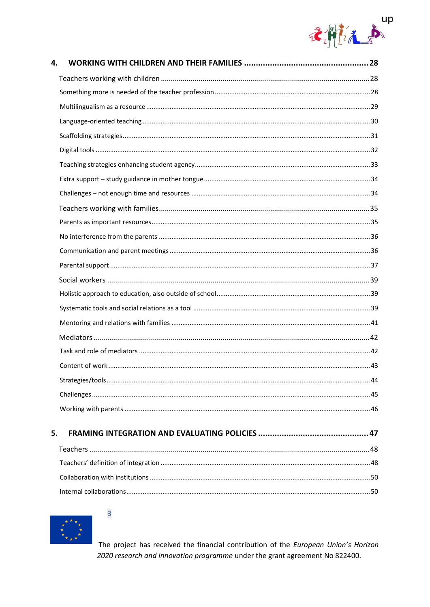

| 4. |  |
|----|--|
|    |  |
|    |  |
|    |  |
|    |  |
|    |  |
|    |  |
|    |  |
|    |  |
|    |  |
|    |  |
|    |  |
|    |  |
|    |  |
|    |  |
|    |  |
|    |  |
|    |  |
|    |  |
|    |  |
|    |  |
|    |  |
|    |  |
|    |  |
|    |  |
| 5. |  |



 $\overline{\mathbf{3}}$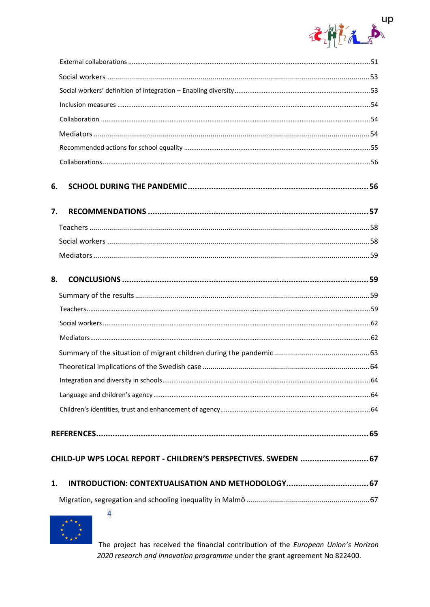

| 6.                                                              |  |
|-----------------------------------------------------------------|--|
| 7.                                                              |  |
|                                                                 |  |
|                                                                 |  |
|                                                                 |  |
| 8.                                                              |  |
|                                                                 |  |
|                                                                 |  |
|                                                                 |  |
|                                                                 |  |
|                                                                 |  |
|                                                                 |  |
|                                                                 |  |
|                                                                 |  |
|                                                                 |  |
|                                                                 |  |
|                                                                 |  |
| CHILD-UP WP5 LOCAL REPORT - CHILDREN'S PERSPECTIVES. SWEDEN  67 |  |
| INTRODUCTION: CONTEXTUALISATION AND METHODOLOGY 67<br>1.        |  |
| $\overline{4}$                                                  |  |

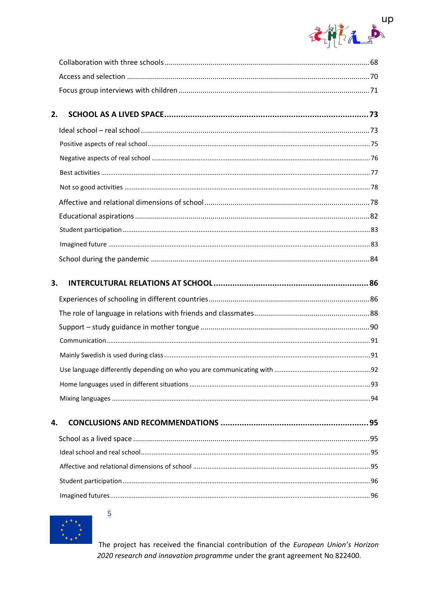

| 2. |  |
|----|--|
|    |  |
|    |  |
|    |  |
|    |  |
|    |  |
|    |  |
|    |  |
|    |  |
|    |  |
|    |  |
| 3. |  |
|    |  |
|    |  |
|    |  |
|    |  |
|    |  |
|    |  |
|    |  |
|    |  |
| 4. |  |
|    |  |
|    |  |
|    |  |
|    |  |
|    |  |
|    |  |



 $\overline{\mathbf{5}}$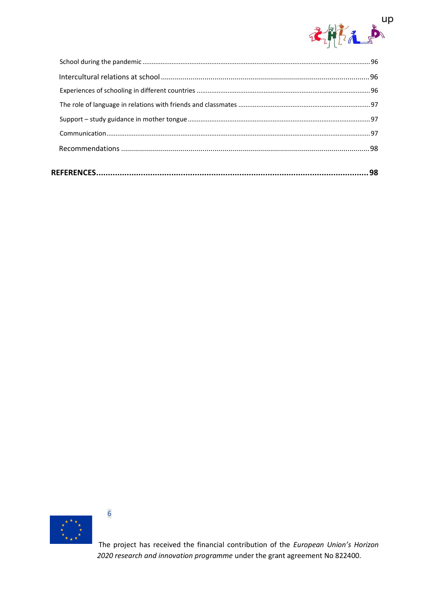



 $6\overline{6}$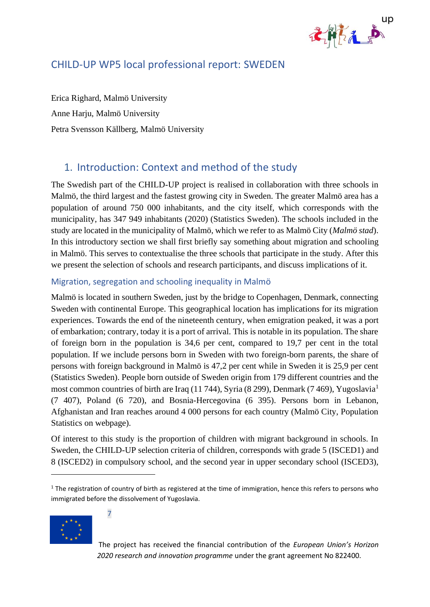

# <span id="page-6-0"></span>CHILD-UP WP5 local professional report: SWEDEN

Erica Righard, Malmö University Anne Harju, Malmö University Petra Svensson Källberg, Malmö University

# <span id="page-6-1"></span>1. Introduction: Context and method of the study

The Swedish part of the CHILD-UP project is realised in collaboration with three schools in Malmö, the third largest and the fastest growing city in Sweden. The greater Malmö area has a population of around 750 000 inhabitants, and the city itself, which corresponds with the municipality, has 347 949 inhabitants (2020) (Statistics Sweden). The schools included in the study are located in the municipality of Malmö, which we refer to as Malmö City (*Malmö stad*). In this introductory section we shall first briefly say something about migration and schooling in Malmö. This serves to contextualise the three schools that participate in the study. After this we present the selection of schools and research participants, and discuss implications of it.

# <span id="page-6-2"></span>Migration, segregation and schooling inequality in Malmö

Malmö is located in southern Sweden, just by the bridge to Copenhagen, Denmark, connecting Sweden with continental Europe. This geographical location has implications for its migration experiences. Towards the end of the nineteenth century, when emigration peaked, it was a port of embarkation; contrary, today it is a port of arrival. This is notable in its population. The share of foreign born in the population is 34,6 per cent, compared to 19,7 per cent in the total population. If we include persons born in Sweden with two foreign-born parents, the share of persons with foreign background in Malmö is 47,2 per cent while in Sweden it is 25,9 per cent (Statistics Sweden). People born outside of Sweden origin from 179 different countries and the most common countries of birth are Iraq (11 744), Syria (8 299), Denmark (7 469), Yugoslavia<sup>1</sup> (7 407), Poland (6 720), and Bosnia-Hercegovina (6 395). Persons born in Lebanon, Afghanistan and Iran reaches around 4 000 persons for each country (Malmö City, Population Statistics on webpage).

Of interest to this study is the proportion of children with migrant background in schools. In Sweden, the CHILD-UP selection criteria of children, corresponds with grade 5 (ISCED1) and 8 (ISCED2) in compulsory school, and the second year in upper secondary school (ISCED3),

 $1$  The registration of country of birth as registered at the time of immigration, hence this refers to persons who immigrated before the dissolvement of Yugoslavia.



7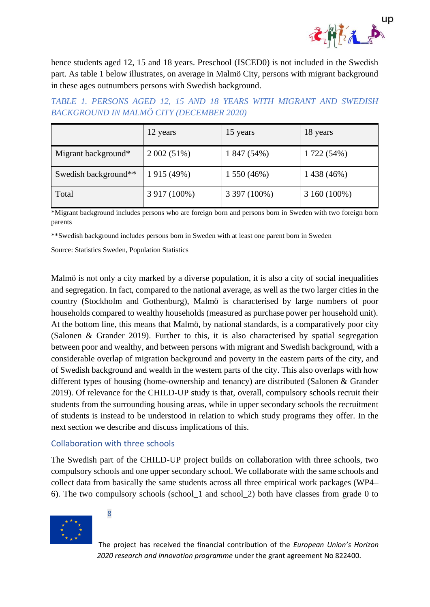

hence students aged 12, 15 and 18 years. Preschool (ISCED0) is not included in the Swedish part. As table 1 below illustrates, on average in Malmö City, persons with migrant background in these ages outnumbers persons with Swedish background.

|                      | 12 years     | 15 years     | 18 years     |
|----------------------|--------------|--------------|--------------|
| Migrant background*  | 2002(51%)    | 1 847 (54%)  | 1 722 (54%)  |
| Swedish background** | 1 915 (49%)  | $1550(46\%)$ | 1 438 (46%)  |
| Total                | 3 917 (100%) | 3 397 (100%) | 3 160 (100%) |

*TABLE 1. PERSONS AGED 12, 15 AND 18 YEARS WITH MIGRANT AND SWEDISH BACKGROUND IN MALMÖ CITY (DECEMBER 2020)*

\*Migrant background includes persons who are foreign born and persons born in Sweden with two foreign born parents

\*\*Swedish background includes persons born in Sweden with at least one parent born in Sweden

Source: Statistics Sweden, Population Statistics

Malmö is not only a city marked by a diverse population, it is also a city of social inequalities and segregation. In fact, compared to the national average, as well as the two larger cities in the country (Stockholm and Gothenburg), Malmö is characterised by large numbers of poor households compared to wealthy households (measured as purchase power per household unit). At the bottom line, this means that Malmö, by national standards, is a comparatively poor city (Salonen & Grander 2019). Further to this, it is also characterised by spatial segregation between poor and wealthy, and between persons with migrant and Swedish background, with a considerable overlap of migration background and poverty in the eastern parts of the city, and of Swedish background and wealth in the western parts of the city. This also overlaps with how different types of housing (home-ownership and tenancy) are distributed (Salonen & Grander 2019). Of relevance for the CHILD-UP study is that, overall, compulsory schools recruit their students from the surrounding housing areas, while in upper secondary schools the recruitment of students is instead to be understood in relation to which study programs they offer. In the next section we describe and discuss implications of this.

# <span id="page-7-0"></span>Collaboration with three schools

8

The Swedish part of the CHILD-UP project builds on collaboration with three schools, two compulsory schools and one upper secondary school. We collaborate with the same schools and collect data from basically the same students across all three empirical work packages (WP4– 6). The two compulsory schools (school\_1 and school\_2) both have classes from grade 0 to

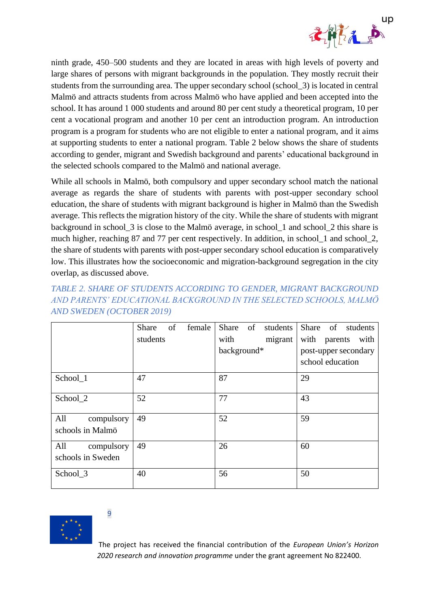

ninth grade, 450–500 students and they are located in areas with high levels of poverty and large shares of persons with migrant backgrounds in the population. They mostly recruit their students from the surrounding area. The upper secondary school (school\_3) is located in central Malmö and attracts students from across Malmö who have applied and been accepted into the school. It has around 1 000 students and around 80 per cent study a theoretical program, 10 per cent a vocational program and another 10 per cent an introduction program. An introduction program is a program for students who are not eligible to enter a national program, and it aims at supporting students to enter a national program. Table 2 below shows the share of students according to gender, migrant and Swedish background and parents' educational background in the selected schools compared to the Malmö and national average.

While all schools in Malmö, both compulsory and upper secondary school match the national average as regards the share of students with parents with post-upper secondary school education, the share of students with migrant background is higher in Malmö than the Swedish average. This reflects the migration history of the city. While the share of students with migrant background in school\_3 is close to the Malmö average, in school\_1 and school\_2 this share is much higher, reaching 87 and 77 per cent respectively. In addition, in school\_1 and school\_2, the share of students with parents with post-upper secondary school education is comparatively low. This illustrates how the socioeconomic and migration-background segregation in the city overlap, as discussed above.

|  |  | TABLE 2. SHARE OF STUDENTS ACCORDING TO GENDER, MIGRANT BACKGROUND |  |  |  |  |                                                                    |
|--|--|--------------------------------------------------------------------|--|--|--|--|--------------------------------------------------------------------|
|  |  |                                                                    |  |  |  |  | AND PARENTS' EDUCATIONAL BACKGROUND IN THE SELECTED SCHOOLS, MALMÖ |
|  |  | AND SWEDEN (OCTOBER 2019)                                          |  |  |  |  |                                                                    |

|                                        | of<br>Share<br>female | of<br><b>Share</b><br>students | <b>Share</b><br>of<br>students |
|----------------------------------------|-----------------------|--------------------------------|--------------------------------|
|                                        | students              | with<br>migrant                | with<br>parents<br>with        |
|                                        |                       | background*                    | post-upper secondary           |
|                                        |                       |                                | school education               |
| School_1                               | 47                    | 87                             | 29                             |
| School_2                               | 52                    | 77                             | 43                             |
| All<br>compulsory<br>schools in Malmö  | 49                    | 52                             | 59                             |
| All<br>compulsory<br>schools in Sweden | 49                    | 26                             | 60                             |
| School 3                               | 40                    | 56                             | 50                             |



9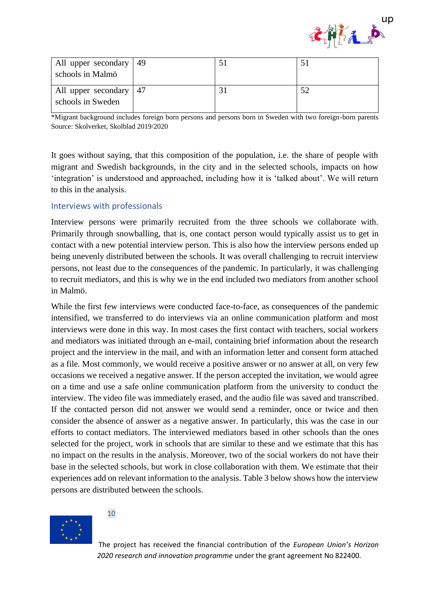

| All upper secondary 49<br>schools in Malmö    |  |  |
|-----------------------------------------------|--|--|
| All upper secondary   47<br>schools in Sweden |  |  |

\*Migrant background includes foreign born persons and persons born in Sweden with two foreign-born parents Source: Skolverket, Skolblad 2019/2020

It goes without saying, that this composition of the population, i.e. the share of people with migrant and Swedish backgrounds, in the city and in the selected schools, impacts on how 'integration' is understood and approached, including how it is 'talked about'. We will return to this in the analysis.

# <span id="page-9-0"></span>Interviews with professionals

Interview persons were primarily recruited from the three schools we collaborate with. Primarily through snowballing, that is, one contact person would typically assist us to get in contact with a new potential interview person. This is also how the interview persons ended up being unevenly distributed between the schools. It was overall challenging to recruit interview persons, not least due to the consequences of the pandemic. In particularly, it was challenging to recruit mediators, and this is why we in the end included two mediators from another school in Malmö.

While the first few interviews were conducted face-to-face, as consequences of the pandemic intensified, we transferred to do interviews via an online communication platform and most interviews were done in this way. In most cases the first contact with teachers, social workers and mediators was initiated through an e-mail, containing brief information about the research project and the interview in the mail, and with an information letter and consent form attached as a file. Most commonly, we would receive a positive answer or no answer at all, on very few occasions we received a negative answer. If the person accepted the invitation, we would agree on a time and use a safe online communication platform from the university to conduct the interview. The video file was immediately erased, and the audio file was saved and transcribed. If the contacted person did not answer we would send a reminder, once or twice and then consider the absence of answer as a negative answer. In particularly, this was the case in our efforts to contact mediators. The interviewed mediators based in other schools than the ones selected for the project, work in schools that are similar to these and we estimate that this has no impact on the results in the analysis. Moreover, two of the social workers do not have their base in the selected schools, but work in close collaboration with them. We estimate that their experiences add on relevant information to the analysis. Table 3 below shows how the interview persons are distributed between the schools.



10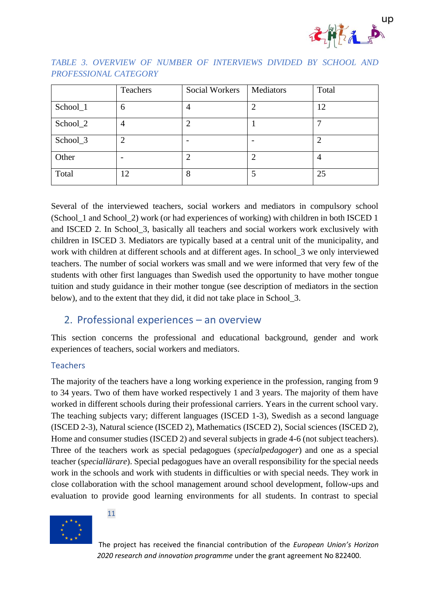

|          | Teachers       | Social Workers | Mediators | Total |
|----------|----------------|----------------|-----------|-------|
| School_1 | 6              | 4              | 2         | 12    |
| School_2 | $\overline{4}$ | $\overline{2}$ |           |       |
| School_3 | $\overline{2}$ |                |           | 2     |
| Other    |                | $\overline{2}$ | 2         | 4     |
| Total    | 12             | 8              |           | 25    |

# *TABLE 3. OVERVIEW OF NUMBER OF INTERVIEWS DIVIDED BY SCHOOL AND PROFESSIONAL CATEGORY*

Several of the interviewed teachers, social workers and mediators in compulsory school (School\_1 and School\_2) work (or had experiences of working) with children in both ISCED 1 and ISCED 2. In School\_3, basically all teachers and social workers work exclusively with children in ISCED 3. Mediators are typically based at a central unit of the municipality, and work with children at different schools and at different ages. In school\_3 we only interviewed teachers. The number of social workers was small and we were informed that very few of the students with other first languages than Swedish used the opportunity to have mother tongue tuition and study guidance in their mother tongue (see description of mediators in the section below), and to the extent that they did, it did not take place in School 3.

# <span id="page-10-0"></span>2. Professional experiences – an overview

This section concerns the professional and educational background, gender and work experiences of teachers, social workers and mediators.

# <span id="page-10-1"></span>**Teachers**

The majority of the teachers have a long working experience in the profession, ranging from 9 to 34 years. Two of them have worked respectively 1 and 3 years. The majority of them have worked in different schools during their professional carriers. Years in the current school vary. The teaching subjects vary; different languages (ISCED 1-3), Swedish as a second language (ISCED 2-3), Natural science (ISCED 2), Mathematics (ISCED 2), Social sciences (ISCED 2), Home and consumer studies (ISCED 2) and several subjects in grade 4-6 (not subject teachers). Three of the teachers work as special pedagogues (*specialpedagoger*) and one as a special teacher (s*peciallärare*). Special pedagogues have an overall responsibility for the special needs work in the schools and work with students in difficulties or with special needs. They work in close collaboration with the school management around school development, follow-ups and evaluation to provide good learning environments for all students. In contrast to special



11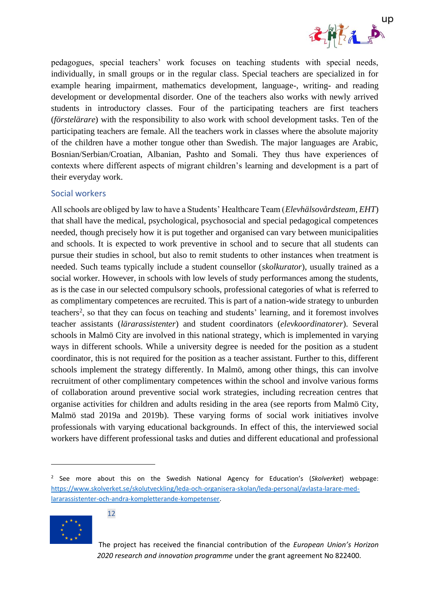

pedagogues, special teachers' work focuses on teaching students with special needs, individually, in small groups or in the regular class. Special teachers are specialized in for example hearing impairment, mathematics development, language-, writing- and reading development or developmental disorder. One of the teachers also works with newly arrived students in introductory classes. Four of the participating teachers are first teachers (*förstelärare*) with the responsibility to also work with school development tasks. Ten of the participating teachers are female. All the teachers work in classes where the absolute majority of the children have a mother tongue other than Swedish. The major languages are Arabic, Bosnian/Serbian/Croatian, Albanian, Pashto and Somali. They thus have experiences of contexts where different aspects of migrant children's learning and development is a part of their everyday work.

# <span id="page-11-0"></span>Social workers

All schools are obliged by law to have a Students' Healthcare Team (*Elevhälsovårdsteam, EHT*) that shall have the medical, psychological, psychosocial and special pedagogical competences needed, though precisely how it is put together and organised can vary between municipalities and schools. It is expected to work preventive in school and to secure that all students can pursue their studies in school, but also to remit students to other instances when treatment is needed. Such teams typically include a student counsellor (*skolkurator*), usually trained as a social worker. However, in schools with low levels of study performances among the students, as is the case in our selected compulsory schools, professional categories of what is referred to as complimentary competences are recruited. This is part of a nation-wide strategy to unburden teachers<sup>2</sup>, so that they can focus on teaching and students' learning, and it foremost involves teacher assistants (*lärarassistenter*) and student coordinators (*elevkoordinatorer*). Several schools in Malmö City are involved in this national strategy, which is implemented in varying ways in different schools. While a university degree is needed for the position as a student coordinator, this is not required for the position as a teacher assistant. Further to this, different schools implement the strategy differently. In Malmö, among other things, this can involve recruitment of other complimentary competences within the school and involve various forms of collaboration around preventive social work strategies, including recreation centres that organise activities for children and adults residing in the area (see reports from Malmö City, Malmö stad 2019a and 2019b). These varying forms of social work initiatives involve professionals with varying educational backgrounds. In effect of this, the interviewed social workers have different professional tasks and duties and different educational and professional

<sup>2</sup> See more about this on the Swedish National Agency for Education's (*Skolverket*) webpage: [https://www.skolverket.se/skolutveckling/leda-och-organisera-skolan/leda-personal/avlasta-larare-med](https://www.skolverket.se/skolutveckling/leda-och-organisera-skolan/leda-personal/avlasta-larare-med-lararassistenter-och-andra-kompletterande-kompetenser)[lararassistenter-och-andra-kompletterande-kompetenser.](https://www.skolverket.se/skolutveckling/leda-och-organisera-skolan/leda-personal/avlasta-larare-med-lararassistenter-och-andra-kompletterande-kompetenser)



12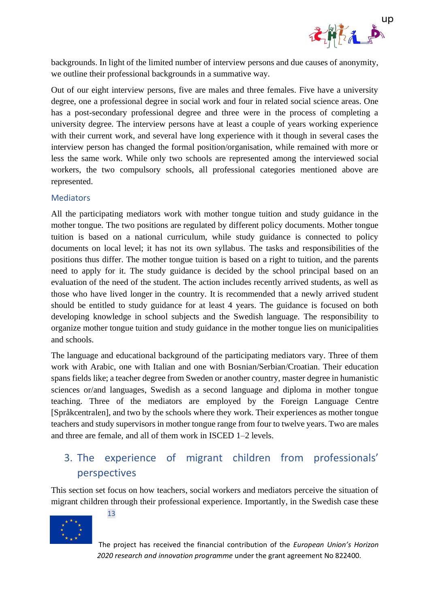

backgrounds. In light of the limited number of interview persons and due causes of anonymity, we outline their professional backgrounds in a summative way.

Out of our eight interview persons, five are males and three females. Five have a university degree, one a professional degree in social work and four in related social science areas. One has a post-secondary professional degree and three were in the process of completing a university degree. The interview persons have at least a couple of years working experience with their current work, and several have long experience with it though in several cases the interview person has changed the formal position/organisation, while remained with more or less the same work. While only two schools are represented among the interviewed social workers, the two compulsory schools, all professional categories mentioned above are represented.

# <span id="page-12-0"></span>Mediators

All the participating mediators work with mother tongue tuition and study guidance in the mother tongue. The two positions are regulated by different policy documents. Mother tongue tuition is based on a national curriculum, while study guidance is connected to policy documents on local level; it has not its own syllabus. The tasks and responsibilities of the positions thus differ. The mother tongue tuition is based on a right to tuition, and the parents need to apply for it. The study guidance is decided by the school principal based on an evaluation of the need of the student. The action includes recently arrived students, as well as those who have lived longer in the country. It is recommended that a newly arrived student should be entitled to study guidance for at least 4 years. The guidance is focused on both developing knowledge in school subjects and the Swedish language. The responsibility to organize mother tongue tuition and study guidance in the mother tongue lies on municipalities and schools.

The language and educational background of the participating mediators vary. Three of them work with Arabic, one with Italian and one with Bosnian/Serbian/Croatian. Their education spans fields like; a teacher degree from Sweden or another country, master degree in humanistic sciences or/and languages, Swedish as a second language and diploma in mother tongue teaching. Three of the mediators are employed by the Foreign Language Centre [Språkcentralen], and two by the schools where they work. Their experiences as mother tongue teachers and study supervisors in mother tongue range from four to twelve years. Two are males and three are female, and all of them work in ISCED 1–2 levels.

# <span id="page-12-1"></span>3. The experience of migrant children from professionals' perspectives

This section set focus on how teachers, social workers and mediators perceive the situation of migrant children through their professional experience. Importantly, in the Swedish case these



13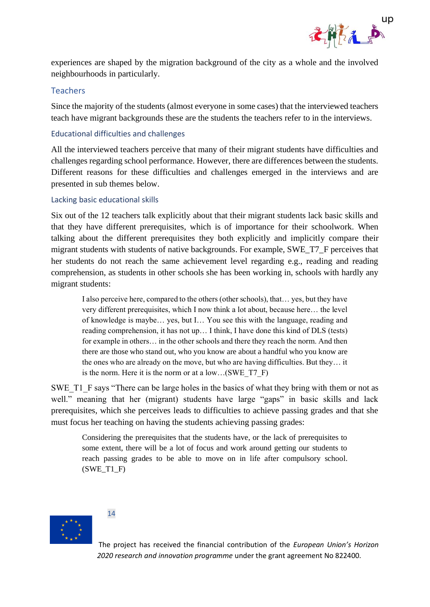

experiences are shaped by the migration background of the city as a whole and the involved neighbourhoods in particularly.

## <span id="page-13-0"></span>**Teachers**

Since the majority of the students (almost everyone in some cases) that the interviewed teachers teach have migrant backgrounds these are the students the teachers refer to in the interviews.

## <span id="page-13-1"></span>Educational difficulties and challenges

All the interviewed teachers perceive that many of their migrant students have difficulties and challenges regarding school performance. However, there are differences between the students. Different reasons for these difficulties and challenges emerged in the interviews and are presented in sub themes below.

#### <span id="page-13-2"></span>Lacking basic educational skills

Six out of the 12 teachers talk explicitly about that their migrant students lack basic skills and that they have different prerequisites, which is of importance for their schoolwork. When talking about the different prerequisites they both explicitly and implicitly compare their migrant students with students of native backgrounds. For example, SWE\_T7\_F perceives that her students do not reach the same achievement level regarding e.g., reading and reading comprehension, as students in other schools she has been working in, schools with hardly any migrant students:

I also perceive here, compared to the others (other schools), that… yes, but they have very different prerequisites, which I now think a lot about, because here… the level of knowledge is maybe… yes, but I… You see this with the language, reading and reading comprehension, it has not up… I think, I have done this kind of DLS (tests) for example in others… in the other schools and there they reach the norm. And then there are those who stand out, who you know are about a handful who you know are the ones who are already on the move, but who are having difficulties. But they… it is the norm. Here it is the norm or at a low…(SWE\_T7\_F)

SWE T1 F says "There can be large holes in the basics of what they bring with them or not as well." meaning that her (migrant) students have large "gaps" in basic skills and lack prerequisites, which she perceives leads to difficulties to achieve passing grades and that she must focus her teaching on having the students achieving passing grades:

Considering the prerequisites that the students have, or the lack of prerequisites to some extent, there will be a lot of focus and work around getting our students to reach passing grades to be able to move on in life after compulsory school. (SWE\_T1\_F)



14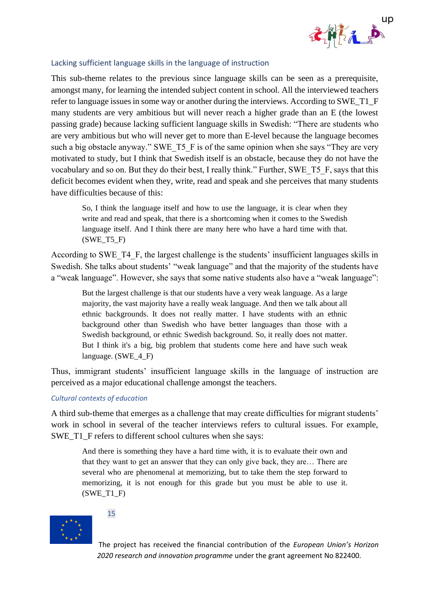

# <span id="page-14-0"></span>Lacking sufficient language skills in the language of instruction

This sub-theme relates to the previous since language skills can be seen as a prerequisite, amongst many, for learning the intended subject content in school. All the interviewed teachers refer to language issues in some way or another during the interviews. According to SWE\_T1\_F many students are very ambitious but will never reach a higher grade than an E (the lowest passing grade) because lacking sufficient language skills in Swedish: "There are students who are very ambitious but who will never get to more than E-level because the language becomes such a big obstacle anyway." SWE T5 F is of the same opinion when she says "They are very motivated to study, but I think that Swedish itself is an obstacle, because they do not have the vocabulary and so on. But they do their best, I really think." Further, SWE\_T5\_F, says that this deficit becomes evident when they, write, read and speak and she perceives that many students have difficulties because of this:

So, I think the language itself and how to use the language, it is clear when they write and read and speak, that there is a shortcoming when it comes to the Swedish language itself. And I think there are many here who have a hard time with that.  $(SWE_T5_F)$ 

According to SWE T4 F, the largest challenge is the students' insufficient languages skills in Swedish. She talks about students' "weak language" and that the majority of the students have a "weak language". However, she says that some native students also have a "weak language":

But the largest challenge is that our students have a very weak language. As a large majority, the vast majority have a really weak language. And then we talk about all ethnic backgrounds. It does not really matter. I have students with an ethnic background other than Swedish who have better languages than those with a Swedish background, or ethnic Swedish background. So, it really does not matter. But I think it's a big, big problem that students come here and have such weak language. (SWE\_4\_F)

Thus, immigrant students' insufficient language skills in the language of instruction are perceived as a major educational challenge amongst the teachers.

# *Cultural contexts of education*

15

A third sub-theme that emerges as a challenge that may create difficulties for migrant students' work in school in several of the teacher interviews refers to cultural issues. For example, SWE\_T1\_F refers to different school cultures when she says:

And there is something they have a hard time with, it is to evaluate their own and that they want to get an answer that they can only give back, they are… There are several who are phenomenal at memorizing, but to take them the step forward to memorizing, it is not enough for this grade but you must be able to use it.  $(SWE_T1_F)$ 

![](_page_14_Picture_10.jpeg)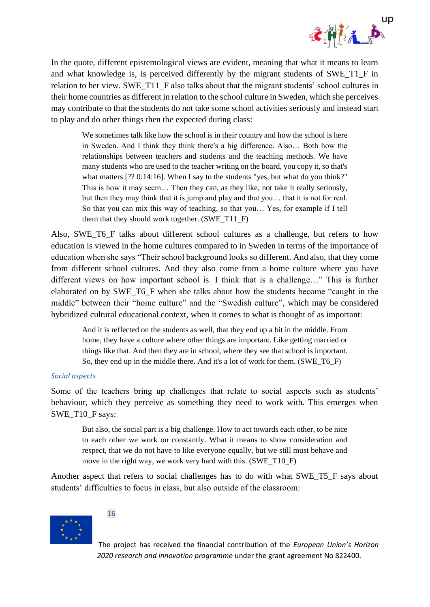![](_page_15_Picture_0.jpeg)

In the quote, different epistemological views are evident, meaning that what it means to learn and what knowledge is, is perceived differently by the migrant students of SWE\_T1\_F in relation to her view. SWE\_T11\_F also talks about that the migrant students' school cultures in their home countries as different in relation to the school culture in Sweden, which she perceives may contribute to that the students do not take some school activities seriously and instead start to play and do other things then the expected during class:

We sometimes talk like how the school is in their country and how the school is here in Sweden. And I think they think there's a big difference. Also… Both how the relationships between teachers and students and the teaching methods. We have many students who are used to the teacher writing on the board, you copy it, so that's what matters [?? 0:14:16]. When I say to the students "yes, but what do you think?" This is how it may seem… Then they can, as they like, not take it really seriously, but then they may think that it is jump and play and that you… that it is not for real. So that you can mix this way of teaching, so that you… Yes, for example if I tell them that they should work together. (SWE\_T11\_F)

Also, SWE\_T6\_F talks about different school cultures as a challenge, but refers to how education is viewed in the home cultures compared to in Sweden in terms of the importance of education when she says "Their school background looks so different. And also, that they come from different school cultures. And they also come from a home culture where you have different views on how important school is. I think that is a challenge…" This is further elaborated on by SWE\_T6\_F when she talks about how the students become "caught in the middle" between their "home culture" and the "Swedish culture", which may be considered hybridized cultural educational context, when it comes to what is thought of as important:

And it is reflected on the students as well, that they end up a bit in the middle. From home, they have a culture where other things are important. Like getting married or things like that. And then they are in school, where they see that school is important. So, they end up in the middle there. And it's a lot of work for them. (SWE\_T6\_F)

#### *Social aspects*

Some of the teachers bring up challenges that relate to social aspects such as students' behaviour, which they perceive as something they need to work with. This emerges when SWE\_T10\_F says:

But also, the social part is a big challenge. How to act towards each other, to be nice to each other we work on constantly. What it means to show consideration and respect, that we do not have to like everyone equally, but we still must behave and move in the right way, we work very hard with this. (SWE\_T10\_F)

Another aspect that refers to social challenges has to do with what SWE\_T5\_F says about students' difficulties to focus in class, but also outside of the classroom:

![](_page_15_Picture_9.jpeg)

16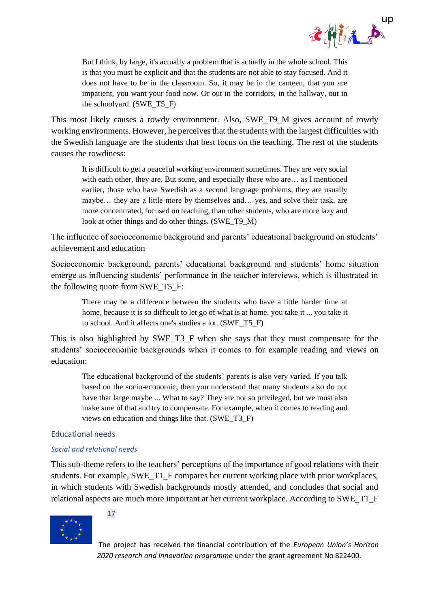![](_page_16_Figure_0.jpeg)

But I think, by large, it's actually a problem that is actually in the whole school. This is that you must be explicit and that the students are not able to stay focused. And it does not have to be in the classroom. So, it may be in the canteen, that you are impatient, you want your food now. Or out in the corridors, in the hallway, out in the schoolyard. (SWE\_T5\_F)

This most likely causes a rowdy environment. Also, SWE\_T9\_M gives account of rowdy working environments. However, he perceives that the students with the largest difficulties with the Swedish language are the students that best focus on the teaching. The rest of the students causes the rowdiness:

It is difficult to get a peaceful working environment sometimes. They are very social with each other, they are. But some, and especially those who are... as I mentioned earlier, those who have Swedish as a second language problems, they are usually maybe… they are a little more by themselves and… yes, and solve their task, are more concentrated, focused on teaching, than other students, who are more lazy and look at other things and do other things. (SWE\_T9\_M)

The influence of socioeconomic background and parents' educational background on students' achievement and education

Socioeconomic background, parents' educational background and students' home situation emerge as influencing students' performance in the teacher interviews, which is illustrated in the following quote from SWE\_T5\_F:

There may be a difference between the students who have a little harder time at home, because it is so difficult to let go of what is at home, you take it ... you take it to school. And it affects one's studies a lot. (SWE\_T5\_F)

This is also highlighted by SWE T3 F when she says that they must compensate for the students' socioeconomic backgrounds when it comes to for example reading and views on education:

The educational background of the students' parents is also very varied. If you talk based on the socio-economic, then you understand that many students also do not have that large maybe ... What to say? They are not so privileged, but we must also make sure of that and try to compensate. For example, when it comes to reading and views on education and things like that. (SWE\_T3\_F)

# <span id="page-16-0"></span>Educational needs

#### *Social and relational needs*

17

This sub-theme refers to the teachers' perceptions of the importance of good relations with their students. For example, SWE\_T1\_F compares her current working place with prior workplaces, in which students with Swedish backgrounds mostly attended, and concludes that social and relational aspects are much more important at her current workplace. According to SWE\_T1\_F

![](_page_16_Picture_12.jpeg)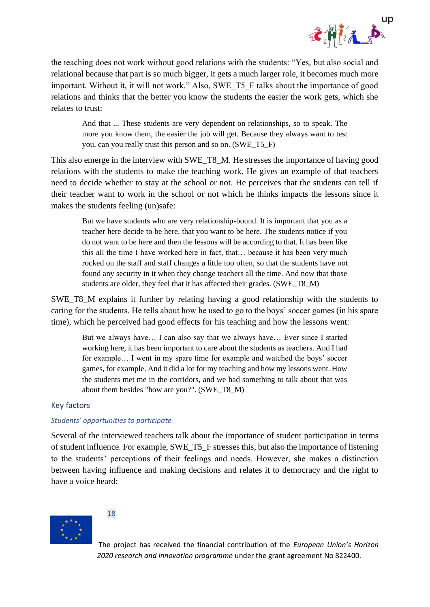![](_page_17_Picture_0.jpeg)

the teaching does not work without good relations with the students: "Yes, but also social and relational because that part is so much bigger, it gets a much larger role, it becomes much more important. Without it, it will not work." Also, SWE\_T5\_F talks about the importance of good relations and thinks that the better you know the students the easier the work gets, which she relates to trust:

And that ... These students are very dependent on relationships, so to speak. The more you know them, the easier the job will get. Because they always want to test you, can you really trust this person and so on. (SWE\_T5\_F)

This also emerge in the interview with SWE\_T8\_M. He stresses the importance of having good relations with the students to make the teaching work. He gives an example of that teachers need to decide whether to stay at the school or not. He perceives that the students can tell if their teacher want to work in the school or not which he thinks impacts the lessons since it makes the students feeling (un)safe:

But we have students who are very relationship-bound. It is important that you as a teacher here decide to be here, that you want to be here. The students notice if you do not want to be here and then the lessons will be according to that. It has been like this all the time I have worked here in fact, that… because it has been very much rocked on the staff and staff changes a little too often, so that the students have not found any security in it when they change teachers all the time. And now that those students are older, they feel that it has affected their grades. (SWE\_T8\_M)

SWE\_T8\_M explains it further by relating having a good relationship with the students to caring for the students. He tells about how he used to go to the boys' soccer games (in his spare time), which he perceived had good effects for his teaching and how the lessons went:

But we always have… I can also say that we always have… Ever since I started working here, it has been important to care about the students as teachers. And I had for example… I went in my spare time for example and watched the boys' soccer games, for example. And it did a lot for my teaching and how my lessons went. How the students met me in the corridors, and we had something to talk about that was about them besides "how are you?". (SWE\_T8\_M)

#### <span id="page-17-0"></span>Key factors

# *Students' opportunities to participate*

18

Several of the interviewed teachers talk about the importance of student participation in terms of student influence. For example, SWE\_T5\_F stresses this, but also the importance of listening to the students' perceptions of their feelings and needs. However, she makes a distinction between having influence and making decisions and relates it to democracy and the right to have a voice heard:

![](_page_17_Picture_10.jpeg)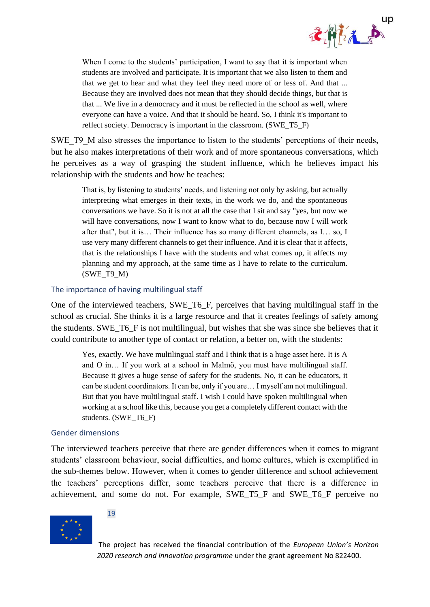![](_page_18_Picture_0.jpeg)

When I come to the students' participation, I want to say that it is important when students are involved and participate. It is important that we also listen to them and that we get to hear and what they feel they need more of or less of. And that ... Because they are involved does not mean that they should decide things, but that is that ... We live in a democracy and it must be reflected in the school as well, where everyone can have a voice. And that it should be heard. So, I think it's important to reflect society. Democracy is important in the classroom. (SWE\_T5\_F)

SWE T9 M also stresses the importance to listen to the students' perceptions of their needs, but he also makes interpretations of their work and of more spontaneous conversations, which he perceives as a way of grasping the student influence, which he believes impact his relationship with the students and how he teaches:

That is, by listening to students' needs, and listening not only by asking, but actually interpreting what emerges in their texts, in the work we do, and the spontaneous conversations we have. So it is not at all the case that I sit and say "yes, but now we will have conversations, now I want to know what to do, because now I will work after that", but it is… Their influence has so many different channels, as I… so, I use very many different channels to get their influence. And it is clear that it affects, that is the relationships I have with the students and what comes up, it affects my planning and my approach, at the same time as I have to relate to the curriculum. (SWE\_T9\_M)

#### <span id="page-18-0"></span>The importance of having multilingual staff

One of the interviewed teachers, SWE T6 F, perceives that having multilingual staff in the school as crucial. She thinks it is a large resource and that it creates feelings of safety among the students. SWE\_T6\_F is not multilingual, but wishes that she was since she believes that it could contribute to another type of contact or relation, a better on, with the students:

Yes, exactly. We have multilingual staff and I think that is a huge asset here. It is A and O in… If you work at a school in Malmö, you must have multilingual staff. Because it gives a huge sense of safety for the students. No, it can be educators, it can be student coordinators. It can be, only if you are… I myself am not multilingual. But that you have multilingual staff. I wish I could have spoken multilingual when working at a school like this, because you get a completely different contact with the students. (SWE\_T6\_F)

## <span id="page-18-1"></span>Gender dimensions

19

The interviewed teachers perceive that there are gender differences when it comes to migrant students' classroom behaviour, social difficulties, and home cultures, which is exemplified in the sub-themes below. However, when it comes to gender difference and school achievement the teachers' perceptions differ, some teachers perceive that there is a difference in achievement, and some do not. For example, SWE\_T5\_F and SWE\_T6\_F perceive no

![](_page_18_Picture_9.jpeg)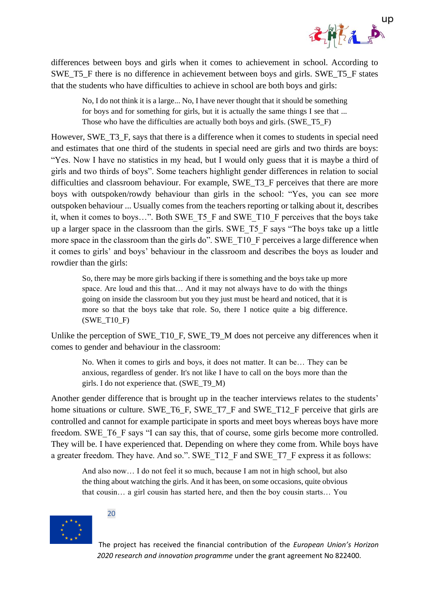![](_page_19_Picture_0.jpeg)

differences between boys and girls when it comes to achievement in school. According to SWE\_T5\_F there is no difference in achievement between boys and girls. SWE\_T5\_F states that the students who have difficulties to achieve in school are both boys and girls:

No, I do not think it is a large... No, I have never thought that it should be something for boys and for something for girls, but it is actually the same things I see that ... Those who have the difficulties are actually both boys and girls. (SWE\_T5\_F)

However, SWE\_T3\_F, says that there is a difference when it comes to students in special need and estimates that one third of the students in special need are girls and two thirds are boys: "Yes. Now I have no statistics in my head, but I would only guess that it is maybe a third of girls and two thirds of boys". Some teachers highlight gender differences in relation to social difficulties and classroom behaviour. For example, SWE\_T3\_F perceives that there are more boys with outspoken/rowdy behaviour than girls in the school: "Yes, you can see more outspoken behaviour ... Usually comes from the teachers reporting or talking about it, describes it, when it comes to boys…". Both SWE\_T5\_F and SWE\_T10\_F perceives that the boys take up a larger space in the classroom than the girls. SWE\_T5\_F says "The boys take up a little more space in the classroom than the girls do". SWE T10 F perceives a large difference when it comes to girls' and boys' behaviour in the classroom and describes the boys as louder and rowdier than the girls:

So, there may be more girls backing if there is something and the boys take up more space. Are loud and this that… And it may not always have to do with the things going on inside the classroom but you they just must be heard and noticed, that it is more so that the boys take that role. So, there I notice quite a big difference. (SWE\_T10\_F)

Unlike the perception of SWE\_T10\_F, SWE\_T9\_M does not perceive any differences when it comes to gender and behaviour in the classroom:

No. When it comes to girls and boys, it does not matter. It can be… They can be anxious, regardless of gender. It's not like I have to call on the boys more than the girls. I do not experience that. (SWE\_T9\_M)

Another gender difference that is brought up in the teacher interviews relates to the students' home situations or culture. SWE\_T6\_F, SWE\_T7\_F and SWE\_T12\_F perceive that girls are controlled and cannot for example participate in sports and meet boys whereas boys have more freedom. SWE\_T6\_F says "I can say this, that of course, some girls become more controlled. They will be. I have experienced that. Depending on where they come from. While boys have a greater freedom. They have. And so.". SWE\_T12\_F and SWE\_T7\_F express it as follows:

And also now… I do not feel it so much, because I am not in high school, but also the thing about watching the girls. And it has been, on some occasions, quite obvious that cousin… a girl cousin has started here, and then the boy cousin starts… You

![](_page_19_Picture_9.jpeg)

20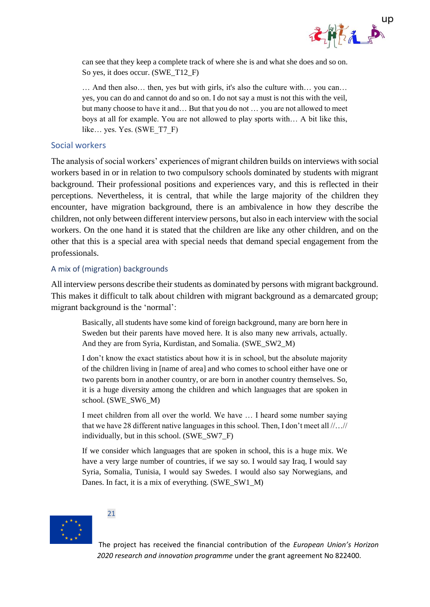![](_page_20_Figure_0.jpeg)

can see that they keep a complete track of where she is and what she does and so on. So yes, it does occur. (SWE\_T12\_F)

… And then also… then, yes but with girls, it's also the culture with… you can… yes, you can do and cannot do and so on. I do not say a must is not this with the veil, but many choose to have it and… But that you do not … you are not allowed to meet boys at all for example. You are not allowed to play sports with… A bit like this, like… yes. Yes. (SWE\_T7\_F)

#### <span id="page-20-0"></span>Social workers

The analysis of social workers' experiences of migrant children builds on interviews with social workers based in or in relation to two compulsory schools dominated by students with migrant background. Their professional positions and experiences vary, and this is reflected in their perceptions. Nevertheless, it is central, that while the large majority of the children they encounter, have migration background, there is an ambivalence in how they describe the children, not only between different interview persons, but also in each interview with the social workers. On the one hand it is stated that the children are like any other children, and on the other that this is a special area with special needs that demand special engagement from the professionals.

#### <span id="page-20-1"></span>A mix of (migration) backgrounds

All interview persons describe their students as dominated by persons with migrant background. This makes it difficult to talk about children with migrant background as a demarcated group; migrant background is the 'normal':

Basically, all students have some kind of foreign background, many are born here in Sweden but their parents have moved here. It is also many new arrivals, actually. And they are from Syria, Kurdistan, and Somalia. (SWE\_SW2\_M)

I don't know the exact statistics about how it is in school, but the absolute majority of the children living in [name of area] and who comes to school either have one or two parents born in another country, or are born in another country themselves. So, it is a huge diversity among the children and which languages that are spoken in school. (SWE\_SW6\_M)

I meet children from all over the world. We have … I heard some number saying that we have 28 different native languages in this school. Then, I don't meet all //…// individually, but in this school. (SWE\_SW7\_F)

If we consider which languages that are spoken in school, this is a huge mix. We have a very large number of countries, if we say so. I would say Iraq, I would say Syria, Somalia, Tunisia, I would say Swedes. I would also say Norwegians, and Danes. In fact, it is a mix of everything. (SWE\_SW1\_M)

![](_page_20_Picture_11.jpeg)

21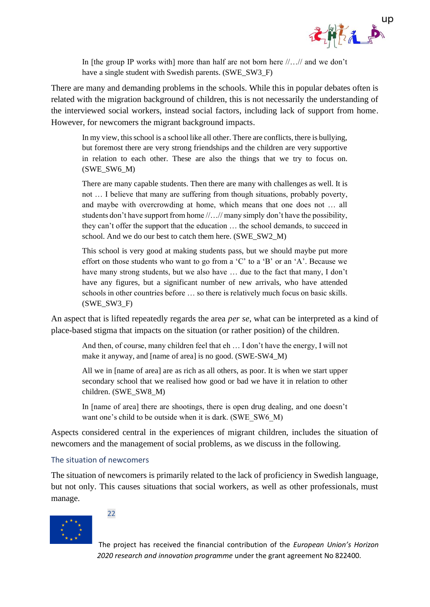![](_page_21_Picture_0.jpeg)

In [the group IP works with] more than half are not born here  $//...//$  and we don't have a single student with Swedish parents. (SWE\_SW3\_F)

There are many and demanding problems in the schools. While this in popular debates often is related with the migration background of children, this is not necessarily the understanding of the interviewed social workers, instead social factors, including lack of support from home. However, for newcomers the migrant background impacts.

In my view, this school is a school like all other. There are conflicts, there is bullying, but foremost there are very strong friendships and the children are very supportive in relation to each other. These are also the things that we try to focus on. (SWE\_SW6\_M)

There are many capable students. Then there are many with challenges as well. It is not … I believe that many are suffering from though situations, probably poverty, and maybe with overcrowding at home, which means that one does not … all students don't have support from home //…// many simply don't have the possibility, they can't offer the support that the education … the school demands, to succeed in school. And we do our best to catch them here. (SWE\_SW2\_M)

This school is very good at making students pass, but we should maybe put more effort on those students who want to go from a 'C' to a 'B' or an 'A'. Because we have many strong students, but we also have … due to the fact that many, I don't have any figures, but a significant number of new arrivals, who have attended schools in other countries before … so there is relatively much focus on basic skills. (SWE\_SW3\_F)

An aspect that is lifted repeatedly regards the area *per se*, what can be interpreted as a kind of place-based stigma that impacts on the situation (or rather position) of the children.

And then, of course, many children feel that eh … I don't have the energy, I will not make it anyway, and [name of area] is no good. (SWE-SW4 M)

All we in [name of area] are as rich as all others, as poor. It is when we start upper secondary school that we realised how good or bad we have it in relation to other children. (SWE\_SW8\_M)

In [name of area] there are shootings, there is open drug dealing, and one doesn't want one's child to be outside when it is dark. (SWE\_SW6\_M)

Aspects considered central in the experiences of migrant children, includes the situation of newcomers and the management of social problems, as we discuss in the following.

#### <span id="page-21-0"></span>The situation of newcomers

22

The situation of newcomers is primarily related to the lack of proficiency in Swedish language, but not only. This causes situations that social workers, as well as other professionals, must manage.

![](_page_21_Picture_13.jpeg)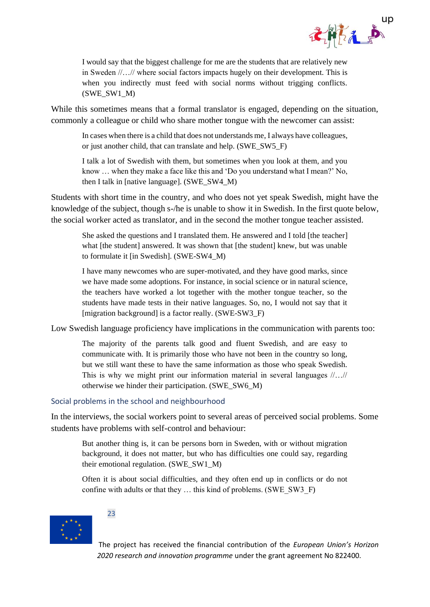![](_page_22_Figure_0.jpeg)

I would say that the biggest challenge for me are the students that are relatively new in Sweden //…// where social factors impacts hugely on their development. This is when you indirectly must feed with social norms without trigging conflicts. (SWE\_SW1\_M)

While this sometimes means that a formal translator is engaged, depending on the situation, commonly a colleague or child who share mother tongue with the newcomer can assist:

In cases when there is a child that does not understands me, I always have colleagues, or just another child, that can translate and help. (SWE\_SW5\_F)

I talk a lot of Swedish with them, but sometimes when you look at them, and you know … when they make a face like this and 'Do you understand what I mean?' No, then I talk in [native language]. (SWE\_SW4\_M)

Students with short time in the country, and who does not yet speak Swedish, might have the knowledge of the subject, though s-/he is unable to show it in Swedish. In the first quote below, the social worker acted as translator, and in the second the mother tongue teacher assisted.

She asked the questions and I translated them. He answered and I told [the teacher] what [the student] answered. It was shown that [the student] knew, but was unable to formulate it [in Swedish]. (SWE-SW4\_M)

I have many newcomes who are super-motivated, and they have good marks, since we have made some adoptions. For instance, in social science or in natural science, the teachers have worked a lot together with the mother tongue teacher, so the students have made tests in their native languages. So, no, I would not say that it [migration background] is a factor really. (SWE-SW3\_F)

Low Swedish language proficiency have implications in the communication with parents too:

The majority of the parents talk good and fluent Swedish, and are easy to communicate with. It is primarily those who have not been in the country so long, but we still want these to have the same information as those who speak Swedish. This is why we might print our information material in several languages //…// otherwise we hinder their participation. (SWE\_SW6\_M)

# <span id="page-22-0"></span>Social problems in the school and neighbourhood

In the interviews, the social workers point to several areas of perceived social problems. Some students have problems with self-control and behaviour:

But another thing is, it can be persons born in Sweden, with or without migration background, it does not matter, but who has difficulties one could say, regarding their emotional regulation. (SWE\_SW1\_M)

Often it is about social difficulties, and they often end up in conflicts or do not confine with adults or that they … this kind of problems. (SWE\_SW3\_F)

![](_page_22_Picture_14.jpeg)

23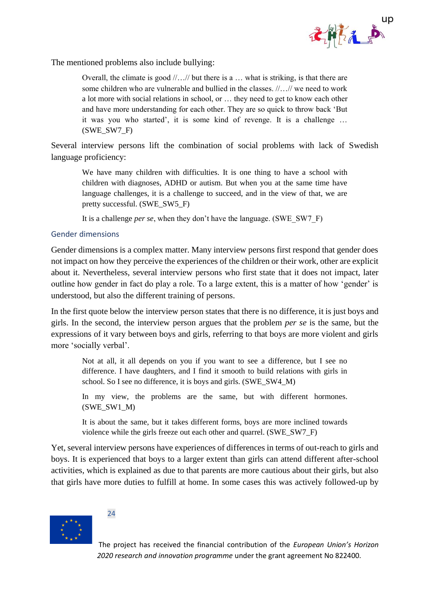![](_page_23_Figure_0.jpeg)

The mentioned problems also include bullying:

Overall, the climate is good //…// but there is a … what is striking, is that there are some children who are vulnerable and bullied in the classes.  $//$ ...// we need to work a lot more with social relations in school, or … they need to get to know each other and have more understanding for each other. They are so quick to throw back 'But it was you who started', it is some kind of revenge. It is a challenge … (SWE\_SW7\_F)

Several interview persons lift the combination of social problems with lack of Swedish language proficiency:

We have many children with difficulties. It is one thing to have a school with children with diagnoses, ADHD or autism. But when you at the same time have language challenges, it is a challenge to succeed, and in the view of that, we are pretty successful. (SWE\_SW5\_F)

It is a challenge *per se*, when they don't have the language. (SWE\_SW7\_F)

# <span id="page-23-0"></span>Gender dimensions

Gender dimensions is a complex matter. Many interview persons first respond that gender does not impact on how they perceive the experiences of the children or their work, other are explicit about it. Nevertheless, several interview persons who first state that it does not impact, later outline how gender in fact do play a role. To a large extent, this is a matter of how 'gender' is understood, but also the different training of persons.

In the first quote below the interview person states that there is no difference, it is just boys and girls. In the second, the interview person argues that the problem *per se* is the same, but the expressions of it vary between boys and girls, referring to that boys are more violent and girls more 'socially verbal'.

Not at all, it all depends on you if you want to see a difference, but I see no difference. I have daughters, and I find it smooth to build relations with girls in school. So I see no difference, it is boys and girls. (SWE\_SW4\_M)

In my view, the problems are the same, but with different hormones. (SWE\_SW1\_M)

It is about the same, but it takes different forms, boys are more inclined towards violence while the girls freeze out each other and quarrel. (SWE\_SW7\_F)

Yet, several interview persons have experiences of differences in terms of out-reach to girls and boys. It is experienced that boys to a larger extent than girls can attend different after-school activities, which is explained as due to that parents are more cautious about their girls, but also that girls have more duties to fulfill at home. In some cases this was actively followed-up by

![](_page_23_Picture_13.jpeg)

24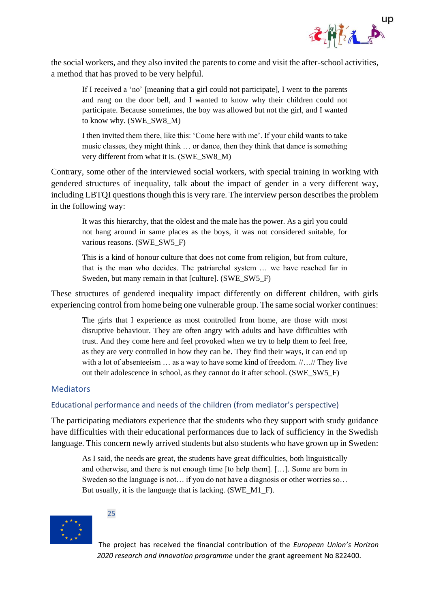![](_page_24_Picture_0.jpeg)

the social workers, and they also invited the parents to come and visit the after-school activities, a method that has proved to be very helpful.

If I received a 'no' [meaning that a girl could not participate], I went to the parents and rang on the door bell, and I wanted to know why their children could not participate. Because sometimes, the boy was allowed but not the girl, and I wanted to know why. (SWE\_SW8\_M)

I then invited them there, like this: 'Come here with me'. If your child wants to take music classes, they might think … or dance, then they think that dance is something very different from what it is. (SWE\_SW8\_M)

Contrary, some other of the interviewed social workers, with special training in working with gendered structures of inequality, talk about the impact of gender in a very different way, including LBTQI questions though this is very rare. The interview person describes the problem in the following way:

It was this hierarchy, that the oldest and the male has the power. As a girl you could not hang around in same places as the boys, it was not considered suitable, for various reasons. (SWE\_SW5\_F)

This is a kind of honour culture that does not come from religion, but from culture, that is the man who decides. The patriarchal system … we have reached far in Sweden, but many remain in that [culture]. (SWE\_SW5\_F)

These structures of gendered inequality impact differently on different children, with girls experiencing control from home being one vulnerable group. The same social worker continues:

The girls that I experience as most controlled from home, are those with most disruptive behaviour. They are often angry with adults and have difficulties with trust. And they come here and feel provoked when we try to help them to feel free, as they are very controlled in how they can be. They find their ways, it can end up with a lot of absenteeism ... as a way to have some kind of freedom.  $//...//$  They live out their adolescence in school, as they cannot do it after school. (SWE\_SW5\_F)

# <span id="page-24-0"></span>Mediators

# <span id="page-24-1"></span>Educational performance and needs of the children (from mediator's perspective)

The participating mediators experience that the students who they support with study guidance have difficulties with their educational performances due to lack of sufficiency in the Swedish language. This concern newly arrived students but also students who have grown up in Sweden:

As I said, the needs are great, the students have great difficulties, both linguistically and otherwise, and there is not enough time [to help them]. […]. Some are born in Sweden so the language is not… if you do not have a diagnosis or other worries so… But usually, it is the language that is lacking. (SWE\_M1\_F).

![](_page_24_Picture_13.jpeg)

25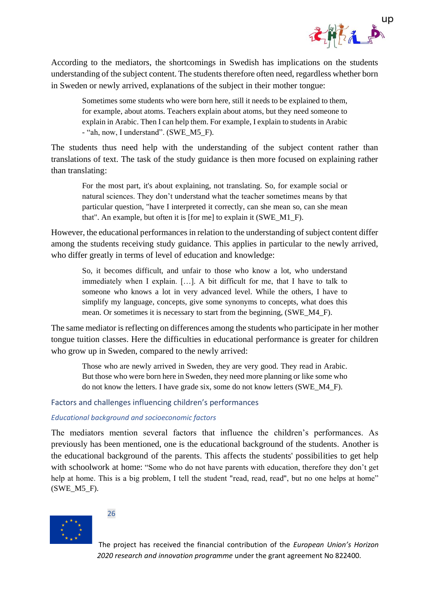![](_page_25_Picture_0.jpeg)

According to the mediators, the shortcomings in Swedish has implications on the students understanding of the subject content. The students therefore often need, regardless whether born in Sweden or newly arrived, explanations of the subject in their mother tongue:

Sometimes some students who were born here, still it needs to be explained to them, for example, about atoms. Teachers explain about atoms, but they need someone to explain in Arabic. Then I can help them. For example, I explain to students in Arabic - "ah, now, I understand". (SWE\_M5\_F).

The students thus need help with the understanding of the subject content rather than translations of text. The task of the study guidance is then more focused on explaining rather than translating:

For the most part, it's about explaining, not translating. So, for example social or natural sciences. They don't understand what the teacher sometimes means by that particular question, "have I interpreted it correctly, can she mean so, can she mean that". An example, but often it is [for me] to explain it (SWE\_M1\_F).

However, the educational performances in relation to the understanding of subject content differ among the students receiving study guidance. This applies in particular to the newly arrived, who differ greatly in terms of level of education and knowledge:

So, it becomes difficult, and unfair to those who know a lot, who understand immediately when I explain. […]. A bit difficult for me, that I have to talk to someone who knows a lot in very advanced level. While the others, I have to simplify my language, concepts, give some synonyms to concepts, what does this mean. Or sometimes it is necessary to start from the beginning, (SWE\_M4\_F).

The same mediator is reflecting on differences among the students who participate in her mother tongue tuition classes. Here the difficulties in educational performance is greater for children who grow up in Sweden, compared to the newly arrived:

Those who are newly arrived in Sweden, they are very good. They read in Arabic. But those who were born here in Sweden, they need more planning or like some who do not know the letters. I have grade six, some do not know letters (SWE\_M4\_F).

<span id="page-25-0"></span>Factors and challenges influencing children's performances

#### *Educational background and socioeconomic factors*

26

The mediators mention several factors that influence the children's performances. As previously has been mentioned, one is the educational background of the students. Another is the educational background of the parents. This affects the students' possibilities to get help with schoolwork at home: "Some who do not have parents with education, therefore they don't get help at home. This is a big problem, I tell the student "read, read, read", but no one helps at home" (SWE\_M5\_F).

![](_page_25_Picture_12.jpeg)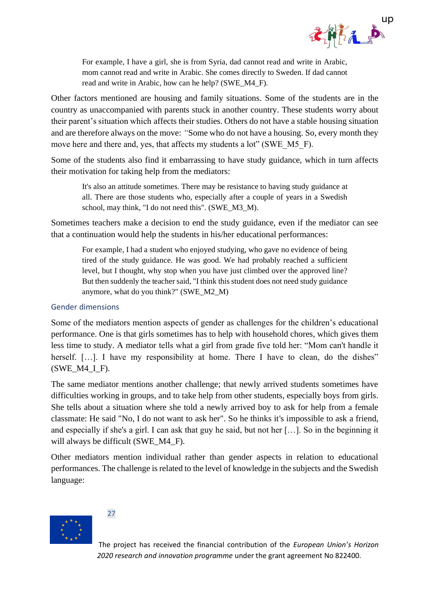![](_page_26_Figure_0.jpeg)

For example, I have a girl, she is from Syria, dad cannot read and write in Arabic, mom cannot read and write in Arabic. She comes directly to Sweden. If dad cannot read and write in Arabic, how can he help? (SWE\_M4\_F).

Other factors mentioned are housing and family situations. Some of the students are in the country as unaccompanied with parents stuck in another country. These students worry about their parent's situation which affects their studies. Others do not have a stable housing situation and are therefore always on the move: *"*Some who do not have a housing. So, every month they move here and there and, yes, that affects my students a lot" (SWE\_M5\_F).

Some of the students also find it embarrassing to have study guidance, which in turn affects their motivation for taking help from the mediators:

It's also an attitude sometimes. There may be resistance to having study guidance at all. There are those students who, especially after a couple of years in a Swedish school, may think, "I do not need this". (SWE\_M3\_M).

Sometimes teachers make a decision to end the study guidance, even if the mediator can see that a continuation would help the students in his/her educational performances:

For example, I had a student who enjoyed studying, who gave no evidence of being tired of the study guidance. He was good. We had probably reached a sufficient level, but I thought, why stop when you have just climbed over the approved line? But then suddenly the teacher said, "I think this student does not need study guidance anymore, what do you think?" (SWE\_M2\_M)

# <span id="page-26-0"></span>Gender dimensions

Some of the mediators mention aspects of gender as challenges for the children's educational performance. One is that girls sometimes has to help with household chores, which gives them less time to study. A mediator tells what a girl from grade five told her: "Mom can't handle it herself. [...]. I have my responsibility at home. There I have to clean, do the dishes"  $(SWE_M4_I_F)$ .

The same mediator mentions another challenge; that newly arrived students sometimes have difficulties working in groups, and to take help from other students, especially boys from girls. She tells about a situation where she told a newly arrived boy to ask for help from a female classmate: He said "No, I do not want to ask her". So he thinks it's impossible to ask a friend, and especially if she's a girl. I can ask that guy he said, but not her […]. So in the beginning it will always be difficult (SWE\_M4\_F)*.*

Other mediators mention individual rather than gender aspects in relation to educational performances. The challenge is related to the level of knowledge in the subjects and the Swedish language:

![](_page_26_Picture_11.jpeg)

27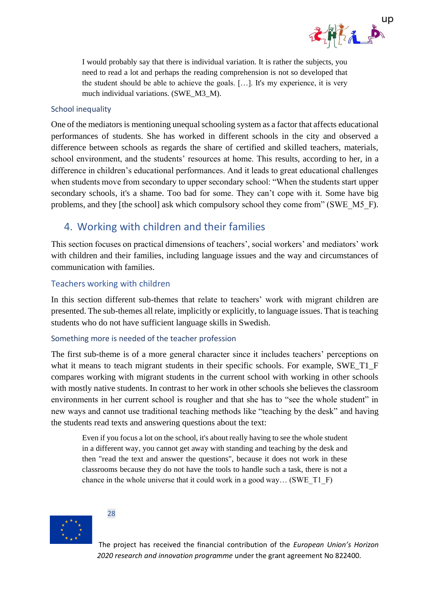![](_page_27_Picture_0.jpeg)

I would probably say that there is individual variation. It is rather the subjects, you need to read a lot and perhaps the reading comprehension is not so developed that the student should be able to achieve the goals. […]. It's my experience, it is very much individual variations. (SWE\_M3\_M).

# <span id="page-27-0"></span>School inequality

One of the mediators is mentioning unequal schooling system as a factor that affects educational performances of students. She has worked in different schools in the city and observed a difference between schools as regards the share of certified and skilled teachers, materials, school environment, and the students' resources at home. This results, according to her, in a difference in children's educational performances. And it leads to great educational challenges when students move from secondary to upper secondary school: "When the students start upper secondary schools, it's a shame. Too bad for some. They can't cope with it. Some have big problems, and they [the school] ask which compulsory school they come from" (SWE\_M5\_F).

# <span id="page-27-1"></span>4. Working with children and their families

This section focuses on practical dimensions of teachers', social workers' and mediators' work with children and their families, including language issues and the way and circumstances of communication with families.

# <span id="page-27-2"></span>Teachers working with children

In this section different sub-themes that relate to teachers' work with migrant children are presented. The sub-themes all relate, implicitly or explicitly, to language issues. That is teaching students who do not have sufficient language skills in Swedish.

# <span id="page-27-3"></span>Something more is needed of the teacher profession

The first sub-theme is of a more general character since it includes teachers' perceptions on what it means to teach migrant students in their specific schools. For example, SWE T1 F compares working with migrant students in the current school with working in other schools with mostly native students. In contrast to her work in other schools she believes the classroom environments in her current school is rougher and that she has to "see the whole student" in new ways and cannot use traditional teaching methods like "teaching by the desk" and having the students read texts and answering questions about the text:

Even if you focus a lot on the school, it's about really having to see the whole student in a different way, you cannot get away with standing and teaching by the desk and then "read the text and answer the questions", because it does not work in these classrooms because they do not have the tools to handle such a task, there is not a chance in the whole universe that it could work in a good way… (SWE\_T1\_F)

![](_page_27_Picture_11.jpeg)

28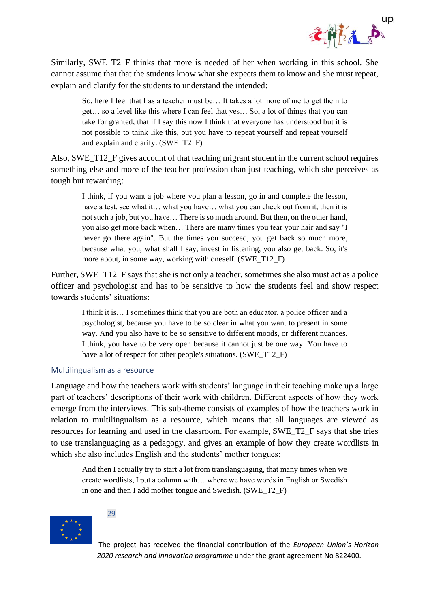![](_page_28_Picture_0.jpeg)

Similarly, SWE\_T2\_F thinks that more is needed of her when working in this school. She cannot assume that that the students know what she expects them to know and she must repeat, explain and clarify for the students to understand the intended:

So, here I feel that I as a teacher must be… It takes a lot more of me to get them to get… so a level like this where I can feel that yes… So, a lot of things that you can take for granted, that if I say this now I think that everyone has understood but it is not possible to think like this, but you have to repeat yourself and repeat yourself and explain and clarify. (SWE\_T2\_F)

Also, SWE\_T12\_F gives account of that teaching migrant student in the current school requires something else and more of the teacher profession than just teaching, which she perceives as tough but rewarding:

I think, if you want a job where you plan a lesson, go in and complete the lesson, have a test, see what it... what you have... what you can check out from it, then it is not such a job, but you have… There is so much around. But then, on the other hand, you also get more back when… There are many times you tear your hair and say "I never go there again". But the times you succeed, you get back so much more, because what you, what shall I say, invest in listening, you also get back. So, it's more about, in some way, working with oneself. (SWE\_T12\_F)

Further, SWE T12 F says that she is not only a teacher, sometimes she also must act as a police officer and psychologist and has to be sensitive to how the students feel and show respect towards students' situations:

I think it is… I sometimes think that you are both an educator, a police officer and a psychologist, because you have to be so clear in what you want to present in some way. And you also have to be so sensitive to different moods, or different nuances. I think, you have to be very open because it cannot just be one way. You have to have a lot of respect for other people's situations. (SWE\_T12\_F)

# <span id="page-28-0"></span>Multilingualism as a resource

29

Language and how the teachers work with students' language in their teaching make up a large part of teachers' descriptions of their work with children. Different aspects of how they work emerge from the interviews. This sub-theme consists of examples of how the teachers work in relation to multilingualism as a resource, which means that all languages are viewed as resources for learning and used in the classroom. For example, SWE\_T2\_F says that she tries to use translanguaging as a pedagogy, and gives an example of how they create wordlists in which she also includes English and the students' mother tongues:

And then I actually try to start a lot from translanguaging, that many times when we create wordlists, I put a column with… where we have words in English or Swedish in one and then I add mother tongue and Swedish. (SWE\_T2\_F)

![](_page_28_Picture_10.jpeg)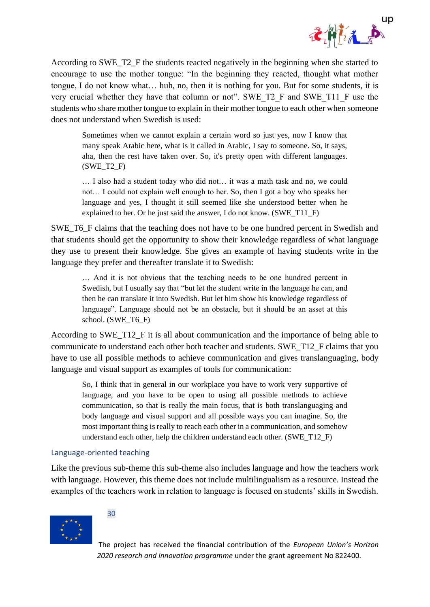![](_page_29_Picture_0.jpeg)

According to SWE\_T2\_F the students reacted negatively in the beginning when she started to encourage to use the mother tongue: "In the beginning they reacted, thought what mother tongue, I do not know what… huh, no, then it is nothing for you. But for some students, it is very crucial whether they have that column or not". SWE\_T2\_F and SWE\_T11\_F use the students who share mother tongue to explain in their mother tongue to each other when someone does not understand when Swedish is used:

Sometimes when we cannot explain a certain word so just yes, now I know that many speak Arabic here, what is it called in Arabic, I say to someone. So, it says, aha, then the rest have taken over. So, it's pretty open with different languages.  $(SWE_T2_F)$ 

… I also had a student today who did not… it was a math task and no, we could not… I could not explain well enough to her. So, then I got a boy who speaks her language and yes, I thought it still seemed like she understood better when he explained to her. Or he just said the answer, I do not know. (SWE\_T11\_F)

SWE T6 F claims that the teaching does not have to be one hundred percent in Swedish and that students should get the opportunity to show their knowledge regardless of what language they use to present their knowledge. She gives an example of having students write in the language they prefer and thereafter translate it to Swedish:

… And it is not obvious that the teaching needs to be one hundred percent in Swedish, but I usually say that "but let the student write in the language he can, and then he can translate it into Swedish. But let him show his knowledge regardless of language". Language should not be an obstacle, but it should be an asset at this school. (SWE\_T6\_F)

According to SWE\_T12\_F it is all about communication and the importance of being able to communicate to understand each other both teacher and students. SWE\_T12\_F claims that you have to use all possible methods to achieve communication and gives translanguaging, body language and visual support as examples of tools for communication:

So, I think that in general in our workplace you have to work very supportive of language, and you have to be open to using all possible methods to achieve communication, so that is really the main focus, that is both translanguaging and body language and visual support and all possible ways you can imagine. So, the most important thing is really to reach each other in a communication, and somehow understand each other, help the children understand each other. (SWE\_T12\_F)

#### <span id="page-29-0"></span>Language-oriented teaching

30

Like the previous sub-theme this sub-theme also includes language and how the teachers work with language. However, this theme does not include multilingualism as a resource. Instead the examples of the teachers work in relation to language is focused on students' skills in Swedish.

![](_page_29_Picture_10.jpeg)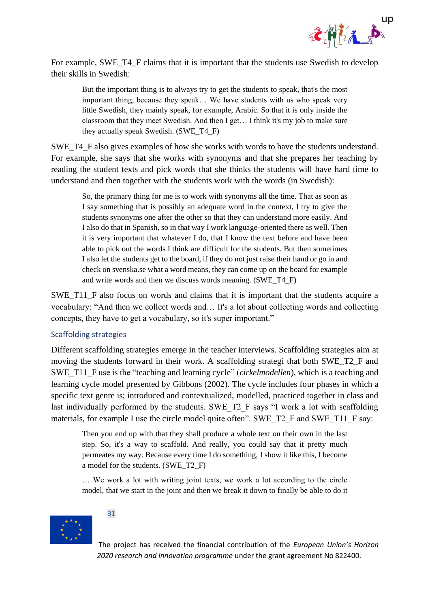![](_page_30_Picture_0.jpeg)

For example, SWE T4 F claims that it is important that the students use Swedish to develop their skills in Swedish:

But the important thing is to always try to get the students to speak, that's the most important thing, because they speak… We have students with us who speak very little Swedish, they mainly speak, for example, Arabic. So that it is only inside the classroom that they meet Swedish. And then I get… I think it's my job to make sure they actually speak Swedish. (SWE\_T4\_F)

SWE T4 F also gives examples of how she works with words to have the students understand. For example, she says that she works with synonyms and that she prepares her teaching by reading the student texts and pick words that she thinks the students will have hard time to understand and then together with the students work with the words (in Swedish):

So, the primary thing for me is to work with synonyms all the time. That as soon as I say something that is possibly an adequate word in the context, I try to give the students synonyms one after the other so that they can understand more easily. And I also do that in Spanish, so in that way I work language-oriented there as well. Then it is very important that whatever I do, that I know the text before and have been able to pick out the words I think are difficult for the students. But then sometimes I also let the students get to the board, if they do not just raise their hand or go in and check on svenska.se what a word means, they can come up on the board for example and write words and then we discuss words meaning. (SWE\_T4\_F)

SWE\_T11\_F also focus on words and claims that it is important that the students acquire a vocabulary: "And then we collect words and… It's a lot about collecting words and collecting concepts, they have to get a vocabulary, so it's super important."

# <span id="page-30-0"></span>Scaffolding strategies

Different scaffolding strategies emerge in the teacher interviews. Scaffolding strategies aim at moving the students forward in their work. A scaffolding strategi that both SWE\_T2\_F and SWE T11 F use is the "teaching and learning cycle" (*cirkelmodellen*), which is a teaching and learning cycle model presented by Gibbons (2002). The cycle includes four phases in which a specific text genre is; introduced and contextualized, modelled, practiced together in class and last individually performed by the students. SWE\_T2\_F says "I work a lot with scaffolding materials, for example I use the circle model quite often". SWE\_T2\_F and SWE\_T11\_F say:

Then you end up with that they shall produce a whole text on their own in the last step. So, it's a way to scaffold. And really, you could say that it pretty much permeates my way. Because every time I do something, I show it like this, I become a model for the students. (SWE\_T2\_F)

… We work a lot with writing joint texts, we work a lot according to the circle model, that we start in the joint and then we break it down to finally be able to do it

![](_page_30_Picture_10.jpeg)

31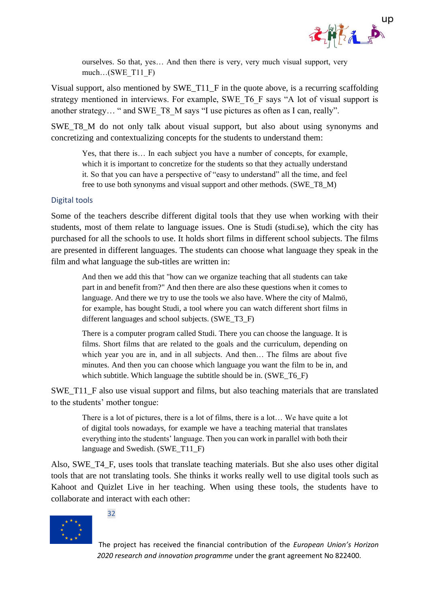![](_page_31_Figure_0.jpeg)

ourselves. So that, yes… And then there is very, very much visual support, very much... $(SWE_T11_F)$ 

Visual support, also mentioned by SWE\_T11\_F in the quote above, is a recurring scaffolding strategy mentioned in interviews. For example, SWE T6 F says "A lot of visual support is another strategy... " and SWE T8 M says "I use pictures as often as I can, really".

SWE\_T8\_M do not only talk about visual support, but also about using synonyms and concretizing and contextualizing concepts for the students to understand them:

Yes, that there is… In each subject you have a number of concepts, for example, which it is important to concretize for the students so that they actually understand it. So that you can have a perspective of "easy to understand" all the time, and feel free to use both synonyms and visual support and other methods. (SWE\_T8\_M)

#### <span id="page-31-0"></span>Digital tools

Some of the teachers describe different digital tools that they use when working with their students, most of them relate to language issues. One is Studi (studi.se), which the city has purchased for all the schools to use. It holds short films in different school subjects. The films are presented in different languages. The students can choose what language they speak in the film and what language the sub-titles are written in:

And then we add this that "how can we organize teaching that all students can take part in and benefit from?" And then there are also these questions when it comes to language. And there we try to use the tools we also have. Where the city of Malmö, for example, has bought Studi, a tool where you can watch different short films in different languages and school subjects. (SWE\_T3\_F)

There is a computer program called Studi. There you can choose the language. It is films. Short films that are related to the goals and the curriculum, depending on which year you are in, and in all subjects. And then… The films are about five minutes. And then you can choose which language you want the film to be in, and which subtitle. Which language the subtitle should be in. (SWE\_T6\_F)

SWE T11 F also use visual support and films, but also teaching materials that are translated to the students' mother tongue:

There is a lot of pictures, there is a lot of films, there is a lot… We have quite a lot of digital tools nowadays, for example we have a teaching material that translates everything into the students' language. Then you can work in parallel with both their language and Swedish. (SWE\_T11\_F)

Also, SWE\_T4\_F, uses tools that translate teaching materials. But she also uses other digital tools that are not translating tools. She thinks it works really well to use digital tools such as Kahoot and Quizlet Live in her teaching. When using these tools, the students have to collaborate and interact with each other:

![](_page_31_Picture_12.jpeg)

32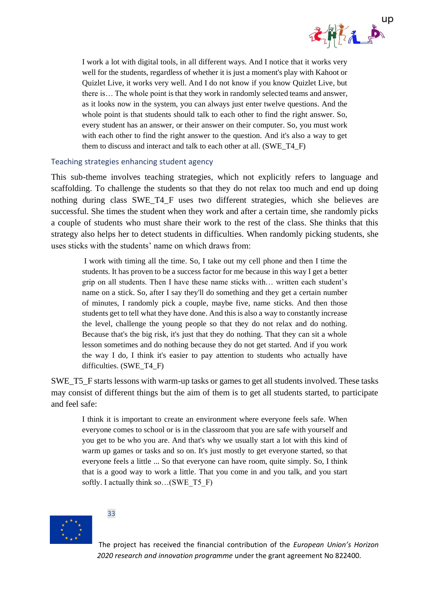![](_page_32_Picture_0.jpeg)

I work a lot with digital tools, in all different ways. And I notice that it works very well for the students, regardless of whether it is just a moment's play with Kahoot or Quizlet Live, it works very well. And I do not know if you know Quizlet Live, but there is… The whole point is that they work in randomly selected teams and answer, as it looks now in the system, you can always just enter twelve questions. And the whole point is that students should talk to each other to find the right answer. So, every student has an answer, or their answer on their computer. So, you must work with each other to find the right answer to the question. And it's also a way to get them to discuss and interact and talk to each other at all. (SWE\_T4\_F)

# <span id="page-32-0"></span>Teaching strategies enhancing student agency

This sub-theme involves teaching strategies, which not explicitly refers to language and scaffolding. To challenge the students so that they do not relax too much and end up doing nothing during class SWE\_T4\_F uses two different strategies, which she believes are successful. She times the student when they work and after a certain time, she randomly picks a couple of students who must share their work to the rest of the class. She thinks that this strategy also helps her to detect students in difficulties. When randomly picking students, she uses sticks with the students' name on which draws from:

I work with timing all the time. So, I take out my cell phone and then I time the students. It has proven to be a success factor for me because in this way I get a better grip on all students. Then I have these name sticks with… written each student's name on a stick. So, after I say they'll do something and they get a certain number of minutes, I randomly pick a couple, maybe five, name sticks. And then those students get to tell what they have done. And this is also a way to constantly increase the level, challenge the young people so that they do not relax and do nothing. Because that's the big risk, it's just that they do nothing. That they can sit a whole lesson sometimes and do nothing because they do not get started. And if you work the way I do, I think it's easier to pay attention to students who actually have difficulties. (SWE\_T4\_F)

SWE T5 F starts lessons with warm-up tasks or games to get all students involved. These tasks may consist of different things but the aim of them is to get all students started, to participate and feel safe:

I think it is important to create an environment where everyone feels safe. When everyone comes to school or is in the classroom that you are safe with yourself and you get to be who you are. And that's why we usually start a lot with this kind of warm up games or tasks and so on. It's just mostly to get everyone started, so that everyone feels a little ... So that everyone can have room, quite simply. So, I think that is a good way to work a little. That you come in and you talk, and you start softly. I actually think so...(SWE\_T5\_F)

![](_page_32_Picture_7.jpeg)

33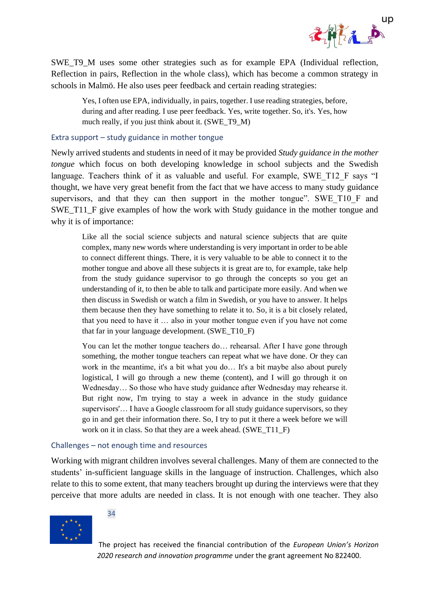![](_page_33_Picture_0.jpeg)

SWE T9 M uses some other strategies such as for example EPA (Individual reflection, Reflection in pairs, Reflection in the whole class), which has become a common strategy in schools in Malmö. He also uses peer feedback and certain reading strategies:

Yes, I often use EPA, individually, in pairs, together. I use reading strategies, before, during and after reading. I use peer feedback. Yes, write together. So, it's. Yes, how much really, if you just think about it. (SWE\_T9\_M)

#### <span id="page-33-0"></span>Extra support – study guidance in mother tongue

Newly arrived students and students in need of it may be provided *Study guidance in the mother tongue* which focus on both developing knowledge in school subjects and the Swedish language. Teachers think of it as valuable and useful. For example, SWE T12 F says "I thought, we have very great benefit from the fact that we have access to many study guidance supervisors, and that they can then support in the mother tongue". SWE T10 F and SWE T11 F give examples of how the work with Study guidance in the mother tongue and why it is of importance:

Like all the social science subjects and natural science subjects that are quite complex, many new words where understanding is very important in order to be able to connect different things. There, it is very valuable to be able to connect it to the mother tongue and above all these subjects it is great are to, for example, take help from the study guidance supervisor to go through the concepts so you get an understanding of it, to then be able to talk and participate more easily. And when we then discuss in Swedish or watch a film in Swedish, or you have to answer. It helps them because then they have something to relate it to. So, it is a bit closely related, that you need to have it … also in your mother tongue even if you have not come that far in your language development. (SWE\_T10\_F)

You can let the mother tongue teachers do… rehearsal. After I have gone through something, the mother tongue teachers can repeat what we have done. Or they can work in the meantime, it's a bit what you do… It's a bit maybe also about purely logistical, I will go through a new theme (content), and I will go through it on Wednesday… So those who have study guidance after Wednesday may rehearse it. But right now, I'm trying to stay a week in advance in the study guidance supervisors'… I have a Google classroom for all study guidance supervisors, so they go in and get their information there. So, I try to put it there a week before we will work on it in class. So that they are a week ahead. (SWE\_T11\_F)

#### <span id="page-33-1"></span>Challenges – not enough time and resources

34

Working with migrant children involves several challenges. Many of them are connected to the students' in-sufficient language skills in the language of instruction. Challenges, which also relate to this to some extent, that many teachers brought up during the interviews were that they perceive that more adults are needed in class. It is not enough with one teacher. They also

![](_page_33_Picture_9.jpeg)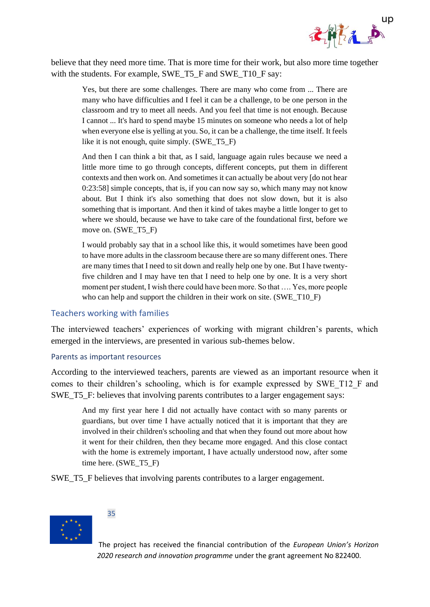![](_page_34_Picture_0.jpeg)

believe that they need more time. That is more time for their work, but also more time together with the students. For example, SWE\_T5\_F and SWE\_T10\_F say:

Yes, but there are some challenges. There are many who come from ... There are many who have difficulties and I feel it can be a challenge, to be one person in the classroom and try to meet all needs. And you feel that time is not enough. Because I cannot ... It's hard to spend maybe 15 minutes on someone who needs a lot of help when everyone else is yelling at you. So, it can be a challenge, the time itself. It feels like it is not enough, quite simply. (SWE\_T5\_F)

And then I can think a bit that, as I said, language again rules because we need a little more time to go through concepts, different concepts, put them in different contexts and then work on. And sometimes it can actually be about very [do not hear 0:23:58] simple concepts, that is, if you can now say so, which many may not know about. But I think it's also something that does not slow down, but it is also something that is important. And then it kind of takes maybe a little longer to get to where we should, because we have to take care of the foundational first, before we move on. (SWE\_T5\_F)

I would probably say that in a school like this, it would sometimes have been good to have more adults in the classroom because there are so many different ones. There are many times that I need to sit down and really help one by one. But I have twentyfive children and I may have ten that I need to help one by one. It is a very short moment per student, I wish there could have been more. So that …. Yes, more people who can help and support the children in their work on site. (SWE\_T10\_F)

# <span id="page-34-0"></span>Teachers working with families

The interviewed teachers' experiences of working with migrant children's parents, which emerged in the interviews, are presented in various sub-themes below.

#### <span id="page-34-1"></span>Parents as important resources

35

According to the interviewed teachers, parents are viewed as an important resource when it comes to their children's schooling, which is for example expressed by SWE\_T12\_F and SWE\_T5\_F: believes that involving parents contributes to a larger engagement says:

And my first year here I did not actually have contact with so many parents or guardians, but over time I have actually noticed that it is important that they are involved in their children's schooling and that when they found out more about how it went for their children, then they became more engaged. And this close contact with the home is extremely important, I have actually understood now, after some time here. (SWE\_T5\_F)

SWE T5 F believes that involving parents contributes to a larger engagement.

![](_page_34_Picture_11.jpeg)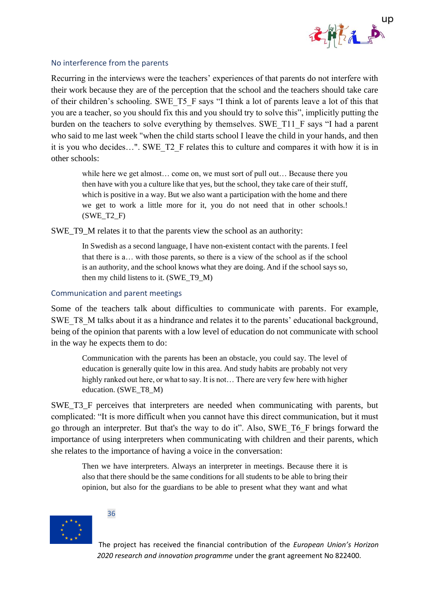![](_page_35_Picture_0.jpeg)

# <span id="page-35-0"></span>No interference from the parents

Recurring in the interviews were the teachers' experiences of that parents do not interfere with their work because they are of the perception that the school and the teachers should take care of their children's schooling. SWE\_T5\_F says "I think a lot of parents leave a lot of this that you are a teacher, so you should fix this and you should try to solve this", implicitly putting the burden on the teachers to solve everything by themselves. SWE\_T11\_F says "I had a parent who said to me last week "when the child starts school I leave the child in your hands, and then it is you who decides…". SWE\_T2\_F relates this to culture and compares it with how it is in other schools:

while here we get almost… come on, we must sort of pull out… Because there you then have with you a culture like that yes, but the school, they take care of their stuff, which is positive in a way. But we also want a participation with the home and there we get to work a little more for it, you do not need that in other schools.!  $(SWE_T2_F)$ 

SWE\_T9\_M relates it to that the parents view the school as an authority:

In Swedish as a second language, I have non-existent contact with the parents. I feel that there is a… with those parents, so there is a view of the school as if the school is an authority, and the school knows what they are doing. And if the school says so, then my child listens to it. (SWE\_T9\_M)

# <span id="page-35-1"></span>Communication and parent meetings

Some of the teachers talk about difficulties to communicate with parents. For example, SWE T8 M talks about it as a hindrance and relates it to the parents' educational background, being of the opinion that parents with a low level of education do not communicate with school in the way he expects them to do:

Communication with the parents has been an obstacle, you could say. The level of education is generally quite low in this area. And study habits are probably not very highly ranked out here, or what to say. It is not… There are very few here with higher education. (SWE\_T8\_M)

SWE\_T3\_F perceives that interpreters are needed when communicating with parents, but complicated: "It is more difficult when you cannot have this direct communication, but it must go through an interpreter. But that's the way to do it". Also, SWE\_T6\_F brings forward the importance of using interpreters when communicating with children and their parents, which she relates to the importance of having a voice in the conversation:

Then we have interpreters. Always an interpreter in meetings. Because there it is also that there should be the same conditions for all students to be able to bring their opinion, but also for the guardians to be able to present what they want and what

![](_page_35_Picture_11.jpeg)

36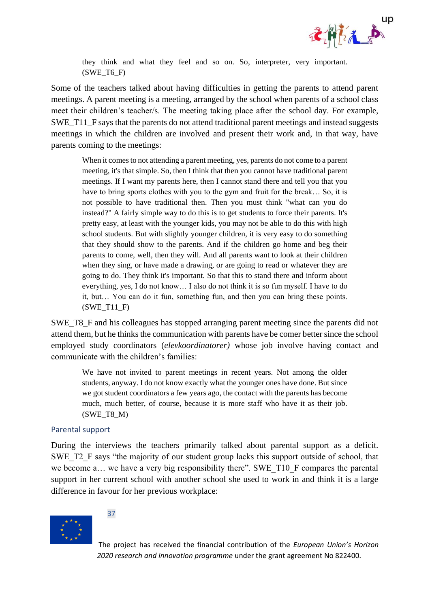

they think and what they feel and so on. So, interpreter, very important.  $(SWE_T6_F)$ 

Some of the teachers talked about having difficulties in getting the parents to attend parent meetings. A parent meeting is a meeting, arranged by the school when parents of a school class meet their children's teacher/s. The meeting taking place after the school day. For example, SWE T11 F says that the parents do not attend traditional parent meetings and instead suggests meetings in which the children are involved and present their work and, in that way, have parents coming to the meetings:

When it comes to not attending a parent meeting, yes, parents do not come to a parent meeting, it's that simple. So, then I think that then you cannot have traditional parent meetings. If I want my parents here, then I cannot stand there and tell you that you have to bring sports clothes with you to the gym and fruit for the break... So, it is not possible to have traditional then. Then you must think "what can you do instead?" A fairly simple way to do this is to get students to force their parents. It's pretty easy, at least with the younger kids, you may not be able to do this with high school students. But with slightly younger children, it is very easy to do something that they should show to the parents. And if the children go home and beg their parents to come, well, then they will. And all parents want to look at their children when they sing, or have made a drawing, or are going to read or whatever they are going to do. They think it's important. So that this to stand there and inform about everything, yes, I do not know… I also do not think it is so fun myself. I have to do it, but… You can do it fun, something fun, and then you can bring these points. (SWE\_T11\_F)

SWE\_T8\_F and his colleagues has stopped arranging parent meeting since the parents did not attend them, but he thinks the communication with parents have be comer better since the school employed study coordinators (*elevkoordinatorer)* whose job involve having contact and communicate with the children's families:

We have not invited to parent meetings in recent years. Not among the older students, anyway. I do not know exactly what the younger ones have done. But since we got student coordinators a few years ago, the contact with the parents has become much, much better, of course, because it is more staff who have it as their job. (SWE\_T8\_M)

### Parental support

During the interviews the teachers primarily talked about parental support as a deficit. SWE T2 F says "the majority of our student group lacks this support outside of school, that we become a... we have a very big responsibility there". SWE T10 F compares the parental support in her current school with another school she used to work in and think it is a large difference in favour for her previous workplace:



37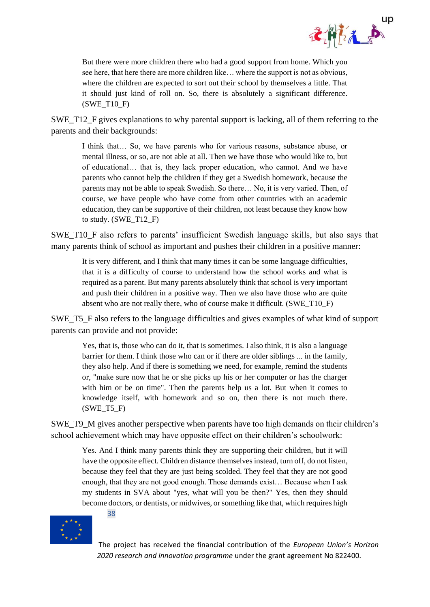

But there were more children there who had a good support from home. Which you see here, that here there are more children like… where the support is not as obvious, where the children are expected to sort out their school by themselves a little. That it should just kind of roll on. So, there is absolutely a significant difference. (SWE\_T10\_F)

SWE\_T12\_F gives explanations to why parental support is lacking, all of them referring to the parents and their backgrounds:

I think that… So, we have parents who for various reasons, substance abuse, or mental illness, or so, are not able at all. Then we have those who would like to, but of educational… that is, they lack proper education, who cannot. And we have parents who cannot help the children if they get a Swedish homework, because the parents may not be able to speak Swedish. So there… No, it is very varied. Then, of course, we have people who have come from other countries with an academic education, they can be supportive of their children, not least because they know how to study. (SWE\_T12\_F)

SWE\_T10\_F also refers to parents' insufficient Swedish language skills, but also says that many parents think of school as important and pushes their children in a positive manner:

It is very different, and I think that many times it can be some language difficulties, that it is a difficulty of course to understand how the school works and what is required as a parent. But many parents absolutely think that school is very important and push their children in a positive way. Then we also have those who are quite absent who are not really there, who of course make it difficult. (SWE\_T10\_F)

SWE\_T5\_F also refers to the language difficulties and gives examples of what kind of support parents can provide and not provide:

Yes, that is, those who can do it, that is sometimes. I also think, it is also a language barrier for them. I think those who can or if there are older siblings ... in the family, they also help. And if there is something we need, for example, remind the students or, "make sure now that he or she picks up his or her computer or has the charger with him or be on time". Then the parents help us a lot. But when it comes to knowledge itself, with homework and so on, then there is not much there.  $(SWE_T5_F)$ 

SWE\_T9\_M gives another perspective when parents have too high demands on their children's school achievement which may have opposite effect on their children's schoolwork:

Yes. And I think many parents think they are supporting their children, but it will have the opposite effect. Children distance themselves instead, turn off, do not listen, because they feel that they are just being scolded. They feel that they are not good enough, that they are not good enough. Those demands exist… Because when I ask my students in SVA about "yes, what will you be then?" Yes, then they should become doctors, or dentists, or midwives, or something like that, which requires high



38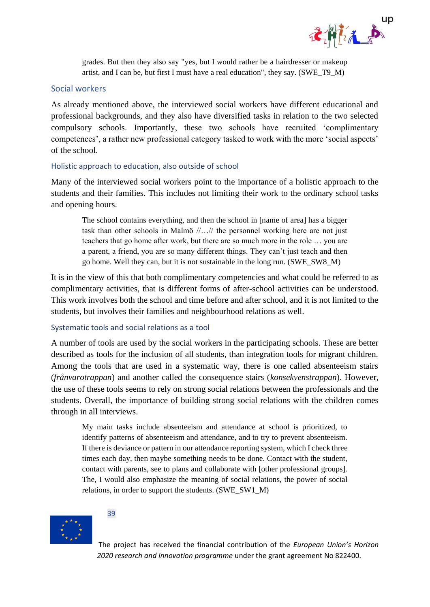

grades. But then they also say "yes, but I would rather be a hairdresser or makeup artist, and I can be, but first I must have a real education", they say. (SWE\_T9\_M)

### Social workers

As already mentioned above, the interviewed social workers have different educational and professional backgrounds, and they also have diversified tasks in relation to the two selected compulsory schools. Importantly, these two schools have recruited 'complimentary competences', a rather new professional category tasked to work with the more 'social aspects' of the school.

### Holistic approach to education, also outside of school

Many of the interviewed social workers point to the importance of a holistic approach to the students and their families. This includes not limiting their work to the ordinary school tasks and opening hours.

The school contains everything, and then the school in [name of area] has a bigger task than other schools in Malmö //…// the personnel working here are not just teachers that go home after work, but there are so much more in the role … you are a parent, a friend, you are so many different things. They can't just teach and then go home. Well they can, but it is not sustainable in the long run. (SWE\_SW8\_M)

It is in the view of this that both complimentary competencies and what could be referred to as complimentary activities, that is different forms of after-school activities can be understood. This work involves both the school and time before and after school, and it is not limited to the students, but involves their families and neighbourhood relations as well.

### Systematic tools and social relations as a tool

A number of tools are used by the social workers in the participating schools. These are better described as tools for the inclusion of all students, than integration tools for migrant children. Among the tools that are used in a systematic way, there is one called absenteeism stairs (*frånvarotrappan*) and another called the consequence stairs (*konsekvenstrappan*). However, the use of these tools seems to rely on strong social relations between the professionals and the students. Overall, the importance of building strong social relations with the children comes through in all interviews.

My main tasks include absenteeism and attendance at school is prioritized, to identify patterns of absenteeism and attendance, and to try to prevent absenteeism. If there is deviance or pattern in our attendance reporting system, which I check three times each day, then maybe something needs to be done. Contact with the student, contact with parents, see to plans and collaborate with [other professional groups]. The, I would also emphasize the meaning of social relations, the power of social relations, in order to support the students. (SWE\_SW1\_M)



39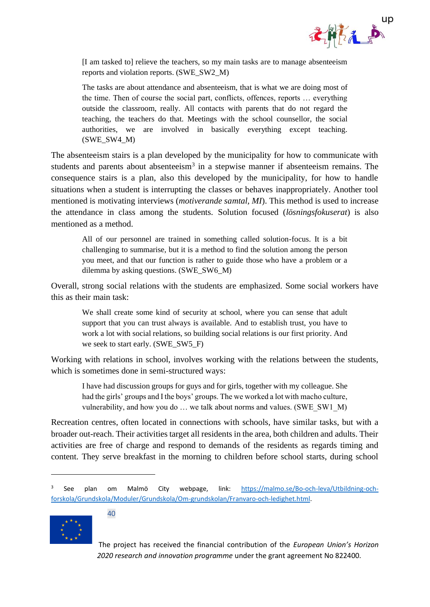

[I am tasked to] relieve the teachers, so my main tasks are to manage absenteeism reports and violation reports. (SWE\_SW2\_M)

The tasks are about attendance and absenteeism, that is what we are doing most of the time. Then of course the social part, conflicts, offences, reports … everything outside the classroom, really. All contacts with parents that do not regard the teaching, the teachers do that. Meetings with the school counsellor, the social authorities, we are involved in basically everything except teaching. (SWE\_SW4\_M)

The absenteeism stairs is a plan developed by the municipality for how to communicate with students and parents about absenteeism<sup>3</sup> in a stepwise manner if absenteeism remains. The consequence stairs is a plan, also this developed by the municipality, for how to handle situations when a student is interrupting the classes or behaves inappropriately. Another tool mentioned is motivating interviews (*motiverande samtal, MI*). This method is used to increase the attendance in class among the students. Solution focused (*lösningsfokuserat*) is also mentioned as a method.

All of our personnel are trained in something called solution-focus. It is a bit challenging to summarise, but it is a method to find the solution among the person you meet, and that our function is rather to guide those who have a problem or a dilemma by asking questions. (SWE\_SW6\_M)

Overall, strong social relations with the students are emphasized. Some social workers have this as their main task:

We shall create some kind of security at school, where you can sense that adult support that you can trust always is available. And to establish trust, you have to work a lot with social relations, so building social relations is our first priority. And we seek to start early. (SWE\_SW5\_F)

Working with relations in school, involves working with the relations between the students, which is sometimes done in semi-structured ways:

I have had discussion groups for guys and for girls, together with my colleague. She had the girls' groups and I the boys' groups. The we worked a lot with macho culture, vulnerability, and how you do … we talk about norms and values. (SWE\_SW1\_M)

Recreation centres, often located in connections with schools, have similar tasks, but with a broader out-reach. Their activities target all residents in the area, both children and adults. Their activities are free of charge and respond to demands of the residents as regards timing and content. They serve breakfast in the morning to children before school starts, during school

<sup>3</sup> See plan om Malmö City webpage, link: [https://malmo.se/Bo-och-leva/Utbildning-och](https://malmo.se/Bo-och-leva/Utbildning-och-forskola/Grundskola/Moduler/Grundskola/Om-grundskolan/Franvaro-och-ledighet.html)[forskola/Grundskola/Moduler/Grundskola/Om-grundskolan/Franvaro-och-ledighet.html.](https://malmo.se/Bo-och-leva/Utbildning-och-forskola/Grundskola/Moduler/Grundskola/Om-grundskolan/Franvaro-och-ledighet.html)



40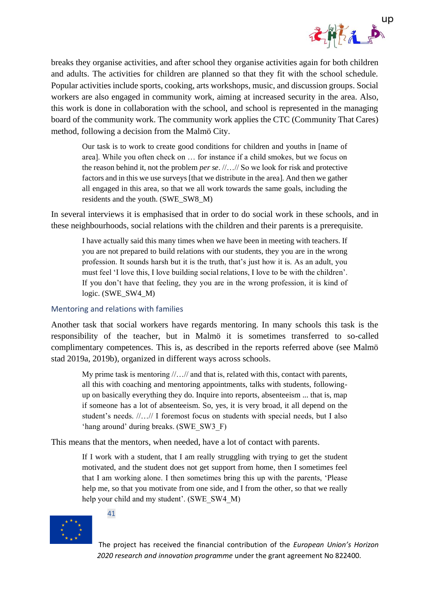

breaks they organise activities, and after school they organise activities again for both children and adults. The activities for children are planned so that they fit with the school schedule. Popular activities include sports, cooking, arts workshops, music, and discussion groups. Social workers are also engaged in community work, aiming at increased security in the area. Also, this work is done in collaboration with the school, and school is represented in the managing board of the community work. The community work applies the CTC (Community That Cares) method, following a decision from the Malmö City.

Our task is to work to create good conditions for children and youths in [name of area]. While you often check on … for instance if a child smokes, but we focus on the reason behind it, not the problem *per se*. //…// So we look for risk and protective factors and in this we use surveys [that we distribute in the area]. And then we gather all engaged in this area, so that we all work towards the same goals, including the residents and the youth. (SWE\_SW8\_M)

In several interviews it is emphasised that in order to do social work in these schools, and in these neighbourhoods, social relations with the children and their parents is a prerequisite.

I have actually said this many times when we have been in meeting with teachers. If you are not prepared to build relations with our students, they you are in the wrong profession. It sounds harsh but it is the truth, that's just how it is. As an adult, you must feel 'I love this, I love building social relations, I love to be with the children'. If you don't have that feeling, they you are in the wrong profession, it is kind of logic. (SWE\_SW4\_M)

## Mentoring and relations with families

Another task that social workers have regards mentoring. In many schools this task is the responsibility of the teacher, but in Malmö it is sometimes transferred to so-called complimentary competences. This is, as described in the reports referred above (see Malmö stad 2019a, 2019b), organized in different ways across schools.

My prime task is mentoring  $//...//$  and that is, related with this, contact with parents, all this with coaching and mentoring appointments, talks with students, followingup on basically everything they do. Inquire into reports, absenteeism ... that is, map if someone has a lot of absenteeism. So, yes, it is very broad, it all depend on the student's needs. //...// I foremost focus on students with special needs, but I also 'hang around' during breaks. (SWE\_SW3\_F)

This means that the mentors, when needed, have a lot of contact with parents.

If I work with a student, that I am really struggling with trying to get the student motivated, and the student does not get support from home, then I sometimes feel that I am working alone. I then sometimes bring this up with the parents, 'Please help me, so that you motivate from one side, and I from the other, so that we really help your child and my student'. (SWE\_SW4\_M)



41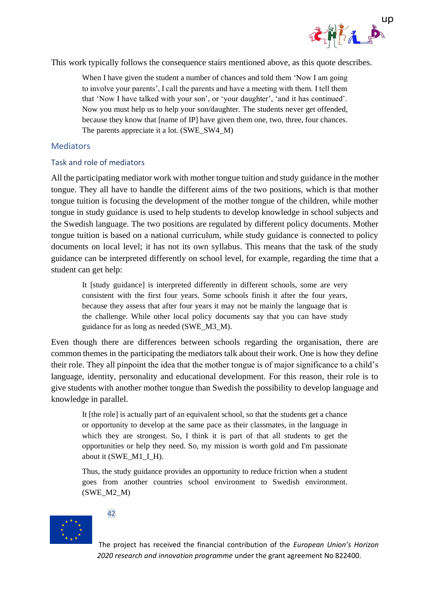

This work typically follows the consequence stairs mentioned above, as this quote describes.

When I have given the student a number of chances and told them 'Now I am going to involve your parents', I call the parents and have a meeting with them. I tell them that 'Now I have talked with your son', or 'your daughter', 'and it has continued'. Now you must help us to help your son/daughter. The students never get offended, because they know that [name of IP] have given them one, two, three, four chances. The parents appreciate it a lot. (SWE\_SW4\_M)

## Mediators

### Task and role of mediators

All the participating mediator work with mother tongue tuition and study guidance in the mother tongue. They all have to handle the different aims of the two positions, which is that mother tongue tuition is focusing the development of the mother tongue of the children, while mother tongue in study guidance is used to help students to develop knowledge in school subjects and the Swedish language. The two positions are regulated by different policy documents. Mother tongue tuition is based on a national curriculum, while study guidance is connected to policy documents on local level; it has not its own syllabus. This means that the task of the study guidance can be interpreted differently on school level, for example, regarding the time that a student can get help:

It [study guidance] is interpreted differently in different schools, some are very consistent with the first four years. Some schools finish it after the four years, because they assess that after four years it may not be mainly the language that is the challenge. While other local policy documents say that you can have study guidance for as long as needed (SWE\_M3\_M).

Even though there are differences between schools regarding the organisation, there are common themes in the participating the mediators talk about their work. One is how they define their role. They all pinpoint the idea that the mother tongue is of major significance to a child's language, identity, personality and educational development. For this reason, their role is to give students with another mother tongue than Swedish the possibility to develop language and knowledge in parallel.

It [the role] is actually part of an equivalent school, so that the students get a chance or opportunity to develop at the same pace as their classmates, in the language in which they are strongest. So, I think it is part of that all students to get the opportunities or help they need. So, my mission is worth gold and I'm passionate about it (SWE\_M1\_I\_H).

Thus, the study guidance provides an opportunity to reduce friction when a student goes from another countries school environment to Swedish environment. (SWE\_M2\_M)



42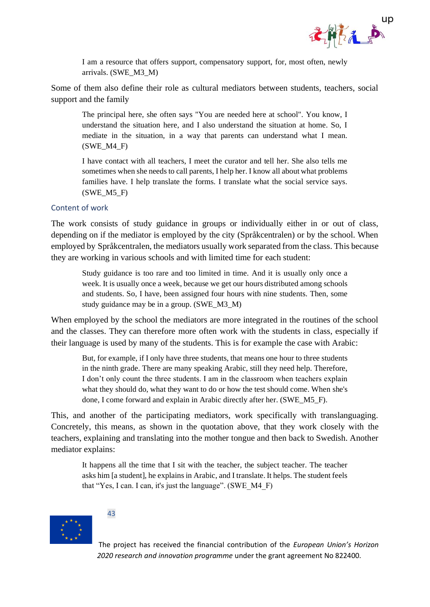

I am a resource that offers support, compensatory support, for, most often, newly arrivals. (SWE\_M3\_M)

Some of them also define their role as cultural mediators between students, teachers, social support and the family

The principal here, she often says "You are needed here at school". You know, I understand the situation here, and I also understand the situation at home. So, I mediate in the situation, in a way that parents can understand what I mean.  $(SWE_M4_F)$ 

I have contact with all teachers, I meet the curator and tell her. She also tells me sometimes when she needs to call parents, I help her. I know all about what problems families have. I help translate the forms. I translate what the social service says.  $(SWE_M5_F)$ 

### Content of work

The work consists of study guidance in groups or individually either in or out of class, depending on if the mediator is employed by the city (Språkcentralen) or by the school. When employed by Språkcentralen, the mediators usually work separated from the class. This because they are working in various schools and with limited time for each student:

Study guidance is too rare and too limited in time. And it is usually only once a week. It is usually once a week, because we get our hours distributed among schools and students. So, I have, been assigned four hours with nine students. Then, some study guidance may be in a group. (SWE\_M3\_M)

When employed by the school the mediators are more integrated in the routines of the school and the classes. They can therefore more often work with the students in class, especially if their language is used by many of the students. This is for example the case with Arabic:

But, for example, if I only have three students, that means one hour to three students in the ninth grade. There are many speaking Arabic, still they need help. Therefore, I don't only count the three students. I am in the classroom when teachers explain what they should do, what they want to do or how the test should come. When she's done, I come forward and explain in Arabic directly after her. (SWE\_M5\_F).

This, and another of the participating mediators, work specifically with translanguaging. Concretely, this means, as shown in the quotation above, that they work closely with the teachers, explaining and translating into the mother tongue and then back to Swedish. Another mediator explains:

It happens all the time that I sit with the teacher, the subject teacher. The teacher asks him [a student], he explains in Arabic, and I translate. It helps. The student feels that "Yes, I can. I can, it's just the language". (SWE\_M4\_F)



43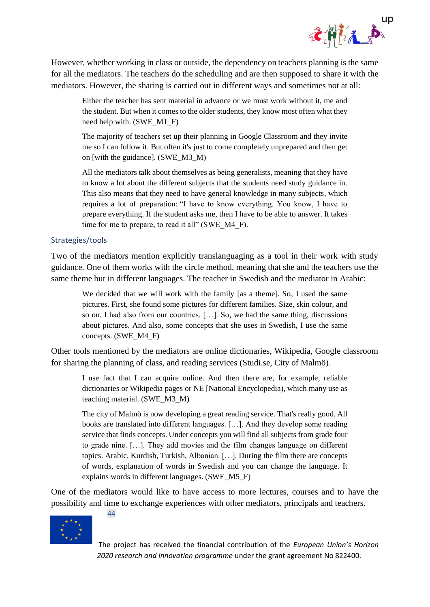

However, whether working in class or outside, the dependency on teachers planning is the same for all the mediators. The teachers do the scheduling and are then supposed to share it with the mediators. However, the sharing is carried out in different ways and sometimes not at all:

Either the teacher has sent material in advance or we must work without it, me and the student. But when it comes to the older students, they know most often what they need help with. (SWE\_M1\_F)

The majority of teachers set up their planning in Google Classroom and they invite me so I can follow it. But often it's just to come completely unprepared and then get on [with the guidance]. (SWE\_M3\_M)

All the mediators talk about themselves as being generalists, meaning that they have to know a lot about the different subjects that the students need study guidance in. This also means that they need to have general knowledge in many subjects, which requires a lot of preparation: "I have to know everything. You know, I have to prepare everything. If the student asks me, then I have to be able to answer. It takes time for me to prepare, to read it all" (SWE\_M4\_F).

### Strategies/tools

Two of the mediators mention explicitly translanguaging as a tool in their work with study guidance. One of them works with the circle method, meaning that she and the teachers use the same theme but in different languages. The teacher in Swedish and the mediator in Arabic:

We decided that we will work with the family [as a theme]. So, I used the same pictures. First, she found some pictures for different families. Size, skin colour, and so on. I had also from our countries. […]. So, we had the same thing, discussions about pictures. And also, some concepts that she uses in Swedish, I use the same concepts. (SWE\_M4\_F)

Other tools mentioned by the mediators are online dictionaries, Wikipedia, Google classroom for sharing the planning of class, and reading services (Studi.se, City of Malmö).

I use fact that I can acquire online. And then there are, for example, reliable dictionaries or Wikipedia pages or NE [National Encyclopedia), which many use as teaching material. (SWE\_M3\_M)

The city of Malmö is now developing a great reading service. That's really good. All books are translated into different languages. […]. And they develop some reading service that finds concepts. Under concepts you will find all subjects from grade four to grade nine. […]. They add movies and the film changes language on different topics. Arabic, Kurdish, Turkish, Albanian. […]. During the film there are concepts of words, explanation of words in Swedish and you can change the language. It explains words in different languages. (SWE\_M5\_F)

One of the mediators would like to have access to more lectures, courses and to have the possibility and time to exchange experiences with other mediators, principals and teachers.



44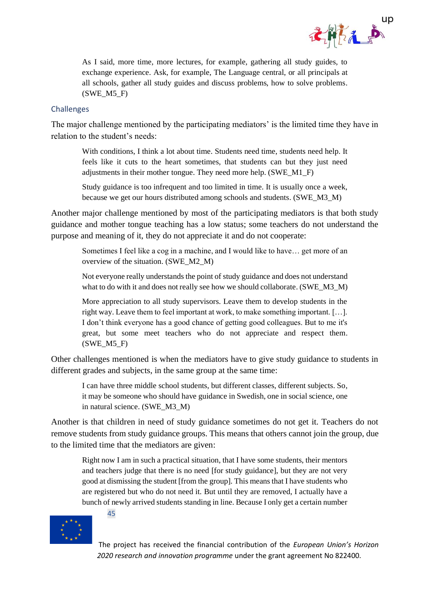

As I said, more time, more lectures, for example, gathering all study guides, to exchange experience. Ask, for example, The Language central, or all principals at all schools, gather all study guides and discuss problems, how to solve problems.  $(SWE$   $M5$   $F)$ 

## **Challenges**

The major challenge mentioned by the participating mediators' is the limited time they have in relation to the student's needs:

With conditions, I think a lot about time. Students need time, students need help. It feels like it cuts to the heart sometimes, that students can but they just need adjustments in their mother tongue. They need more help. (SWE\_M1\_F)

Study guidance is too infrequent and too limited in time. It is usually once a week, because we get our hours distributed among schools and students. (SWE\_M3\_M)

Another major challenge mentioned by most of the participating mediators is that both study guidance and mother tongue teaching has a low status; some teachers do not understand the purpose and meaning of it, they do not appreciate it and do not cooperate:

Sometimes I feel like a cog in a machine, and I would like to have… get more of an overview of the situation. (SWE\_M2\_M)

Not everyone really understands the point of study guidance and does not understand what to do with it and does not really see how we should collaborate. (SWE\_M3\_M)

More appreciation to all study supervisors. Leave them to develop students in the right way. Leave them to feel important at work, to make something important. […]. I don't think everyone has a good chance of getting good colleagues. But to me it's great, but some meet teachers who do not appreciate and respect them.  $(SWE$  M5 $F)$ 

Other challenges mentioned is when the mediators have to give study guidance to students in different grades and subjects, in the same group at the same time:

I can have three middle school students, but different classes, different subjects. So, it may be someone who should have guidance in Swedish, one in social science, one in natural science. (SWE\_M3\_M)

Another is that children in need of study guidance sometimes do not get it. Teachers do not remove students from study guidance groups. This means that others cannot join the group, due to the limited time that the mediators are given:

Right now I am in such a practical situation, that I have some students, their mentors and teachers judge that there is no need [for study guidance], but they are not very good at dismissing the student [from the group]. This means that I have students who are registered but who do not need it. But until they are removed, I actually have a bunch of newly arrived students standing in line. Because I only get a certain number



45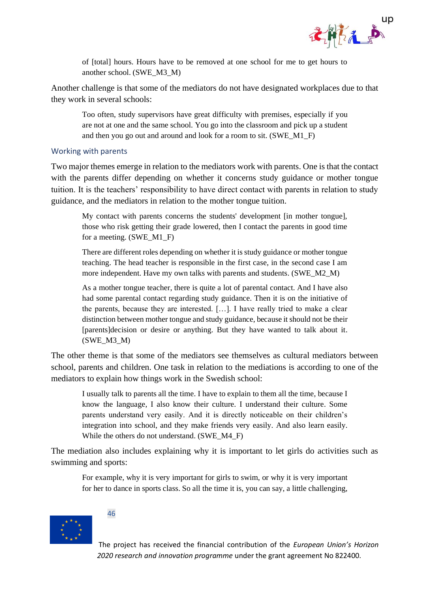

of [total] hours. Hours have to be removed at one school for me to get hours to another school. (SWE\_M3\_M)

Another challenge is that some of the mediators do not have designated workplaces due to that they work in several schools:

Too often, study supervisors have great difficulty with premises, especially if you are not at one and the same school. You go into the classroom and pick up a student and then you go out and around and look for a room to sit. (SWE\_M1\_F)

#### Working with parents

Two major themes emerge in relation to the mediators work with parents. One is that the contact with the parents differ depending on whether it concerns study guidance or mother tongue tuition. It is the teachers' responsibility to have direct contact with parents in relation to study guidance, and the mediators in relation to the mother tongue tuition.

My contact with parents concerns the students' development [in mother tongue], those who risk getting their grade lowered, then I contact the parents in good time for a meeting. (SWE\_M1\_F)

There are different roles depending on whether it is study guidance or mother tongue teaching. The head teacher is responsible in the first case, in the second case I am more independent. Have my own talks with parents and students. (SWE\_M2\_M)

As a mother tongue teacher, there is quite a lot of parental contact. And I have also had some parental contact regarding study guidance. Then it is on the initiative of the parents, because they are interested. […]. I have really tried to make a clear distinction between mother tongue and study guidance, because it should not be their [parents]decision or desire or anything. But they have wanted to talk about it. (SWE\_M3\_M)

The other theme is that some of the mediators see themselves as cultural mediators between school, parents and children. One task in relation to the mediations is according to one of the mediators to explain how things work in the Swedish school:

I usually talk to parents all the time. I have to explain to them all the time, because I know the language, I also know their culture. I understand their culture. Some parents understand very easily. And it is directly noticeable on their children's integration into school, and they make friends very easily. And also learn easily. While the others do not understand. (SWE\_M4\_F)

The mediation also includes explaining why it is important to let girls do activities such as swimming and sports:

For example, why it is very important for girls to swim, or why it is very important for her to dance in sports class. So all the time it is, you can say, a little challenging,



46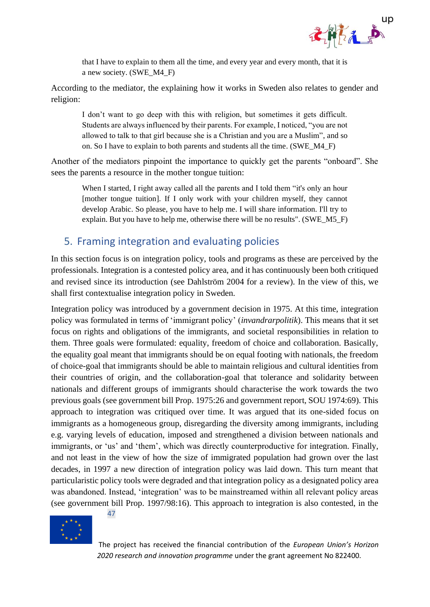

that I have to explain to them all the time, and every year and every month, that it is a new society. (SWE\_M4\_F)

According to the mediator, the explaining how it works in Sweden also relates to gender and religion:

I don't want to go deep with this with religion, but sometimes it gets difficult. Students are always influenced by their parents. For example, I noticed, "you are not allowed to talk to that girl because she is a Christian and you are a Muslim", and so on. So I have to explain to both parents and students all the time. (SWE\_M4\_F)

Another of the mediators pinpoint the importance to quickly get the parents "onboard". She sees the parents a resource in the mother tongue tuition:

When I started, I right away called all the parents and I told them "it's only an hour [mother tongue tuition]. If I only work with your children myself, they cannot develop Arabic. So please, you have to help me. I will share information. I'll try to explain. But you have to help me, otherwise there will be no results". (SWE\_M5\_F)

# 5. Framing integration and evaluating policies

In this section focus is on integration policy, tools and programs as these are perceived by the professionals. Integration is a contested policy area, and it has continuously been both critiqued and revised since its introduction (see Dahlström 2004 for a review). In the view of this, we shall first contextualise integration policy in Sweden.

Integration policy was introduced by a government decision in 1975. At this time, integration policy was formulated in terms of 'immigrant policy' (*invandrarpolitik*). This means that it set focus on rights and obligations of the immigrants, and societal responsibilities in relation to them. Three goals were formulated: equality, freedom of choice and collaboration. Basically, the equality goal meant that immigrants should be on equal footing with nationals, the freedom of choice-goal that immigrants should be able to maintain religious and cultural identities from their countries of origin, and the collaboration-goal that tolerance and solidarity between nationals and different groups of immigrants should characterise the work towards the two previous goals (see government bill Prop. 1975:26 and government report, SOU 1974:69). This approach to integration was critiqued over time. It was argued that its one-sided focus on immigrants as a homogeneous group, disregarding the diversity among immigrants, including e.g. varying levels of education, imposed and strengthened a division between nationals and immigrants, or 'us' and 'them', which was directly counterproductive for integration. Finally, and not least in the view of how the size of immigrated population had grown over the last decades, in 1997 a new direction of integration policy was laid down. This turn meant that particularistic policy tools were degraded and that integration policy as a designated policy area was abandoned. Instead, 'integration' was to be mainstreamed within all relevant policy areas (see government bill Prop. 1997/98:16). This approach to integration is also contested, in the



47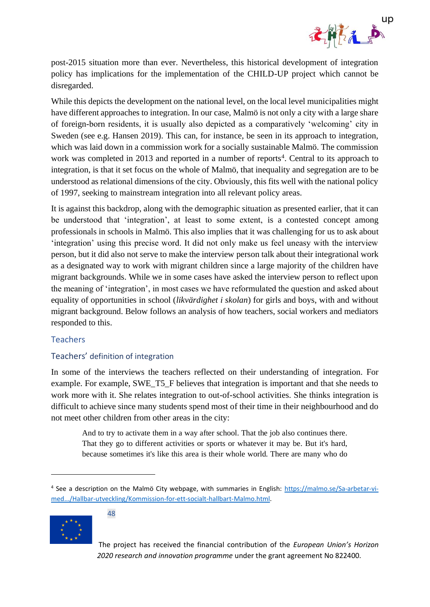

post-2015 situation more than ever. Nevertheless, this historical development of integration policy has implications for the implementation of the CHILD-UP project which cannot be disregarded.

While this depicts the development on the national level, on the local level municipalities might have different approaches to integration. In our case, Malmö is not only a city with a large share of foreign-born residents, it is usually also depicted as a comparatively 'welcoming' city in Sweden (see e.g. Hansen 2019). This can, for instance, be seen in its approach to integration, which was laid down in a commission work for a socially sustainable Malmö. The commission work was completed in 2013 and reported in a number of reports<sup>4</sup>. Central to its approach to integration, is that it set focus on the whole of Malmö, that inequality and segregation are to be understood as relational dimensions of the city. Obviously, this fits well with the national policy of 1997, seeking to mainstream integration into all relevant policy areas.

It is against this backdrop, along with the demographic situation as presented earlier, that it can be understood that 'integration', at least to some extent, is a contested concept among professionals in schools in Malmö. This also implies that it was challenging for us to ask about 'integration' using this precise word. It did not only make us feel uneasy with the interview person, but it did also not serve to make the interview person talk about their integrational work as a designated way to work with migrant children since a large majority of the children have migrant backgrounds. While we in some cases have asked the interview person to reflect upon the meaning of 'integration', in most cases we have reformulated the question and asked about equality of opportunities in school (*likvärdighet i skolan*) for girls and boys, with and without migrant background. Below follows an analysis of how teachers, social workers and mediators responded to this.

## Teachers

## Teachers' definition of integration

48

In some of the interviews the teachers reflected on their understanding of integration. For example. For example, SWE\_T5\_F believes that integration is important and that she needs to work more with it. She relates integration to out-of-school activities. She thinks integration is difficult to achieve since many students spend most of their time in their neighbourhood and do not meet other children from other areas in the city:

And to try to activate them in a way after school. That the job also continues there. That they go to different activities or sports or whatever it may be. But it's hard, because sometimes it's like this area is their whole world. There are many who do

<sup>4</sup> See a description on the Malmö City webpage, with summaries in English: [https://malmo.se/Sa-arbetar-vi](https://malmo.se/Sa-arbetar-vi-med.../Hallbar-utveckling/Kommission-for-ett-socialt-hallbart-Malmo.html)[med.../Hallbar-utveckling/Kommission-for-ett-socialt-hallbart-Malmo.html.](https://malmo.se/Sa-arbetar-vi-med.../Hallbar-utveckling/Kommission-for-ett-socialt-hallbart-Malmo.html)

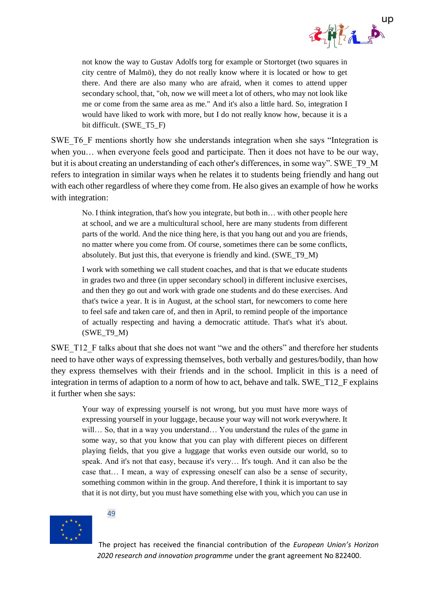

not know the way to Gustav Adolfs torg for example or Stortorget (two squares in city centre of Malmö), they do not really know where it is located or how to get there. And there are also many who are afraid, when it comes to attend upper secondary school, that, "oh, now we will meet a lot of others, who may not look like me or come from the same area as me." And it's also a little hard. So, integration I would have liked to work with more, but I do not really know how, because it is a bit difficult. (SWE\_T5\_F)

SWE T6 F mentions shortly how she understands integration when she says "Integration is when you… when everyone feels good and participate. Then it does not have to be our way, but it is about creating an understanding of each other's differences, in some way". SWE\_T9\_M refers to integration in similar ways when he relates it to students being friendly and hang out with each other regardless of where they come from. He also gives an example of how he works with integration:

No. I think integration, that's how you integrate, but both in… with other people here at school, and we are a multicultural school, here are many students from different parts of the world. And the nice thing here, is that you hang out and you are friends, no matter where you come from. Of course, sometimes there can be some conflicts, absolutely. But just this, that everyone is friendly and kind. (SWE\_T9\_M)

I work with something we call student coaches, and that is that we educate students in grades two and three (in upper secondary school) in different inclusive exercises, and then they go out and work with grade one students and do these exercises. And that's twice a year. It is in August, at the school start, for newcomers to come here to feel safe and taken care of, and then in April, to remind people of the importance of actually respecting and having a democratic attitude. That's what it's about. (SWE\_T9\_M)

SWE T12 F talks about that she does not want "we and the others" and therefore her students need to have other ways of expressing themselves, both verbally and gestures/bodily, than how they express themselves with their friends and in the school. Implicit in this is a need of integration in terms of adaption to a norm of how to act, behave and talk. SWE\_T12\_F explains it further when she says:

Your way of expressing yourself is not wrong, but you must have more ways of expressing yourself in your luggage, because your way will not work everywhere. It will... So, that in a way you understand... You understand the rules of the game in some way, so that you know that you can play with different pieces on different playing fields, that you give a luggage that works even outside our world, so to speak. And it's not that easy, because it's very… It's tough. And it can also be the case that… I mean, a way of expressing oneself can also be a sense of security, something common within in the group. And therefore, I think it is important to say that it is not dirty, but you must have something else with you, which you can use in



49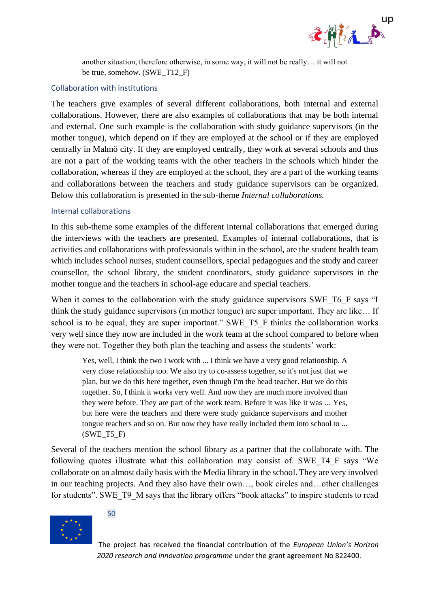

another situation, therefore otherwise, in some way, it will not be really… it will not be true, somehow. (SWE\_T12\_F)

### Collaboration with institutions

The teachers give examples of several different collaborations, both internal and external collaborations. However, there are also examples of collaborations that may be both internal and external. One such example is the collaboration with study guidance supervisors (in the mother tongue), which depend on if they are employed at the school or if they are employed centrally in Malmö city. If they are employed centrally, they work at several schools and thus are not a part of the working teams with the other teachers in the schools which hinder the collaboration, whereas if they are employed at the school, they are a part of the working teams and collaborations between the teachers and study guidance supervisors can be organized. Below this collaboration is presented in the sub-theme *Internal collaborations.*

### Internal collaborations

In this sub-theme some examples of the different internal collaborations that emerged during the interviews with the teachers are presented. Examples of internal collaborations, that is activities and collaborations with professionals within in the school, are the student health team which includes school nurses, student counsellors, special pedagogues and the study and career counsellor, the school library, the student coordinators, study guidance supervisors in the mother tongue and the teachers in school-age educare and special teachers.

When it comes to the collaboration with the study guidance supervisors SWE T6 F says "I think the study guidance supervisors (in mother tongue) are super important. They are like… If school is to be equal, they are super important." SWE T5 F thinks the collaboration works very well since they now are included in the work team at the school compared to before when they were not. Together they both plan the teaching and assess the students' work:

Yes, well, I think the two I work with ... I think we have a very good relationship. A very close relationship too. We also try to co-assess together, so it's not just that we plan, but we do this here together, even though I'm the head teacher. But we do this together. So, I think it works very well. And now they are much more involved than they were before. They are part of the work team. Before it was like it was ... Yes, but here were the teachers and there were study guidance supervisors and mother tongue teachers and so on. But now they have really included them into school to ...  $(SWE_T5_F)$ 

Several of the teachers mention the school library as a partner that the collaborate with. The following quotes illustrate what this collaboration may consist of. SWE\_T4\_F says "We collaborate on an almost daily basis with the Media library in the school. They are very involved in our teaching projects. And they also have their own…, book circles and…other challenges for students". SWE\_T9\_M says that the library offers "book attacks" to inspire students to read



50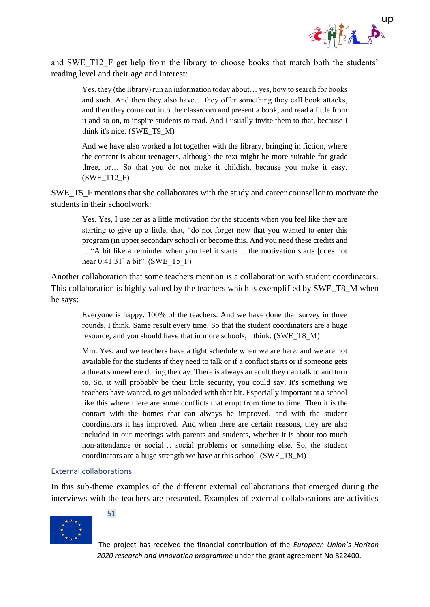

and SWE T12 F get help from the library to choose books that match both the students' reading level and their age and interest:

Yes, they (the library) run an information today about… yes, how to search for books and such. And then they also have… they offer something they call book attacks, and then they come out into the classroom and present a book, and read a little from it and so on, to inspire students to read. And I usually invite them to that, because I think it's nice. (SWE\_T9\_M)

And we have also worked a lot together with the library, bringing in fiction, where the content is about teenagers, although the text might be more suitable for grade three, or… So that you do not make it childish, because you make it easy. (SWE\_T12\_F)

SWE\_T5\_F mentions that she collaborates with the study and career counsellor to motivate the students in their schoolwork:

Yes. Yes, I use her as a little motivation for the students when you feel like they are starting to give up a little, that, "do not forget now that you wanted to enter this program (in upper secondary school) or become this. And you need these credits and ... "A bit like a reminder when you feel it starts ... the motivation starts [does not hear 0:41:31] a bit". (SWE T5 F)

Another collaboration that some teachers mention is a collaboration with student coordinators. This collaboration is highly valued by the teachers which is exemplified by SWE\_T8\_M when he says:

Everyone is happy. 100% of the teachers. And we have done that survey in three rounds, I think. Same result every time. So that the student coordinators are a huge resource, and you should have that in more schools, I think. (SWE\_T8\_M)

Mm. Yes, and we teachers have a tight schedule when we are here, and we are not available for the students if they need to talk or if a conflict starts or if someone gets a threat somewhere during the day. There is always an adult they can talk to and turn to. So, it will probably be their little security, you could say. It's something we teachers have wanted, to get unloaded with that bit. Especially important at a school like this where there are some conflicts that erupt from time to time. Then it is the contact with the homes that can always be improved, and with the student coordinators it has improved. And when there are certain reasons, they are also included in our meetings with parents and students, whether it is about too much non-attendance or social… social problems or something else. So, the student coordinators are a huge strength we have at this school. (SWE\_T8\_M)

#### External collaborations

51

In this sub-theme examples of the different external collaborations that emerged during the interviews with the teachers are presented. Examples of external collaborations are activities

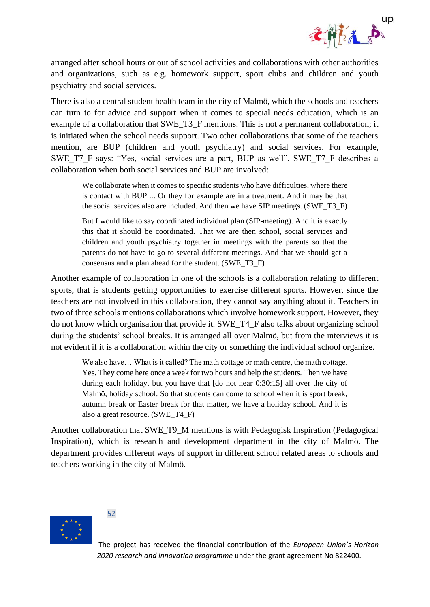

arranged after school hours or out of school activities and collaborations with other authorities and organizations, such as e.g. homework support, sport clubs and children and youth psychiatry and social services.

There is also a central student health team in the city of Malmö, which the schools and teachers can turn to for advice and support when it comes to special needs education, which is an example of a collaboration that SWE T3. F mentions. This is not a permanent collaboration; it is initiated when the school needs support. Two other collaborations that some of the teachers mention, are BUP (children and youth psychiatry) and social services. For example, SWE T7 F says: "Yes, social services are a part, BUP as well". SWE T7 F describes a collaboration when both social services and BUP are involved:

We collaborate when it comes to specific students who have difficulties, where there is contact with BUP ... Or they for example are in a treatment. And it may be that the social services also are included. And then we have SIP meetings. (SWE\_T3\_F)

But I would like to say coordinated individual plan (SIP-meeting). And it is exactly this that it should be coordinated. That we are then school, social services and children and youth psychiatry together in meetings with the parents so that the parents do not have to go to several different meetings. And that we should get a consensus and a plan ahead for the student. (SWE\_T3\_F)

Another example of collaboration in one of the schools is a collaboration relating to different sports, that is students getting opportunities to exercise different sports. However, since the teachers are not involved in this collaboration, they cannot say anything about it. Teachers in two of three schools mentions collaborations which involve homework support. However, they do not know which organisation that provide it. SWE\_T4\_F also talks about organizing school during the students' school breaks. It is arranged all over Malmö, but from the interviews it is not evident if it is a collaboration within the city or something the individual school organize.

We also have... What is it called? The math cottage or math centre, the math cottage. Yes. They come here once a week for two hours and help the students. Then we have during each holiday, but you have that [do not hear 0:30:15] all over the city of Malmö, holiday school. So that students can come to school when it is sport break, autumn break or Easter break for that matter, we have a holiday school. And it is also a great resource. (SWE\_T4\_F)

Another collaboration that SWE\_T9\_M mentions is with Pedagogisk Inspiration (Pedagogical Inspiration), which is research and development department in the city of Malmö. The department provides different ways of support in different school related areas to schools and teachers working in the city of Malmö.



52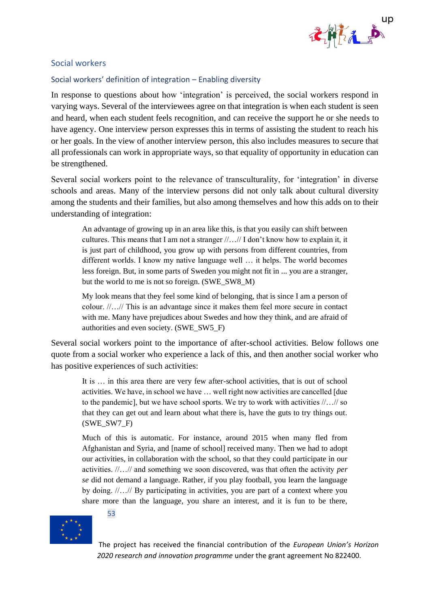

## Social workers

### Social workers' definition of integration – Enabling diversity

In response to questions about how 'integration' is perceived, the social workers respond in varying ways. Several of the interviewees agree on that integration is when each student is seen and heard, when each student feels recognition, and can receive the support he or she needs to have agency. One interview person expresses this in terms of assisting the student to reach his or her goals. In the view of another interview person, this also includes measures to secure that all professionals can work in appropriate ways, so that equality of opportunity in education can be strengthened.

Several social workers point to the relevance of transculturality, for 'integration' in diverse schools and areas. Many of the interview persons did not only talk about cultural diversity among the students and their families, but also among themselves and how this adds on to their understanding of integration:

An advantage of growing up in an area like this, is that you easily can shift between cultures. This means that I am not a stranger  $//...//$  I don't know how to explain it, it is just part of childhood, you grow up with persons from different countries, from different worlds. I know my native language well … it helps. The world becomes less foreign. But, in some parts of Sweden you might not fit in ... you are a stranger, but the world to me is not so foreign. (SWE\_SW8\_M)

My look means that they feel some kind of belonging, that is since I am a person of colour. //…// This is an advantage since it makes them feel more secure in contact with me. Many have prejudices about Swedes and how they think, and are afraid of authorities and even society. (SWE\_SW5\_F)

Several social workers point to the importance of after-school activities. Below follows one quote from a social worker who experience a lack of this, and then another social worker who has positive experiences of such activities:

It is … in this area there are very few after-school activities, that is out of school activities. We have, in school we have … well right now activities are cancelled [due to the pandemic], but we have school sports. We try to work with activities //…// so that they can get out and learn about what there is, have the guts to try things out. (SWE\_SW7\_F)

Much of this is automatic. For instance, around 2015 when many fled from Afghanistan and Syria, and [name of school] received many. Then we had to adopt our activities, in collaboration with the school, so that they could participate in our activities. //…// and something we soon discovered, was that often the activity *per se* did not demand a language. Rather, if you play football, you learn the language by doing. //…// By participating in activities, you are part of a context where you share more than the language, you share an interest, and it is fun to be there,



53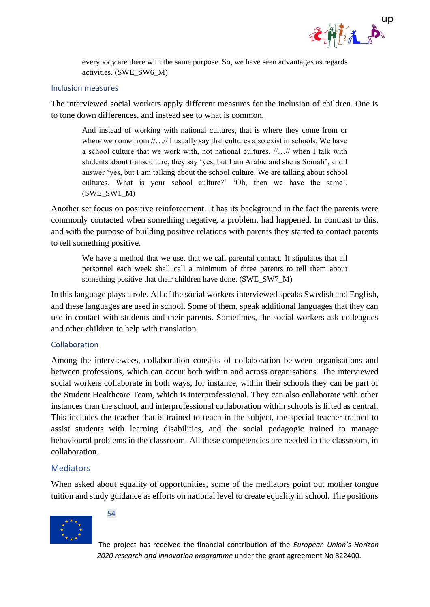

everybody are there with the same purpose. So, we have seen advantages as regards activities. (SWE\_SW6\_M)

#### Inclusion measures

The interviewed social workers apply different measures for the inclusion of children. One is to tone down differences, and instead see to what is common.

And instead of working with national cultures, that is where they come from or where we come from  $//...//$  I usually say that cultures also exist in schools. We have a school culture that we work with, not national cultures. //…// when I talk with students about transculture, they say 'yes, but I am Arabic and she is Somali', and I answer 'yes, but I am talking about the school culture. We are talking about school cultures. What is your school culture?' 'Oh, then we have the same'. (SWE\_SW1\_M)

Another set focus on positive reinforcement. It has its background in the fact the parents were commonly contacted when something negative, a problem, had happened. In contrast to this, and with the purpose of building positive relations with parents they started to contact parents to tell something positive.

We have a method that we use, that we call parental contact. It stipulates that all personnel each week shall call a minimum of three parents to tell them about something positive that their children have done. (SWE\_SW7\_M)

In this language plays a role. All of the social workers interviewed speaks Swedish and English, and these languages are used in school. Some of them, speak additional languages that they can use in contact with students and their parents. Sometimes, the social workers ask colleagues and other children to help with translation.

# Collaboration

Among the interviewees, collaboration consists of collaboration between organisations and between professions, which can occur both within and across organisations. The interviewed social workers collaborate in both ways, for instance, within their schools they can be part of the Student Healthcare Team, which is interprofessional. They can also collaborate with other instances than the school, and interprofessional collaboration within schools is lifted as central. This includes the teacher that is trained to teach in the subject, the special teacher trained to assist students with learning disabilities, and the social pedagogic trained to manage behavioural problems in the classroom. All these competencies are needed in the classroom, in collaboration.

#### **Mediators**

When asked about equality of opportunities, some of the mediators point out mother tongue tuition and study guidance as efforts on national level to create equality in school. The positions



54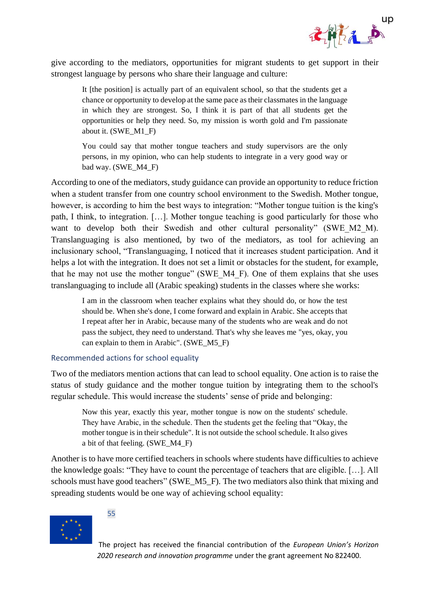

give according to the mediators, opportunities for migrant students to get support in their strongest language by persons who share their language and culture:

It [the position] is actually part of an equivalent school, so that the students get a chance or opportunity to develop at the same pace as their classmates in the language in which they are strongest. So, I think it is part of that all students get the opportunities or help they need. So, my mission is worth gold and I'm passionate about it. (SWE\_M1\_F)

You could say that mother tongue teachers and study supervisors are the only persons, in my opinion, who can help students to integrate in a very good way or bad way. (SWE\_M4\_F)

According to one of the mediators, study guidance can provide an opportunity to reduce friction when a student transfer from one country school environment to the Swedish. Mother tongue, however, is according to him the best ways to integration: "Mother tongue tuition is the king's path, I think, to integration. […]. Mother tongue teaching is good particularly for those who want to develop both their Swedish and other cultural personality" (SWE M2 M). Translanguaging is also mentioned, by two of the mediators, as tool for achieving an inclusionary school, "Translanguaging, I noticed that it increases student participation. And it helps a lot with the integration. It does not set a limit or obstacles for the student, for example, that he may not use the mother tongue" (SWE\_M4\_F). One of them explains that she uses translanguaging to include all (Arabic speaking) students in the classes where she works:

I am in the classroom when teacher explains what they should do, or how the test should be. When she's done, I come forward and explain in Arabic. She accepts that I repeat after her in Arabic, because many of the students who are weak and do not pass the subject, they need to understand. That's why she leaves me "yes, okay, you can explain to them in Arabic". (SWE\_M5\_F)

## Recommended actions for school equality

Two of the mediators mention actions that can lead to school equality. One action is to raise the status of study guidance and the mother tongue tuition by integrating them to the school's regular schedule. This would increase the students' sense of pride and belonging:

Now this year, exactly this year, mother tongue is now on the students' schedule. They have Arabic, in the schedule. Then the students get the feeling that "Okay, the mother tongue is in their schedule". It is not outside the school schedule. It also gives a bit of that feeling. (SWE\_M4\_F)

Another is to have more certified teachers in schools where students have difficulties to achieve the knowledge goals: "They have to count the percentage of teachers that are eligible. […]. All schools must have good teachers" (SWE\_M5\_F). The two mediators also think that mixing and spreading students would be one way of achieving school equality:



55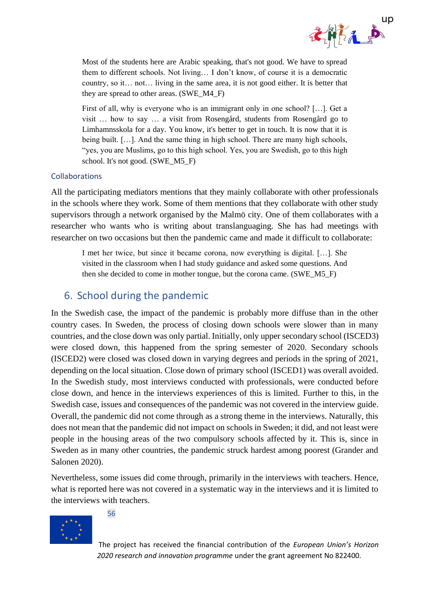

Most of the students here are Arabic speaking, that's not good. We have to spread them to different schools. Not living… I don't know, of course it is a democratic country, so it… not… living in the same area, it is not good either. It is better that they are spread to other areas. (SWE\_M4\_F)

First of all, why is everyone who is an immigrant only in one school? […]. Get a visit … how to say … a visit from Rosengård, students from Rosengård go to Limhamnsskola for a day. You know, it's better to get in touch. It is now that it is being built. [...]. And the same thing in high school. There are many high schools, "yes, you are Muslims, go to this high school. Yes, you are Swedish, go to this high school. It's not good. (SWE\_M5\_F)

### Collaborations

All the participating mediators mentions that they mainly collaborate with other professionals in the schools where they work. Some of them mentions that they collaborate with other study supervisors through a network organised by the Malmö city. One of them collaborates with a researcher who wants who is writing about translanguaging. She has had meetings with researcher on two occasions but then the pandemic came and made it difficult to collaborate:

I met her twice, but since it became corona, now everything is digital. […]. She visited in the classroom when I had study guidance and asked some questions. And then she decided to come in mother tongue, but the corona came. (SWE\_M5\_F)

# 6. School during the pandemic

In the Swedish case, the impact of the pandemic is probably more diffuse than in the other country cases. In Sweden, the process of closing down schools were slower than in many countries, and the close down was only partial. Initially, only upper secondary school (ISCED3) were closed down, this happened from the spring semester of 2020. Secondary schools (ISCED2) were closed was closed down in varying degrees and periods in the spring of 2021, depending on the local situation. Close down of primary school (ISCED1) was overall avoided. In the Swedish study, most interviews conducted with professionals, were conducted before close down, and hence in the interviews experiences of this is limited. Further to this, in the Swedish case, issues and consequences of the pandemic was not covered in the interview guide. Overall, the pandemic did not come through as a strong theme in the interviews. Naturally, this does not mean that the pandemic did not impact on schools in Sweden; it did, and not least were people in the housing areas of the two compulsory schools affected by it. This is, since in Sweden as in many other countries, the pandemic struck hardest among poorest (Grander and Salonen 2020).

Nevertheless, some issues did come through, primarily in the interviews with teachers. Hence, what is reported here was not covered in a systematic way in the interviews and it is limited to the interviews with teachers.



56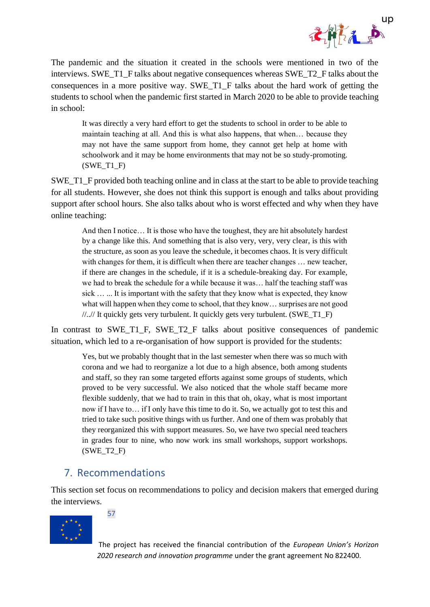

The pandemic and the situation it created in the schools were mentioned in two of the interviews. SWE\_T1\_F talks about negative consequences whereas SWE\_T2\_F talks about the consequences in a more positive way. SWE\_T1\_F talks about the hard work of getting the students to school when the pandemic first started in March 2020 to be able to provide teaching in school:

It was directly a very hard effort to get the students to school in order to be able to maintain teaching at all. And this is what also happens, that when… because they may not have the same support from home, they cannot get help at home with schoolwork and it may be home environments that may not be so study-promoting. (SWE\_T1\_F)

SWE\_T1\_F provided both teaching online and in class at the start to be able to provide teaching for all students. However, she does not think this support is enough and talks about providing support after school hours. She also talks about who is worst effected and why when they have online teaching:

And then I notice… It is those who have the toughest, they are hit absolutely hardest by a change like this. And something that is also very, very, very clear, is this with the structure, as soon as you leave the schedule, it becomes chaos. It is very difficult with changes for them, it is difficult when there are teacher changes ... new teacher, if there are changes in the schedule, if it is a schedule-breaking day. For example, we had to break the schedule for a while because it was… half the teaching staff was sick … ... It is important with the safety that they know what is expected, they know what will happen when they come to school, that they know… surprises are not good //..// It quickly gets very turbulent. It quickly gets very turbulent. (SWE\_T1\_F)

In contrast to SWE T1 F, SWE T2 F talks about positive consequences of pandemic situation, which led to a re-organisation of how support is provided for the students:

Yes, but we probably thought that in the last semester when there was so much with corona and we had to reorganize a lot due to a high absence, both among students and staff, so they ran some targeted efforts against some groups of students, which proved to be very successful. We also noticed that the whole staff became more flexible suddenly, that we had to train in this that oh, okay, what is most important now if I have to… if I only have this time to do it. So, we actually got to test this and tried to take such positive things with us further. And one of them was probably that they reorganized this with support measures. So, we have two special need teachers in grades four to nine, who now work ins small workshops, support workshops.  $(SWE_T2_F)$ 

# 7. Recommendations

57

This section set focus on recommendations to policy and decision makers that emerged during the interviews.

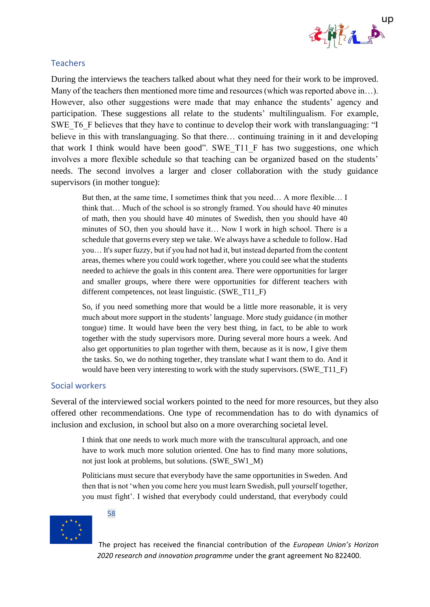

## Teachers

During the interviews the teachers talked about what they need for their work to be improved. Many of the teachers then mentioned more time and resources (which was reported above in...). However, also other suggestions were made that may enhance the students' agency and participation. These suggestions all relate to the students' multilingualism. For example, SWE T6 F believes that they have to continue to develop their work with translanguaging: "I believe in this with translanguaging. So that there… continuing training in it and developing that work I think would have been good". SWE\_T11\_F has two suggestions, one which involves a more flexible schedule so that teaching can be organized based on the students' needs. The second involves a larger and closer collaboration with the study guidance supervisors (in mother tongue):

But then, at the same time, I sometimes think that you need… A more flexible… I think that… Much of the school is so strongly framed. You should have 40 minutes of math, then you should have 40 minutes of Swedish, then you should have 40 minutes of SO, then you should have it… Now I work in high school. There is a schedule that governs every step we take. We always have a schedule to follow. Had you… It's super fuzzy, but if you had not had it, but instead departed from the content areas, themes where you could work together, where you could see what the students needed to achieve the goals in this content area. There were opportunities for larger and smaller groups, where there were opportunities for different teachers with different competences, not least linguistic. (SWE\_T11\_F)

So, if you need something more that would be a little more reasonable, it is very much about more support in the students' language. More study guidance (in mother tongue) time. It would have been the very best thing, in fact, to be able to work together with the study supervisors more. During several more hours a week. And also get opportunities to plan together with them, because as it is now, I give them the tasks. So, we do nothing together, they translate what I want them to do. And it would have been very interesting to work with the study supervisors. (SWE\_T11\_F)

## Social workers

Several of the interviewed social workers pointed to the need for more resources, but they also offered other recommendations. One type of recommendation has to do with dynamics of inclusion and exclusion, in school but also on a more overarching societal level.

I think that one needs to work much more with the transcultural approach, and one have to work much more solution oriented. One has to find many more solutions, not just look at problems, but solutions. (SWE\_SW1\_M)

Politicians must secure that everybody have the same opportunities in Sweden. And then that is not 'when you come here you must learn Swedish, pull yourself together, you must fight'. I wished that everybody could understand, that everybody could



58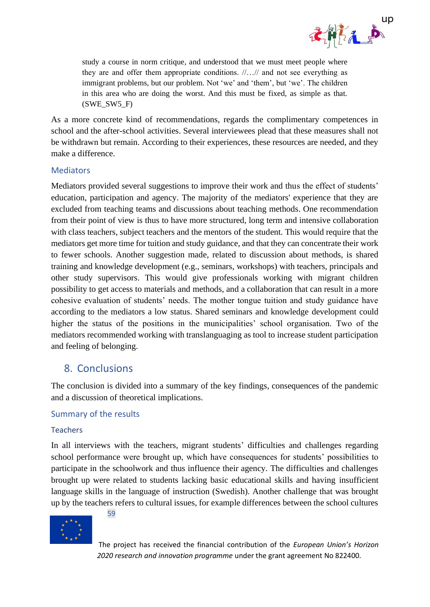

study a course in norm critique, and understood that we must meet people where they are and offer them appropriate conditions. //…// and not see everything as immigrant problems, but our problem. Not 'we' and 'them', but 'we'. The children in this area who are doing the worst. And this must be fixed, as simple as that. (SWE\_SW5\_F)

As a more concrete kind of recommendations, regards the complimentary competences in school and the after-school activities. Several interviewees plead that these measures shall not be withdrawn but remain. According to their experiences, these resources are needed, and they make a difference.

## Mediators

Mediators provided several suggestions to improve their work and thus the effect of students' education, participation and agency. The majority of the mediators' experience that they are excluded from teaching teams and discussions about teaching methods. One recommendation from their point of view is thus to have more structured, long term and intensive collaboration with class teachers, subject teachers and the mentors of the student. This would require that the mediators get more time for tuition and study guidance, and that they can concentrate their work to fewer schools. Another suggestion made, related to discussion about methods, is shared training and knowledge development (e.g., seminars, workshops) with teachers, principals and other study supervisors. This would give professionals working with migrant children possibility to get access to materials and methods, and a collaboration that can result in a more cohesive evaluation of students' needs. The mother tongue tuition and study guidance have according to the mediators a low status. Shared seminars and knowledge development could higher the status of the positions in the municipalities' school organisation. Two of the mediators recommended working with translanguaging as tool to increase student participation and feeling of belonging.

# 8. Conclusions

The conclusion is divided into a summary of the key findings, consequences of the pandemic and a discussion of theoretical implications.

# Summary of the results

59

## **Teachers**

In all interviews with the teachers, migrant students' difficulties and challenges regarding school performance were brought up, which have consequences for students' possibilities to participate in the schoolwork and thus influence their agency. The difficulties and challenges brought up were related to students lacking basic educational skills and having insufficient language skills in the language of instruction (Swedish). Another challenge that was brought up by the teachers refers to cultural issues, for example differences between the school cultures

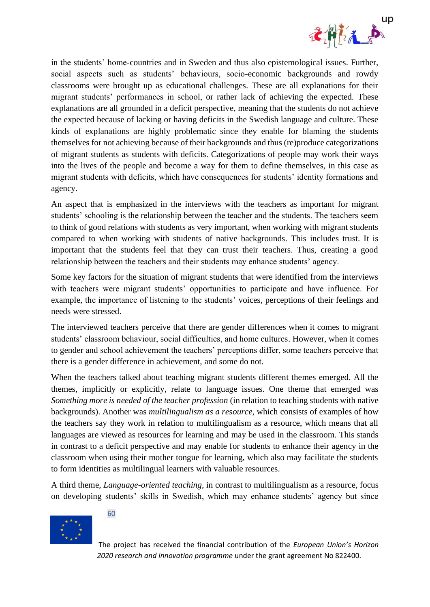

in the students' home-countries and in Sweden and thus also epistemological issues. Further, social aspects such as students' behaviours, socio-economic backgrounds and rowdy classrooms were brought up as educational challenges. These are all explanations for their migrant students' performances in school, or rather lack of achieving the expected. These explanations are all grounded in a deficit perspective, meaning that the students do not achieve the expected because of lacking or having deficits in the Swedish language and culture. These kinds of explanations are highly problematic since they enable for blaming the students themselves for not achieving because of their backgrounds and thus (re)produce categorizations of migrant students as students with deficits. Categorizations of people may work their ways into the lives of the people and become a way for them to define themselves, in this case as migrant students with deficits, which have consequences for students' identity formations and agency.

An aspect that is emphasized in the interviews with the teachers as important for migrant students' schooling is the relationship between the teacher and the students. The teachers seem to think of good relations with students as very important, when working with migrant students compared to when working with students of native backgrounds. This includes trust. It is important that the students feel that they can trust their teachers. Thus, creating a good relationship between the teachers and their students may enhance students' agency.

Some key factors for the situation of migrant students that were identified from the interviews with teachers were migrant students' opportunities to participate and have influence. For example, the importance of listening to the students' voices, perceptions of their feelings and needs were stressed.

The interviewed teachers perceive that there are gender differences when it comes to migrant students' classroom behaviour, social difficulties, and home cultures. However, when it comes to gender and school achievement the teachers' perceptions differ, some teachers perceive that there is a gender difference in achievement, and some do not.

When the teachers talked about teaching migrant students different themes emerged. All the themes, implicitly or explicitly, relate to language issues. One theme that emerged was *Something more is needed of the teacher profession* (in relation to teaching students with native backgrounds). Another was *multilingualism as a resource,* which consists of examples of how the teachers say they work in relation to multilingualism as a resource, which means that all languages are viewed as resources for learning and may be used in the classroom. This stands in contrast to a deficit perspective and may enable for students to enhance their agency in the classroom when using their mother tongue for learning, which also may facilitate the students to form identities as multilingual learners with valuable resources.

A third theme, *Language-oriented teaching,* in contrast to multilingualism as a resource, focus on developing students' skills in Swedish, which may enhance students' agency but since



60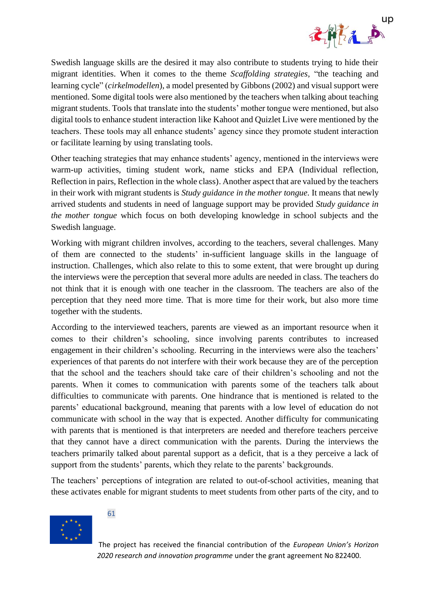

Swedish language skills are the desired it may also contribute to students trying to hide their migrant identities. When it comes to the theme *Scaffolding strategies,* "the teaching and learning cycle" (*cirkelmodellen*), a model presented by Gibbons (2002) and visual support were mentioned. Some digital tools were also mentioned by the teachers when talking about teaching migrant students. Tools that translate into the students' mother tongue were mentioned, but also digital tools to enhance student interaction like Kahoot and Quizlet Live were mentioned by the teachers. These tools may all enhance students' agency since they promote student interaction or facilitate learning by using translating tools.

Other teaching strategies that may enhance students' agency, mentioned in the interviews were warm-up activities, timing student work, name sticks and EPA (Individual reflection, Reflection in pairs, Reflection in the whole class). Another aspect that are valued by the teachers in their work with migrant students is *Study guidance in the mother tongue.* It means that newly arrived students and students in need of language support may be provided *Study guidance in the mother tongue* which focus on both developing knowledge in school subjects and the Swedish language.

Working with migrant children involves, according to the teachers, several challenges. Many of them are connected to the students' in-sufficient language skills in the language of instruction. Challenges, which also relate to this to some extent, that were brought up during the interviews were the perception that several more adults are needed in class. The teachers do not think that it is enough with one teacher in the classroom. The teachers are also of the perception that they need more time. That is more time for their work, but also more time together with the students.

According to the interviewed teachers, parents are viewed as an important resource when it comes to their children's schooling, since involving parents contributes to increased engagement in their children's schooling. Recurring in the interviews were also the teachers' experiences of that parents do not interfere with their work because they are of the perception that the school and the teachers should take care of their children's schooling and not the parents. When it comes to communication with parents some of the teachers talk about difficulties to communicate with parents. One hindrance that is mentioned is related to the parents' educational background, meaning that parents with a low level of education do not communicate with school in the way that is expected. Another difficulty for communicating with parents that is mentioned is that interpreters are needed and therefore teachers perceive that they cannot have a direct communication with the parents. During the interviews the teachers primarily talked about parental support as a deficit, that is a they perceive a lack of support from the students' parents, which they relate to the parents' backgrounds.

The teachers' perceptions of integration are related to out-of-school activities, meaning that these activates enable for migrant students to meet students from other parts of the city, and to



61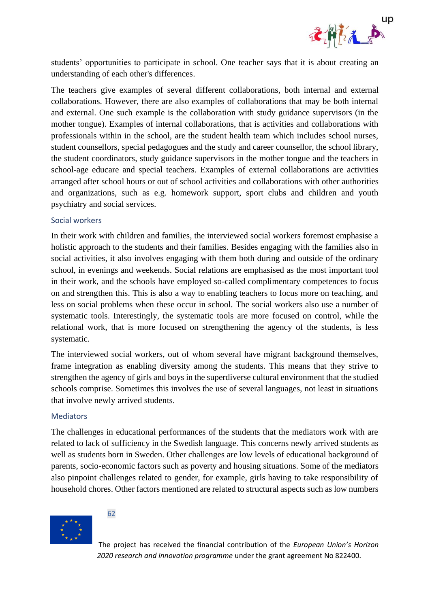

students' opportunities to participate in school. One teacher says that it is about creating an understanding of each other's differences.

The teachers give examples of several different collaborations, both internal and external collaborations. However, there are also examples of collaborations that may be both internal and external. One such example is the collaboration with study guidance supervisors (in the mother tongue). Examples of internal collaborations, that is activities and collaborations with professionals within in the school, are the student health team which includes school nurses, student counsellors, special pedagogues and the study and career counsellor, the school library, the student coordinators, study guidance supervisors in the mother tongue and the teachers in school-age educare and special teachers. Examples of external collaborations are activities arranged after school hours or out of school activities and collaborations with other authorities and organizations, such as e.g. homework support, sport clubs and children and youth psychiatry and social services.

## Social workers

In their work with children and families, the interviewed social workers foremost emphasise a holistic approach to the students and their families. Besides engaging with the families also in social activities, it also involves engaging with them both during and outside of the ordinary school, in evenings and weekends. Social relations are emphasised as the most important tool in their work, and the schools have employed so-called complimentary competences to focus on and strengthen this. This is also a way to enabling teachers to focus more on teaching, and less on social problems when these occur in school. The social workers also use a number of systematic tools. Interestingly, the systematic tools are more focused on control, while the relational work, that is more focused on strengthening the agency of the students, is less systematic.

The interviewed social workers, out of whom several have migrant background themselves, frame integration as enabling diversity among the students. This means that they strive to strengthen the agency of girls and boys in the superdiverse cultural environment that the studied schools comprise. Sometimes this involves the use of several languages, not least in situations that involve newly arrived students.

### **Mediators**

The challenges in educational performances of the students that the mediators work with are related to lack of sufficiency in the Swedish language. This concerns newly arrived students as well as students born in Sweden. Other challenges are low levels of educational background of parents, socio-economic factors such as poverty and housing situations. Some of the mediators also pinpoint challenges related to gender, for example, girls having to take responsibility of household chores. Other factors mentioned are related to structural aspects such as low numbers



62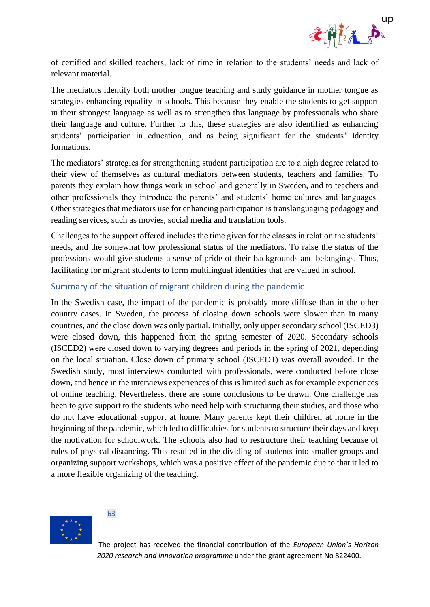

of certified and skilled teachers, lack of time in relation to the students' needs and lack of relevant material.

The mediators identify both mother tongue teaching and study guidance in mother tongue as strategies enhancing equality in schools. This because they enable the students to get support in their strongest language as well as to strengthen this language by professionals who share their language and culture. Further to this, these strategies are also identified as enhancing students' participation in education, and as being significant for the students' identity formations.

The mediators' strategies for strengthening student participation are to a high degree related to their view of themselves as cultural mediators between students, teachers and families. To parents they explain how things work in school and generally in Sweden, and to teachers and other professionals they introduce the parents' and students' home cultures and languages. Other strategies that mediators use for enhancing participation is translanguaging pedagogy and reading services, such as movies, social media and translation tools.

Challenges to the support offered includes the time given for the classes in relation the students' needs, and the somewhat low professional status of the mediators. To raise the status of the professions would give students a sense of pride of their backgrounds and belongings. Thus, facilitating for migrant students to form multilingual identities that are valued in school.

## Summary of the situation of migrant children during the pandemic

In the Swedish case, the impact of the pandemic is probably more diffuse than in the other country cases. In Sweden, the process of closing down schools were slower than in many countries, and the close down was only partial. Initially, only upper secondary school (ISCED3) were closed down, this happened from the spring semester of 2020. Secondary schools (ISCED2) were closed down to varying degrees and periods in the spring of 2021, depending on the local situation. Close down of primary school (ISCED1) was overall avoided. In the Swedish study, most interviews conducted with professionals, were conducted before close down, and hence in the interviews experiences of this is limited such as for example experiences of online teaching. Nevertheless, there are some conclusions to be drawn. One challenge has been to give support to the students who need help with structuring their studies, and those who do not have educational support at home. Many parents kept their children at home in the beginning of the pandemic, which led to difficulties for students to structure their days and keep the motivation for schoolwork. The schools also had to restructure their teaching because of rules of physical distancing. This resulted in the dividing of students into smaller groups and organizing support workshops, which was a positive effect of the pandemic due to that it led to a more flexible organizing of the teaching.



63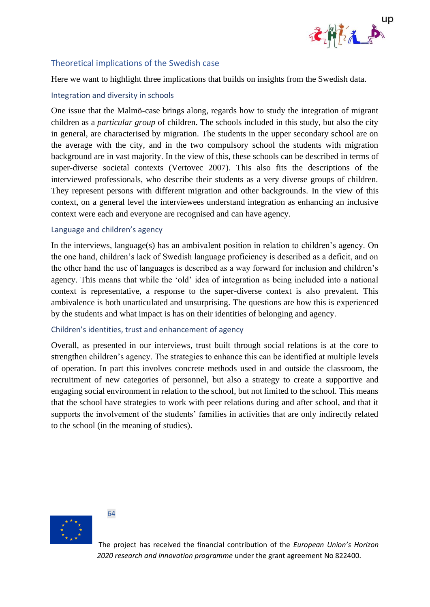

## Theoretical implications of the Swedish case

Here we want to highlight three implications that builds on insights from the Swedish data.

### Integration and diversity in schools

One issue that the Malmö-case brings along, regards how to study the integration of migrant children as a *particular group* of children. The schools included in this study, but also the city in general, are characterised by migration. The students in the upper secondary school are on the average with the city, and in the two compulsory school the students with migration background are in vast majority. In the view of this, these schools can be described in terms of super-diverse societal contexts (Vertovec 2007). This also fits the descriptions of the interviewed professionals, who describe their students as a very diverse groups of children. They represent persons with different migration and other backgrounds. In the view of this context, on a general level the interviewees understand integration as enhancing an inclusive context were each and everyone are recognised and can have agency.

### Language and children's agency

In the interviews, language(s) has an ambivalent position in relation to children's agency. On the one hand, children's lack of Swedish language proficiency is described as a deficit, and on the other hand the use of languages is described as a way forward for inclusion and children's agency. This means that while the 'old' idea of integration as being included into a national context is representative, a response to the super-diverse context is also prevalent. This ambivalence is both unarticulated and unsurprising. The questions are how this is experienced by the students and what impact is has on their identities of belonging and agency.

### Children's identities, trust and enhancement of agency

Overall, as presented in our interviews, trust built through social relations is at the core to strengthen children's agency. The strategies to enhance this can be identified at multiple levels of operation. In part this involves concrete methods used in and outside the classroom, the recruitment of new categories of personnel, but also a strategy to create a supportive and engaging social environment in relation to the school, but not limited to the school. This means that the school have strategies to work with peer relations during and after school, and that it supports the involvement of the students' families in activities that are only indirectly related to the school (in the meaning of studies).



64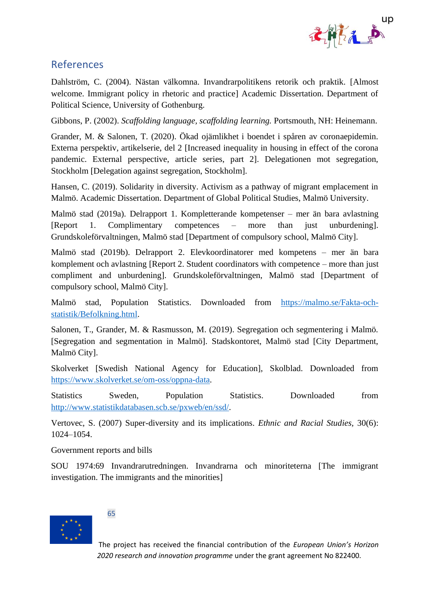

# References

Dahlström, C. (2004). Nästan välkomna. Invandrarpolitikens retorik och praktik. [Almost welcome. Immigrant policy in rhetoric and practice] Academic Dissertation. Department of Political Science, University of Gothenburg.

Gibbons, P. (2002). *Scaffolding language, scaffolding learning.* Portsmouth, NH: Heinemann.

Grander, M. & Salonen, T. (2020). Ökad ojämlikhet i boendet i spåren av coronaepidemin. Externa perspektiv, artikelserie, del 2 [Increased inequality in housing in effect of the corona pandemic. External perspective, article series, part 2]. Delegationen mot segregation, Stockholm [Delegation against segregation, Stockholm].

Hansen, C. (2019). Solidarity in diversity. Activism as a pathway of migrant emplacement in Malmö. Academic Dissertation. Department of Global Political Studies, Malmö University.

Malmö stad (2019a). Delrapport 1. Kompletterande kompetenser – mer än bara avlastning [Report 1. Complimentary competences – more than just unburdening]. Grundskoleförvaltningen, Malmö stad [Department of compulsory school, Malmö City].

Malmö stad (2019b). Delrapport 2. Elevkoordinatorer med kompetens – mer än bara komplement och avlastning [Report 2. Student coordinators with competence – more than just compliment and unburdening]. Grundskoleförvaltningen, Malmö stad [Department of compulsory school, Malmö City].

Malmö stad, Population Statistics. Downloaded from [https://malmo.se/Fakta-och](https://malmo.se/Fakta-och-statistik/Befolkning.html)[statistik/Befolkning.html.](https://malmo.se/Fakta-och-statistik/Befolkning.html)

Salonen, T., Grander, M. & Rasmusson, M. (2019). Segregation och segmentering i Malmö. [Segregation and segmentation in Malmö]. Stadskontoret, Malmö stad [City Department, Malmö City].

Skolverket [Swedish National Agency for Education], Skolblad. Downloaded from [https://www.skolverket.se/om-oss/oppna-data.](https://www.skolverket.se/om-oss/oppna-data)

Statistics Sweden, Population Statistics. Downloaded from [http://www.statistikdatabasen.scb.se/pxweb/en/ssd/.](http://www.statistikdatabasen.scb.se/pxweb/en/ssd/)

Vertovec, S. (2007) Super-diversity and its implications. *Ethnic and Racial Studies,* 30(6): 1024–1054.

Government reports and bills

65

SOU 1974:69 Invandrarutredningen. Invandrarna och minoriteterna [The immigrant investigation. The immigrants and the minorities]

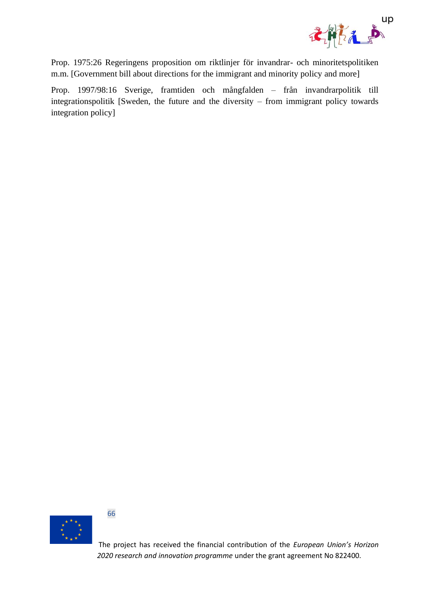

Prop. 1975:26 Regeringens proposition om riktlinjer för invandrar- och minoritetspolitiken m.m. [Government bill about directions for the immigrant and minority policy and more]

Prop. 1997/98:16 Sverige, framtiden och mångfalden – från invandrarpolitik till integrationspolitik [Sweden, the future and the diversity – from immigrant policy towards integration policy]



66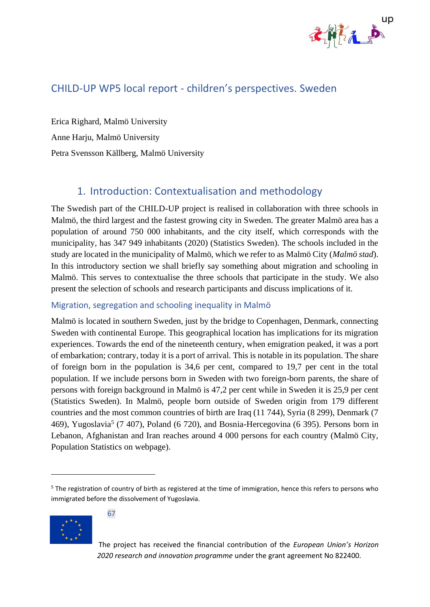

# CHILD-UP WP5 local report - children's perspectives. Sweden

Erica Righard, Malmö University Anne Harju, Malmö University Petra Svensson Källberg, Malmö University

# 1. Introduction: Contextualisation and methodology

The Swedish part of the CHILD-UP project is realised in collaboration with three schools in Malmö, the third largest and the fastest growing city in Sweden. The greater Malmö area has a population of around 750 000 inhabitants, and the city itself, which corresponds with the municipality, has 347 949 inhabitants (2020) (Statistics Sweden). The schools included in the study are located in the municipality of Malmö, which we refer to as Malmö City (*Malmö stad*). In this introductory section we shall briefly say something about migration and schooling in Malmö. This serves to contextualise the three schools that participate in the study. We also present the selection of schools and research participants and discuss implications of it.

# Migration, segregation and schooling inequality in Malmö

Malmö is located in southern Sweden, just by the bridge to Copenhagen, Denmark, connecting Sweden with continental Europe. This geographical location has implications for its migration experiences. Towards the end of the nineteenth century, when emigration peaked, it was a port of embarkation; contrary, today it is a port of arrival. This is notable in its population. The share of foreign born in the population is 34,6 per cent, compared to 19,7 per cent in the total population. If we include persons born in Sweden with two foreign-born parents, the share of persons with foreign background in Malmö is 47,2 per cent while in Sweden it is 25,9 per cent (Statistics Sweden). In Malmö, people born outside of Sweden origin from 179 different countries and the most common countries of birth are Iraq (11 744), Syria (8 299), Denmark (7 469), Yugoslavia<sup>5</sup> (7 407), Poland (6 720), and Bosnia-Hercegovina (6 395). Persons born in Lebanon, Afghanistan and Iran reaches around 4 000 persons for each country (Malmö City, Population Statistics on webpage).

<sup>&</sup>lt;sup>5</sup> The registration of country of birth as registered at the time of immigration, hence this refers to persons who immigrated before the dissolvement of Yugoslavia.



67

The project has received the financial contribution of the *European Union's Horizon 2020 research and innovation programme* under the grant agreement No 822400.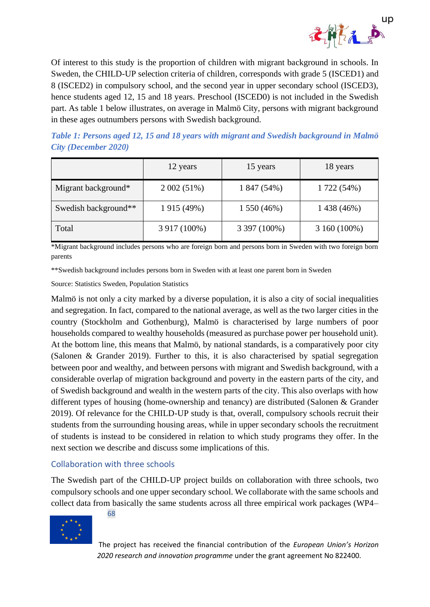

Of interest to this study is the proportion of children with migrant background in schools. In Sweden, the CHILD-UP selection criteria of children, corresponds with grade 5 (ISCED1) and 8 (ISCED2) in compulsory school, and the second year in upper secondary school (ISCED3), hence students aged 12, 15 and 18 years. Preschool (ISCED0) is not included in the Swedish part. As table 1 below illustrates, on average in Malmö City, persons with migrant background in these ages outnumbers persons with Swedish background.

*Table 1: Persons aged 12, 15 and 18 years with migrant and Swedish background in Malmö City (December 2020)*

|                      | 12 years     | 15 years     | 18 years     |
|----------------------|--------------|--------------|--------------|
| Migrant background*  | 2 002 (51%)  | 1 847 (54%)  | 1 722 (54%)  |
| Swedish background** | 1 915 (49%)  | $1550(46\%)$ | 1 438 (46%)  |
| Total                | 3 917 (100%) | 3 397 (100%) | 3 160 (100%) |

\*Migrant background includes persons who are foreign born and persons born in Sweden with two foreign born parents

\*\*Swedish background includes persons born in Sweden with at least one parent born in Sweden

Source: Statistics Sweden, Population Statistics

Malmö is not only a city marked by a diverse population, it is also a city of social inequalities and segregation. In fact, compared to the national average, as well as the two larger cities in the country (Stockholm and Gothenburg), Malmö is characterised by large numbers of poor households compared to wealthy households (measured as purchase power per household unit). At the bottom line, this means that Malmö, by national standards, is a comparatively poor city (Salonen & Grander 2019). Further to this, it is also characterised by spatial segregation between poor and wealthy, and between persons with migrant and Swedish background, with a considerable overlap of migration background and poverty in the eastern parts of the city, and of Swedish background and wealth in the western parts of the city. This also overlaps with how different types of housing (home-ownership and tenancy) are distributed (Salonen & Grander 2019). Of relevance for the CHILD-UP study is that, overall, compulsory schools recruit their students from the surrounding housing areas, while in upper secondary schools the recruitment of students is instead to be considered in relation to which study programs they offer. In the next section we describe and discuss some implications of this.

# Collaboration with three schools

68

The Swedish part of the CHILD-UP project builds on collaboration with three schools, two compulsory schools and one upper secondary school. We collaborate with the same schools and collect data from basically the same students across all three empirical work packages (WP4–

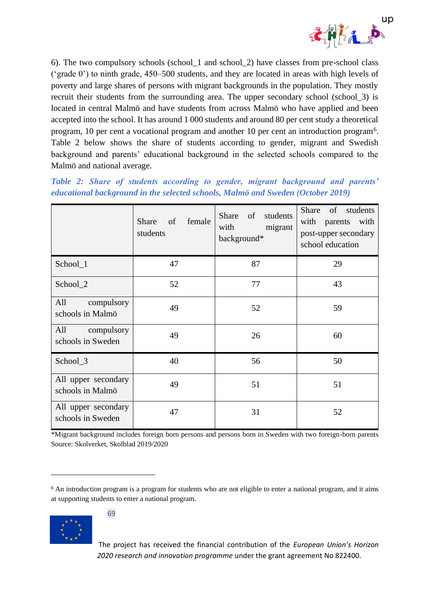

6). The two compulsory schools (school\_1 and school\_2) have classes from pre-school class ('grade 0') to ninth grade, 450–500 students, and they are located in areas with high levels of poverty and large shares of persons with migrant backgrounds in the population. They mostly recruit their students from the surrounding area. The upper secondary school (school\_3) is located in central Malmö and have students from across Malmö who have applied and been accepted into the school. It has around 1 000 students and around 80 per cent study a theoretical program, 10 per cent a vocational program and another 10 per cent an introduction program<sup>6</sup>. Table 2 below shows the share of students according to gender, migrant and Swedish background and parents' educational background in the selected schools compared to the Malmö and national average.

*Table 2: Share of students according to gender, migrant background and parents' educational background in the selected schools, Malmö and Sweden (October 2019)*

|                                          | Share<br>of<br>female<br>students | of<br>Share<br>students<br>with<br>migrant<br>background* | of students<br>Share<br>with parents with<br>post-upper secondary<br>school education |
|------------------------------------------|-----------------------------------|-----------------------------------------------------------|---------------------------------------------------------------------------------------|
| School_1                                 | 47                                | 87                                                        | 29                                                                                    |
| School <sub>2</sub>                      | 52                                | 77                                                        | 43                                                                                    |
| All<br>compulsory<br>schools in Malmö    | 49                                | 52                                                        | 59                                                                                    |
| All<br>compulsory<br>schools in Sweden   | 49                                | 26                                                        | 60                                                                                    |
| School_3                                 | 40                                | 56                                                        | 50                                                                                    |
| All upper secondary<br>schools in Malmö  | 49                                | 51                                                        | 51                                                                                    |
| All upper secondary<br>schools in Sweden | 47                                | 31                                                        | 52                                                                                    |

\*Migrant background includes foreign born persons and persons born in Sweden with two foreign-born parents Source: Skolverket, Skolblad 2019/2020

<sup>&</sup>lt;sup>6</sup> An introduction program is a program for students who are not eligible to enter a national program, and it aims at supporting students to enter a national program.



69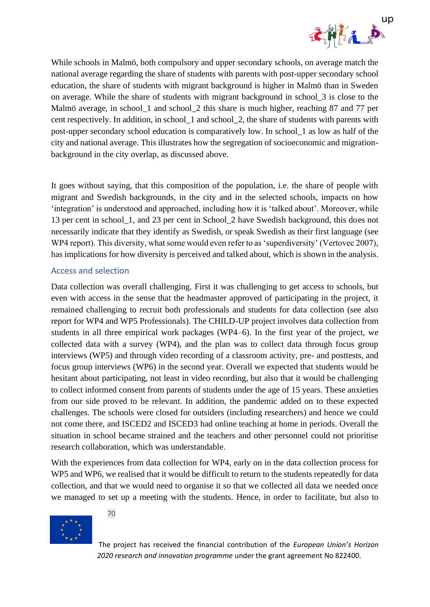

While schools in Malmö, both compulsory and upper secondary schools, on average match the national average regarding the share of students with parents with post-upper secondary school education, the share of students with migrant background is higher in Malmö than in Sweden on average. While the share of students with migrant background in school\_3 is close to the Malmö average, in school 1 and school 2 this share is much higher, reaching 87 and 77 per cent respectively. In addition, in school\_1 and school\_2, the share of students with parents with post-upper secondary school education is comparatively low. In school\_1 as low as half of the city and national average. This illustrates how the segregation of socioeconomic and migrationbackground in the city overlap, as discussed above.

It goes without saying, that this composition of the population, i.e. the share of people with migrant and Swedish backgrounds, in the city and in the selected schools, impacts on how 'integration' is understood and approached, including how it is 'talked about'. Moreover, while 13 per cent in school\_1, and 23 per cent in School\_2 have Swedish background, this does not necessarily indicate that they identify as Swedish, or speak Swedish as their first language (see WP4 report). This diversity, what some would even refer to as 'superdiversity' (Vertovec 2007), has implications for how diversity is perceived and talked about, which is shown in the analysis.

# Access and selection

Data collection was overall challenging. First it was challenging to get access to schools, but even with access in the sense that the headmaster approved of participating in the project, it remained challenging to recruit both professionals and students for data collection (see also report for WP4 and WP5 Professionals). The CHILD-UP project involves data collection from students in all three empirical work packages (WP4–6). In the first year of the project, we collected data with a survey (WP4), and the plan was to collect data through focus group interviews (WP5) and through video recording of a classroom activity, pre- and posttests, and focus group interviews (WP6) in the second year. Overall we expected that students would be hesitant about participating, not least in video recording, but also that it would be challenging to collect informed consent from parents of students under the age of 15 years. These anxieties from our side proved to be relevant. In addition, the pandemic added on to these expected challenges. The schools were closed for outsiders (including researchers) and hence we could not come there, and ISCED2 and ISCED3 had online teaching at home in periods. Overall the situation in school became strained and the teachers and other personnel could not prioritise research collaboration, which was understandable.

With the experiences from data collection for WP4, early on in the data collection process for WP5 and WP6, we realised that it would be difficult to return to the students repeatedly for data collection, and that we would need to organise it so that we collected all data we needed once we managed to set up a meeting with the students. Hence, in order to facilitate, but also to



70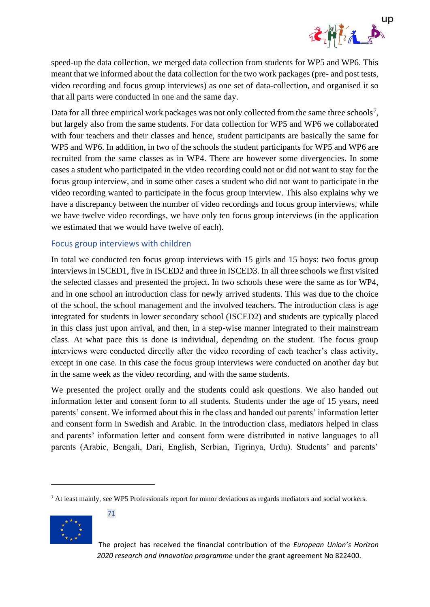

speed-up the data collection, we merged data collection from students for WP5 and WP6. This meant that we informed about the data collection for the two work packages (pre- and post tests, video recording and focus group interviews) as one set of data-collection, and organised it so that all parts were conducted in one and the same day.

Data for all three empirical work packages was not only collected from the same three schools<sup>7</sup>, but largely also from the same students. For data collection for WP5 and WP6 we collaborated with four teachers and their classes and hence, student participants are basically the same for WP5 and WP6. In addition, in two of the schools the student participants for WP5 and WP6 are recruited from the same classes as in WP4. There are however some divergencies. In some cases a student who participated in the video recording could not or did not want to stay for the focus group interview, and in some other cases a student who did not want to participate in the video recording wanted to participate in the focus group interview. This also explains why we have a discrepancy between the number of video recordings and focus group interviews, while we have twelve video recordings, we have only ten focus group interviews (in the application we estimated that we would have twelve of each).

## Focus group interviews with children

In total we conducted ten focus group interviews with 15 girls and 15 boys: two focus group interviews in ISCED1, five in ISCED2 and three in ISCED3. In all three schools we first visited the selected classes and presented the project. In two schools these were the same as for WP4, and in one school an introduction class for newly arrived students. This was due to the choice of the school, the school management and the involved teachers. The introduction class is age integrated for students in lower secondary school (ISCED2) and students are typically placed in this class just upon arrival, and then, in a step-wise manner integrated to their mainstream class. At what pace this is done is individual, depending on the student. The focus group interviews were conducted directly after the video recording of each teacher's class activity, except in one case. In this case the focus group interviews were conducted on another day but in the same week as the video recording, and with the same students.

We presented the project orally and the students could ask questions. We also handed out information letter and consent form to all students. Students under the age of 15 years, need parents' consent. We informed about this in the class and handed out parents' information letter and consent form in Swedish and Arabic. In the introduction class, mediators helped in class and parents' information letter and consent form were distributed in native languages to all parents (Arabic, Bengali, Dari, English, Serbian, Tigrinya, Urdu). Students' and parents'

<sup>7</sup> At least mainly, see WP5 Professionals report for minor deviations as regards mediators and social workers.



71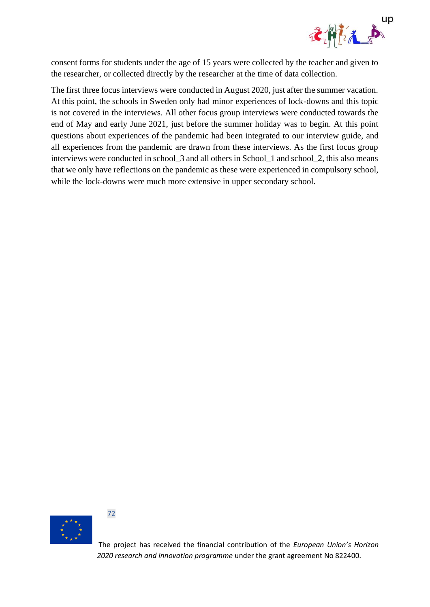

consent forms for students under the age of 15 years were collected by the teacher and given to the researcher, or collected directly by the researcher at the time of data collection.

The first three focus interviews were conducted in August 2020, just after the summer vacation. At this point, the schools in Sweden only had minor experiences of lock-downs and this topic is not covered in the interviews. All other focus group interviews were conducted towards the end of May and early June 2021, just before the summer holiday was to begin. At this point questions about experiences of the pandemic had been integrated to our interview guide, and all experiences from the pandemic are drawn from these interviews. As the first focus group interviews were conducted in school\_3 and all others in School\_1 and school\_2, this also means that we only have reflections on the pandemic as these were experienced in compulsory school, while the lock-downs were much more extensive in upper secondary school.



72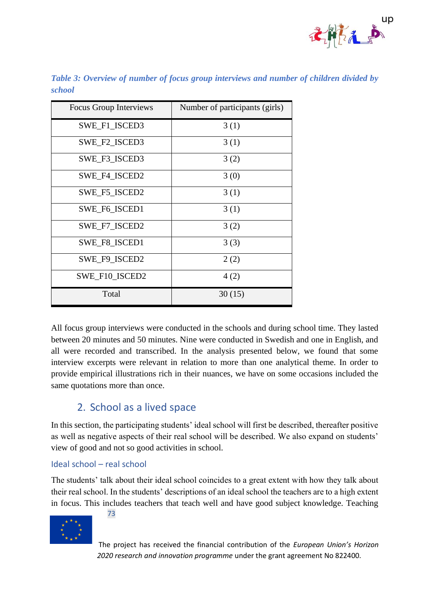

| Focus Group Interviews | Number of participants (girls) |
|------------------------|--------------------------------|
| SWE_F1_ISCED3          | 3(1)                           |
| SWE_F2_ISCED3          | 3(1)                           |
| SWE_F3_ISCED3          | 3(2)                           |
| SWE_F4_ISCED2          | 3(0)                           |
| SWE_F5_ISCED2          | 3(1)                           |
| SWE_F6_ISCED1          | 3(1)                           |
| SWE_F7_ISCED2          | 3(2)                           |
| SWE_F8_ISCED1          | 3(3)                           |
| SWE_F9_ISCED2          | 2(2)                           |
| SWE_F10_ISCED2         | 4(2)                           |
| Total                  | 30(15)                         |

*Table 3: Overview of number of focus group interviews and number of children divided by school*

All focus group interviews were conducted in the schools and during school time. They lasted between 20 minutes and 50 minutes. Nine were conducted in Swedish and one in English, and all were recorded and transcribed. In the analysis presented below, we found that some interview excerpts were relevant in relation to more than one analytical theme. In order to provide empirical illustrations rich in their nuances, we have on some occasions included the same quotations more than once.

# 2. School as a lived space

In this section, the participating students' ideal school will first be described, thereafter positive as well as negative aspects of their real school will be described. We also expand on students' view of good and not so good activities in school.

# Ideal school – real school

73

The students' talk about their ideal school coincides to a great extent with how they talk about their real school. In the students' descriptions of an ideal school the teachers are to a high extent in focus. This includes teachers that teach well and have good subject knowledge. Teaching

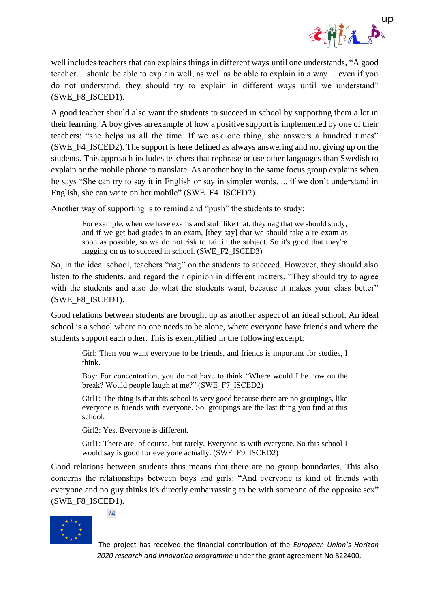

well includes teachers that can explains things in different ways until one understands, "A good teacher… should be able to explain well, as well as be able to explain in a way… even if you do not understand, they should try to explain in different ways until we understand" (SWE\_F8\_ISCED1).

A good teacher should also want the students to succeed in school by supporting them a lot in their learning. A boy gives an example of how a positive support is implemented by one of their teachers: "she helps us all the time. If we ask one thing, she answers a hundred times" (SWE\_F4\_ISCED2). The support is here defined as always answering and not giving up on the students. This approach includes teachers that rephrase or use other languages than Swedish to explain or the mobile phone to translate. As another boy in the same focus group explains when he says "She can try to say it in English or say in simpler words, ... if we don't understand in English, she can write on her mobile" (SWE\_F4\_ISCED2).

Another way of supporting is to remind and "push" the students to study:

For example, when we have exams and stuff like that, they nag that we should study, and if we get bad grades in an exam, [they say] that we should take a re-exam as soon as possible, so we do not risk to fail in the subject. So it's good that they're nagging on us to succeed in school. (SWE\_F2\_ISCED3)

So, in the ideal school, teachers "nag" on the students to succeed. However, they should also listen to the students, and regard their opinion in different matters, "They should try to agree with the students and also do what the students want, because it makes your class better" (SWE\_F8\_ISCED1).

Good relations between students are brought up as another aspect of an ideal school. An ideal school is a school where no one needs to be alone, where everyone have friends and where the students support each other. This is exemplified in the following excerpt:

Girl: Then you want everyone to be friends, and friends is important for studies, I think.

Boy: For concentration, you do not have to think "Where would I be now on the break? Would people laugh at me?" (SWE\_F7\_ISCED2)

Girl1: The thing is that this school is very good because there are no groupings, like everyone is friends with everyone. So, groupings are the last thing you find at this school.

Girl2: Yes. Everyone is different.

74

Girl1: There are, of course, but rarely. Everyone is with everyone. So this school I would say is good for everyone actually. (SWE\_F9\_ISCED2)

Good relations between students thus means that there are no group boundaries. This also concerns the relationships between boys and girls: "And everyone is kind of friends with everyone and no guy thinks it's directly embarrassing to be with someone of the opposite sex" (SWE\_F8\_ISCED1).

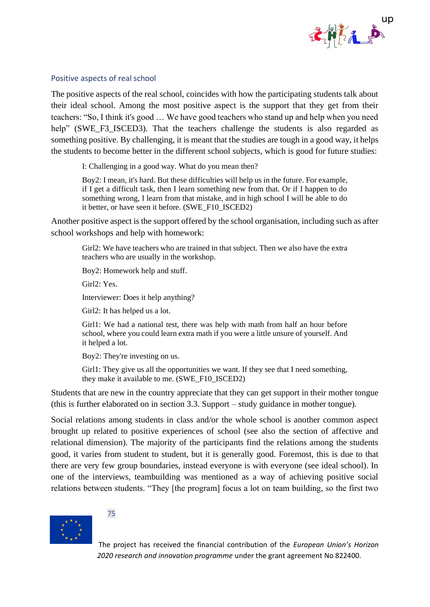

#### Positive aspects of real school

The positive aspects of the real school, coincides with how the participating students talk about their ideal school. Among the most positive aspect is the support that they get from their teachers: "So, I think it's good … We have good teachers who stand up and help when you need help" (SWE\_F3\_ISCED3). That the teachers challenge the students is also regarded as something positive. By challenging, it is meant that the studies are tough in a good way, it helps the students to become better in the different school subjects, which is good for future studies:

I: Challenging in a good way. What do you mean then?

Boy2: I mean, it's hard. But these difficulties will help us in the future. For example, if I get a difficult task, then I learn something new from that. Or if I happen to do something wrong, I learn from that mistake, and in high school I will be able to do it better, or have seen it before. (SWE\_F10\_ISCED2)

Another positive aspect is the support offered by the school organisation, including such as after school workshops and help with homework:

Girl2: We have teachers who are trained in that subject. Then we also have the extra teachers who are usually in the workshop.

Boy2: Homework help and stuff.

Girl2: Yes.

Interviewer: Does it help anything?

Girl2: It has helped us a lot.

Girl1: We had a national test, there was help with math from half an hour before school, where you could learn extra math if you were a little unsure of yourself. And it helped a lot.

Boy2: They're investing on us.

Girl1: They give us all the opportunities we want. If they see that I need something, they make it available to me. (SWE\_F10\_ISCED2)

Students that are new in the country appreciate that they can get support in their mother tongue (this is further elaborated on in section 3.3. Support – study guidance in mother tongue).

Social relations among students in class and/or the whole school is another common aspect brought up related to positive experiences of school (see also the section of affective and relational dimension). The majority of the participants find the relations among the students good, it varies from student to student, but it is generally good. Foremost, this is due to that there are very few group boundaries, instead everyone is with everyone (see ideal school). In one of the interviews, teambuilding was mentioned as a way of achieving positive social relations between students. "They [the program] focus a lot on team building, so the first two



75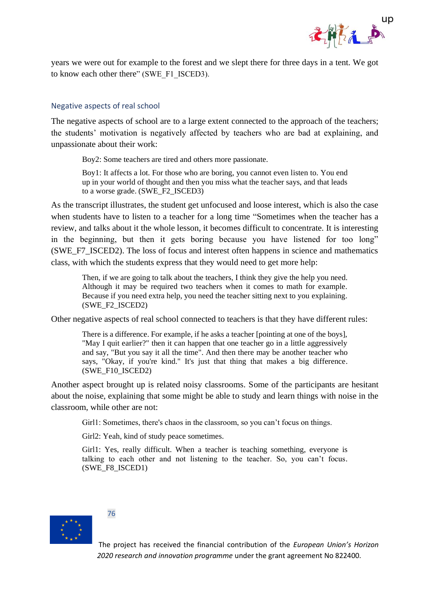

years we were out for example to the forest and we slept there for three days in a tent. We got to know each other there" (SWE\_F1\_ISCED3).

#### Negative aspects of real school

The negative aspects of school are to a large extent connected to the approach of the teachers; the students' motivation is negatively affected by teachers who are bad at explaining, and unpassionate about their work:

Boy2: Some teachers are tired and others more passionate.

Boy1: It affects a lot. For those who are boring, you cannot even listen to. You end up in your world of thought and then you miss what the teacher says, and that leads to a worse grade. (SWE\_F2\_ISCED3)

As the transcript illustrates, the student get unfocused and loose interest, which is also the case when students have to listen to a teacher for a long time "Sometimes when the teacher has a review, and talks about it the whole lesson, it becomes difficult to concentrate. It is interesting in the beginning, but then it gets boring because you have listened for too long" (SWE\_F7\_ISCED2). The loss of focus and interest often happens in science and mathematics class, with which the students express that they would need to get more help:

Then, if we are going to talk about the teachers, I think they give the help you need. Although it may be required two teachers when it comes to math for example. Because if you need extra help, you need the teacher sitting next to you explaining. (SWE\_F2\_ISCED2)

Other negative aspects of real school connected to teachers is that they have different rules:

There is a difference. For example, if he asks a teacher [pointing at one of the boys], "May I quit earlier?" then it can happen that one teacher go in a little aggressively and say, "But you say it all the time". And then there may be another teacher who says, "Okay, if you're kind." It's just that thing that makes a big difference. (SWE\_F10\_ISCED2)

Another aspect brought up is related noisy classrooms. Some of the participants are hesitant about the noise, explaining that some might be able to study and learn things with noise in the classroom, while other are not:

Girl1: Sometimes, there's chaos in the classroom, so you can't focus on things.

Girl2: Yeah, kind of study peace sometimes.

Girl1: Yes, really difficult. When a teacher is teaching something, everyone is talking to each other and not listening to the teacher. So, you can't focus. (SWE\_F8\_ISCED1)



76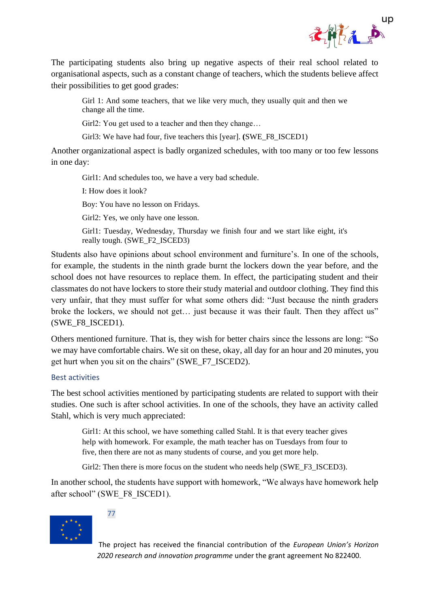

The participating students also bring up negative aspects of their real school related to organisational aspects, such as a constant change of teachers, which the students believe affect their possibilities to get good grades:

Girl 1: And some teachers, that we like very much, they usually quit and then we change all the time.

Girl2: You get used to a teacher and then they change…

Girl3: We have had four, five teachers this [year]. **(**SWE\_F8\_ISCED1)

Another organizational aspect is badly organized schedules, with too many or too few lessons in one day:

Girl1: And schedules too, we have a very bad schedule.

I: How does it look?

Boy: You have no lesson on Fridays.

Girl2: Yes, we only have one lesson.

Girl1: Tuesday, Wednesday, Thursday we finish four and we start like eight, it's really tough. (SWE\_F2\_ISCED3)

Students also have opinions about school environment and furniture's. In one of the schools, for example, the students in the ninth grade burnt the lockers down the year before, and the school does not have resources to replace them. In effect, the participating student and their classmates do not have lockers to store their study material and outdoor clothing. They find this very unfair, that they must suffer for what some others did: "Just because the ninth graders broke the lockers, we should not get… just because it was their fault. Then they affect us" (SWE\_F8\_ISCED1).

Others mentioned furniture. That is, they wish for better chairs since the lessons are long: "So we may have comfortable chairs. We sit on these, okay, all day for an hour and 20 minutes, you get hurt when you sit on the chairs" (SWE\_F7\_ISCED2).

#### Best activities

The best school activities mentioned by participating students are related to support with their studies. One such is after school activities. In one of the schools, they have an activity called Stahl, which is very much appreciated:

Girl1: At this school, we have something called Stahl. It is that every teacher gives help with homework. For example, the math teacher has on Tuesdays from four to five, then there are not as many students of course, and you get more help.

Girl2: Then there is more focus on the student who needs help (SWE\_F3\_ISCED3).

In another school, the students have support with homework, "We always have homework help after school" (SWE\_F8\_ISCED1).



77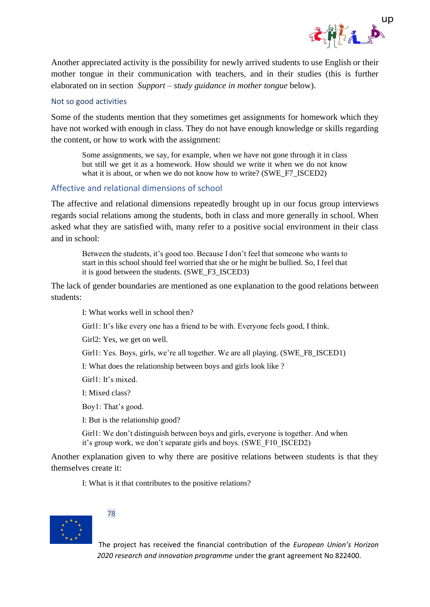

Another appreciated activity is the possibility for newly arrived students to use English or their mother tongue in their communication with teachers, and in their studies (this is further elaborated on in section *Support – study guidance in mother tongue* below).

#### Not so good activities

Some of the students mention that they sometimes get assignments for homework which they have not worked with enough in class. They do not have enough knowledge or skills regarding the content, or how to work with the assignment:

Some assignments, we say, for example, when we have not gone through it in class but still we get it as a homework. How should we write it when we do not know what it is about, or when we do not know how to write? (SWE\_F7\_ISCED2)

### Affective and relational dimensions of school

The affective and relational dimensions repeatedly brought up in our focus group interviews regards social relations among the students, both in class and more generally in school. When asked what they are satisfied with, many refer to a positive social environment in their class and in school:

Between the students, it's good too. Because I don't feel that someone who wants to start in this school should feel worried that she or he might be bullied. So, I feel that it is good between the students. (SWE\_F3\_ISCED3)

The lack of gender boundaries are mentioned as one explanation to the good relations between students:

I: What works well in school then?

Girl1: It's like every one has a friend to be with. Everyone feels good, I think.

Girl2: Yes, we get on well.

Girl1: Yes. Boys, girls, we're all together. We are all playing. (SWE\_F8\_ISCED1)

I: What does the relationship between boys and girls look like ?

Girl1: It's mixed.

I: Mixed class?

Boy1: That's good.

78

I: But is the relationship good?

Girl1: We don't distinguish between boys and girls, everyone is together. And when it's group work, we don't separate girls and boys. (SWE\_F10\_ISCED2)

Another explanation given to why there are positive relations between students is that they themselves create it:

I: What is it that contributes to the positive relations?

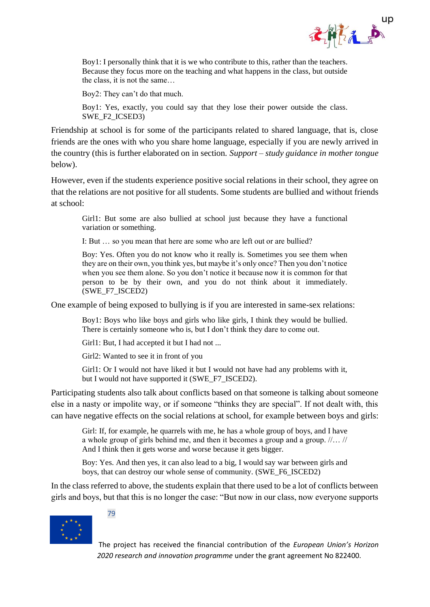

Boy1: I personally think that it is we who contribute to this, rather than the teachers. Because they focus more on the teaching and what happens in the class, but outside the class, it is not the same…

Boy2: They can't do that much.

Boy1: Yes, exactly, you could say that they lose their power outside the class. SWE\_F2\_ICSED3)

Friendship at school is for some of the participants related to shared language, that is, close friends are the ones with who you share home language, especially if you are newly arrived in the country (this is further elaborated on in section*. Support – study guidance in mother tongue* below).

However, even if the students experience positive social relations in their school, they agree on that the relations are not positive for all students. Some students are bullied and without friends at school:

Girl1: But some are also bullied at school just because they have a functional variation or something.

I: But … so you mean that here are some who are left out or are bullied?

Boy: Yes. Often you do not know who it really is. Sometimes you see them when they are on their own, you think yes, but maybe it's only once? Then you don't notice when you see them alone. So you don't notice it because now it is common for that person to be by their own, and you do not think about it immediately. (SWE\_F7\_ISCED2)

One example of being exposed to bullying is if you are interested in same-sex relations:

Boy1: Boys who like boys and girls who like girls, I think they would be bullied. There is certainly someone who is, but I don't think they dare to come out.

Girl1: But, I had accepted it but I had not ...

Girl2: Wanted to see it in front of you

Girl1: Or I would not have liked it but I would not have had any problems with it, but I would not have supported it (SWE\_F7\_ISCED2).

Participating students also talk about conflicts based on that someone is talking about someone else in a nasty or impolite way, or if someone "thinks they are special". If not dealt with, this can have negative effects on the social relations at school, for example between boys and girls:

Girl: If, for example, he quarrels with me, he has a whole group of boys, and I have a whole group of girls behind me, and then it becomes a group and a group. //… // And I think then it gets worse and worse because it gets bigger.

Boy: Yes. And then yes, it can also lead to a big, I would say war between girls and boys, that can destroy our whole sense of community. (SWE\_F6\_ISCED2)

In the class referred to above, the students explain that there used to be a lot of conflicts between girls and boys, but that this is no longer the case: "But now in our class, now everyone supports



79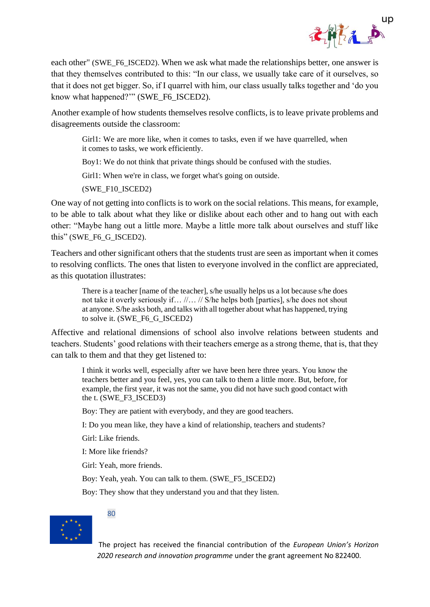

each other" (SWE\_F6\_ISCED2). When we ask what made the relationships better, one answer is that they themselves contributed to this: "In our class, we usually take care of it ourselves, so that it does not get bigger. So, if I quarrel with him, our class usually talks together and 'do you know what happened?'" (SWE\_F6\_ISCED2).

Another example of how students themselves resolve conflicts, is to leave private problems and disagreements outside the classroom:

Girl1: We are more like, when it comes to tasks, even if we have quarrelled, when it comes to tasks, we work efficiently.

Boy1: We do not think that private things should be confused with the studies.

Girl1: When we're in class, we forget what's going on outside.

(SWE\_F10\_ISCED2)

One way of not getting into conflicts is to work on the social relations. This means, for example, to be able to talk about what they like or dislike about each other and to hang out with each other: "Maybe hang out a little more. Maybe a little more talk about ourselves and stuff like this" (SWE\_F6\_G\_ISCED2).

Teachers and other significant others that the students trust are seen as important when it comes to resolving conflicts. The ones that listen to everyone involved in the conflict are appreciated, as this quotation illustrates:

There is a teacher [name of the teacher], s/he usually helps us a lot because s/he does not take it overly seriously if… //… // S/he helps both [parties], s/he does not shout at anyone. S/he asks both, and talks with all together about what has happened, trying to solve it. (SWE\_F6\_G\_ISCED2)

Affective and relational dimensions of school also involve relations between students and teachers. Students' good relations with their teachers emerge as a strong theme, that is, that they can talk to them and that they get listened to:

I think it works well, especially after we have been here three years. You know the teachers better and you feel, yes, you can talk to them a little more. But, before, for example, the first year, it was not the same, you did not have such good contact with the t. (SWE\_F3\_ISCED3)

Boy: They are patient with everybody, and they are good teachers.

I: Do you mean like, they have a kind of relationship, teachers and students?

Girl: Like friends.

80

I: More like friends?

Girl: Yeah, more friends.

Boy: Yeah, yeah. You can talk to them. (SWE\_F5\_ISCED2)

Boy: They show that they understand you and that they listen.

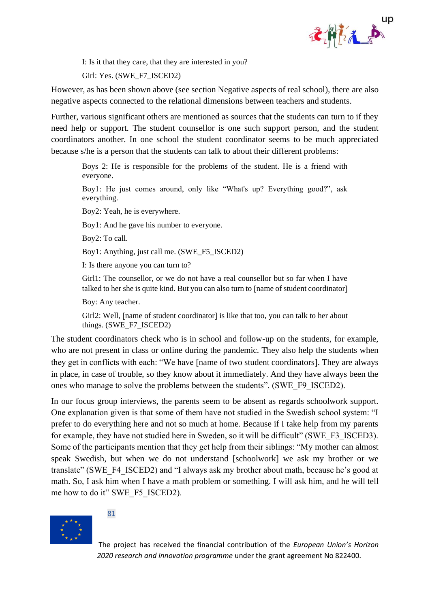

I: Is it that they care, that they are interested in you?

Girl: Yes. (SWE\_F7\_ISCED2)

However, as has been shown above (see section Negative aspects of real school), there are also negative aspects connected to the relational dimensions between teachers and students.

Further, various significant others are mentioned as sources that the students can turn to if they need help or support. The student counsellor is one such support person, and the student coordinators another. In one school the student coordinator seems to be much appreciated because s/he is a person that the students can talk to about their different problems:

Boys 2: He is responsible for the problems of the student. He is a friend with everyone.

Boy1: He just comes around, only like "What's up? Everything good?", ask everything.

Boy2: Yeah, he is everywhere.

Boy1: And he gave his number to everyone.

Boy2: To call.

Boy1: Anything, just call me. (SWE\_F5\_ISCED2)

I: Is there anyone you can turn to?

Girl1: The counsellor, or we do not have a real counsellor but so far when I have talked to her she is quite kind. But you can also turn to [name of student coordinator]

Boy: Any teacher.

81

Girl2: Well, [name of student coordinator] is like that too, you can talk to her about things. (SWE\_F7\_ISCED2)

The student coordinators check who is in school and follow-up on the students, for example, who are not present in class or online during the pandemic. They also help the students when they get in conflicts with each: "We have [name of two student coordinators]. They are always in place, in case of trouble, so they know about it immediately. And they have always been the ones who manage to solve the problems between the students". (SWE\_F9\_ISCED2).

In our focus group interviews, the parents seem to be absent as regards schoolwork support. One explanation given is that some of them have not studied in the Swedish school system: "I prefer to do everything here and not so much at home. Because if I take help from my parents for example, they have not studied here in Sweden, so it will be difficult" (SWE\_F3\_ISCED3). Some of the participants mention that they get help from their siblings: "My mother can almost speak Swedish, but when we do not understand [schoolwork] we ask my brother or we translate" (SWE\_F4\_ISCED2) and "I always ask my brother about math, because he's good at math. So, I ask him when I have a math problem or something. I will ask him, and he will tell me how to do it" SWE\_F5\_ISCED2).

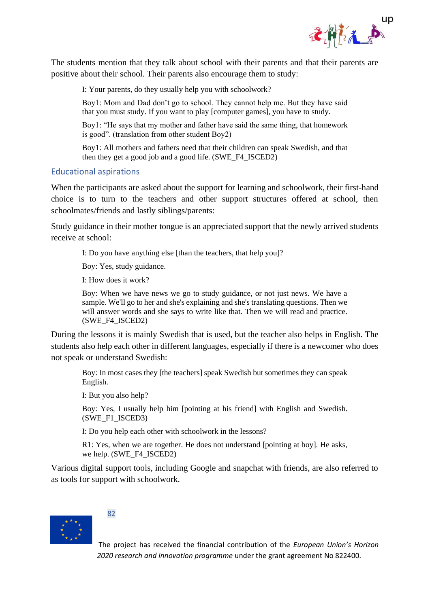

The students mention that they talk about school with their parents and that their parents are positive about their school. Their parents also encourage them to study:

I: Your parents, do they usually help you with schoolwork?

Boy1: Mom and Dad don't go to school. They cannot help me. But they have said that you must study. If you want to play [computer games], you have to study.

Boy1: "He says that my mother and father have said the same thing, that homework is good". (translation from other student Boy2)

Boy1: All mothers and fathers need that their children can speak Swedish, and that then they get a good job and a good life. (SWE\_F4\_ISCED2)

## Educational aspirations

When the participants are asked about the support for learning and schoolwork, their first-hand choice is to turn to the teachers and other support structures offered at school, then schoolmates/friends and lastly siblings/parents:

Study guidance in their mother tongue is an appreciated support that the newly arrived students receive at school:

I: Do you have anything else [than the teachers, that help you]?

Boy: Yes, study guidance.

I: How does it work?

Boy: When we have news we go to study guidance, or not just news. We have a sample. We'll go to her and she's explaining and she's translating questions. Then we will answer words and she says to write like that. Then we will read and practice. (SWE\_F4\_ISCED2)

During the lessons it is mainly Swedish that is used, but the teacher also helps in English. The students also help each other in different languages, especially if there is a newcomer who does not speak or understand Swedish:

Boy: In most cases they [the teachers] speak Swedish but sometimes they can speak English.

I: But you also help?

82

Boy: Yes, I usually help him [pointing at his friend] with English and Swedish. (SWE\_F1\_ISCED3)

I: Do you help each other with schoolwork in the lessons?

R1: Yes, when we are together. He does not understand [pointing at boy]. He asks, we help. (SWE\_F4\_ISCED2)

Various digital support tools, including Google and snapchat with friends, are also referred to as tools for support with schoolwork.

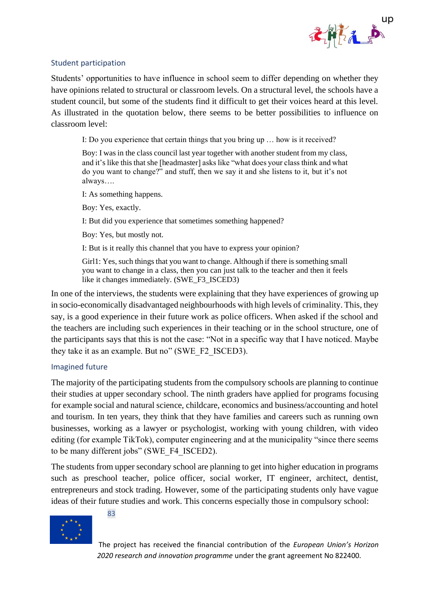

## Student participation

Students' opportunities to have influence in school seem to differ depending on whether they have opinions related to structural or classroom levels. On a structural level, the schools have a student council, but some of the students find it difficult to get their voices heard at this level. As illustrated in the quotation below, there seems to be better possibilities to influence on classroom level:

I: Do you experience that certain things that you bring up … how is it received?

Boy: I was in the class council last year together with another student from my class, and it's like this that she [headmaster] asks like "what does your class think and what do you want to change?" and stuff, then we say it and she listens to it, but it's not always….

I: As something happens.

Boy: Yes, exactly.

I: But did you experience that sometimes something happened?

Boy: Yes, but mostly not.

I: But is it really this channel that you have to express your opinion?

Girl1: Yes, such things that you want to change. Although if there is something small you want to change in a class, then you can just talk to the teacher and then it feels like it changes immediately. (SWE\_F3\_ISCED3)

In one of the interviews, the students were explaining that they have experiences of growing up in socio-economically disadvantaged neighbourhoods with high levels of criminality. This, they say, is a good experience in their future work as police officers. When asked if the school and the teachers are including such experiences in their teaching or in the school structure, one of the participants says that this is not the case: "Not in a specific way that I have noticed. Maybe they take it as an example. But no" (SWE\_F2\_ISCED3).

### Imagined future

The majority of the participating students from the compulsory schools are planning to continue their studies at upper secondary school. The ninth graders have applied for programs focusing for example social and natural science, childcare, economics and business/accounting and hotel and tourism. In ten years, they think that they have families and careers such as running own businesses, working as a lawyer or psychologist, working with young children, with video editing (for example TikTok), computer engineering and at the municipality "since there seems to be many different jobs" (SWE\_F4\_ISCED2).

The students from upper secondary school are planning to get into higher education in programs such as preschool teacher, police officer, social worker, IT engineer, architect, dentist, entrepreneurs and stock trading. However, some of the participating students only have vague ideas of their future studies and work. This concerns especially those in compulsory school:



83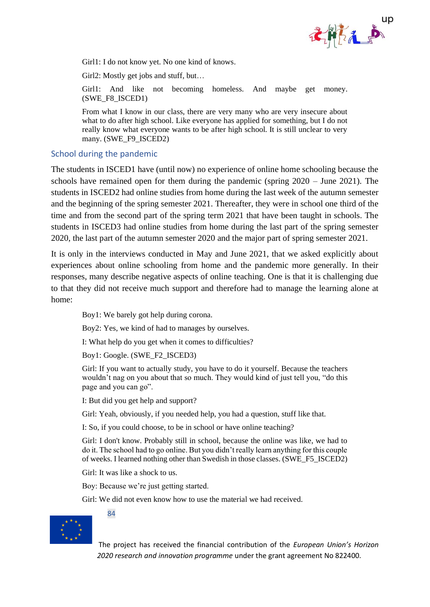

Girl1: I do not know yet. No one kind of knows.

Girl2: Mostly get jobs and stuff, but...

Girl1: And like not becoming homeless. And maybe get money. (SWE\_F8\_ISCED1)

From what I know in our class, there are very many who are very insecure about what to do after high school. Like everyone has applied for something, but I do not really know what everyone wants to be after high school. It is still unclear to very many. (SWE\_F9\_ISCED2)

### School during the pandemic

The students in ISCED1 have (until now) no experience of online home schooling because the schools have remained open for them during the pandemic (spring 2020 – June 2021). The students in ISCED2 had online studies from home during the last week of the autumn semester and the beginning of the spring semester 2021. Thereafter, they were in school one third of the time and from the second part of the spring term 2021 that have been taught in schools. The students in ISCED3 had online studies from home during the last part of the spring semester 2020, the last part of the autumn semester 2020 and the major part of spring semester 2021.

It is only in the interviews conducted in May and June 2021, that we asked explicitly about experiences about online schooling from home and the pandemic more generally. In their responses, many describe negative aspects of online teaching. One is that it is challenging due to that they did not receive much support and therefore had to manage the learning alone at home:

Boy1: We barely got help during corona.

Boy2: Yes, we kind of had to manages by ourselves.

I: What help do you get when it comes to difficulties?

Boy1: Google. (SWE\_F2\_ISCED3)

Girl: If you want to actually study, you have to do it yourself. Because the teachers wouldn't nag on you about that so much. They would kind of just tell you, "do this page and you can go".

I: But did you get help and support?

Girl: Yeah, obviously, if you needed help, you had a question, stuff like that.

I: So, if you could choose, to be in school or have online teaching?

Girl: I don't know. Probably still in school, because the online was like, we had to do it. The school had to go online. But you didn't really learn anything for this couple of weeks. I learned nothing other than Swedish in those classes. (SWE\_F5\_ISCED2)

Girl: It was like a shock to us.

84

Boy: Because we're just getting started.

Girl: We did not even know how to use the material we had received.

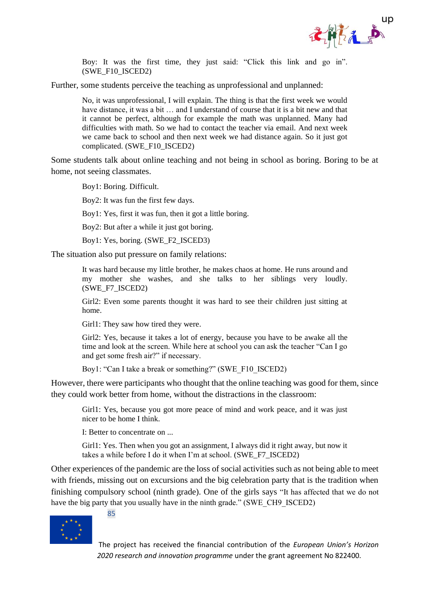

Boy: It was the first time, they just said: "Click this link and go in". (SWE\_F10\_ISCED2)

Further, some students perceive the teaching as unprofessional and unplanned:

No, it was unprofessional, I will explain. The thing is that the first week we would have distance, it was a bit ... and I understand of course that it is a bit new and that it cannot be perfect, although for example the math was unplanned. Many had difficulties with math. So we had to contact the teacher via email. And next week we came back to school and then next week we had distance again. So it just got complicated. (SWE\_F10\_ISCED2)

Some students talk about online teaching and not being in school as boring. Boring to be at home, not seeing classmates.

Boy1: Boring. Difficult.

Boy2: It was fun the first few days.

Boy1: Yes, first it was fun, then it got a little boring.

Boy2: But after a while it just got boring.

Boy1: Yes, boring. (SWE\_F2\_ISCED3)

The situation also put pressure on family relations:

It was hard because my little brother, he makes chaos at home. He runs around and my mother she washes, and she talks to her siblings very loudly. (SWE\_F7\_ISCED2)

Girl2: Even some parents thought it was hard to see their children just sitting at home.

Girl1: They saw how tired they were.

Girl2: Yes, because it takes a lot of energy, because you have to be awake all the time and look at the screen. While here at school you can ask the teacher "Can I go and get some fresh air?" if necessary.

Boy1: "Can I take a break or something?" (SWE\_F10\_ISCED2)

However, there were participants who thought that the online teaching was good for them, since they could work better from home, without the distractions in the classroom:

Girl1: Yes, because you got more peace of mind and work peace, and it was just nicer to be home I think.

I: Better to concentrate on ...

85

Girl1: Yes. Then when you got an assignment, I always did it right away, but now it takes a while before I do it when I'm at school. (SWE\_F7\_ISCED2)

Other experiences of the pandemic are the loss of social activities such as not being able to meet with friends, missing out on excursions and the big celebration party that is the tradition when finishing compulsory school (ninth grade). One of the girls says "It has affected that we do not have the big party that you usually have in the ninth grade." (SWE\_CH9\_ISCED2)

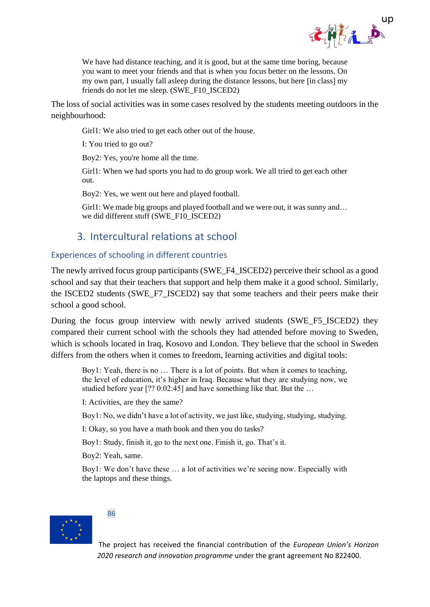

We have had distance teaching, and it is good, but at the same time boring, because you want to meet your friends and that is when you focus better on the lessons. On my own part, I usually fall asleep during the distance lessons, but here [in class] my friends do not let me sleep. (SWE\_F10\_ISCED2)

The loss of social activities was in some cases resolved by the students meeting outdoors in the neighbourhood:

Girl1: We also tried to get each other out of the house.

I: You tried to go out?

Boy2: Yes, you're home all the time.

Girl1: When we had sports you had to do group work. We all tried to get each other out.

Boy2: Yes, we went out here and played football.

Girl1: We made big groups and played football and we were out, it was sunny and... we did different stuff (SWE\_F10\_ISCED2)

# 3. Intercultural relations at school

## Experiences of schooling in different countries

The newly arrived focus group participants (SWE\_F4\_ISCED2) perceive their school as a good school and say that their teachers that support and help them make it a good school. Similarly, the ISCED2 students (SWE\_F7\_ISCED2) say that some teachers and their peers make their school a good school.

During the focus group interview with newly arrived students (SWE\_F5\_ISCED2) they compared their current school with the schools they had attended before moving to Sweden, which is schools located in Iraq, Kosovo and London. They believe that the school in Sweden differs from the others when it comes to freedom, learning activities and digital tools:

Boy1: Yeah, there is no … There is a lot of points. But when it comes to teaching, the level of education, it's higher in Iraq. Because what they are studying now, we studied before year [?? 0:02:45] and have something like that. But the …

I: Activities, are they the same?

Boy1: No, we didn't have a lot of activity, we just like, studying, studying, studying.

I: Okay, so you have a math book and then you do tasks?

Boy1: Study, finish it, go to the next one. Finish it, go. That's it.

Boy2: Yeah, same.

86

Boy1: We don't have these … a lot of activities we're seeing now. Especially with the laptops and these things.

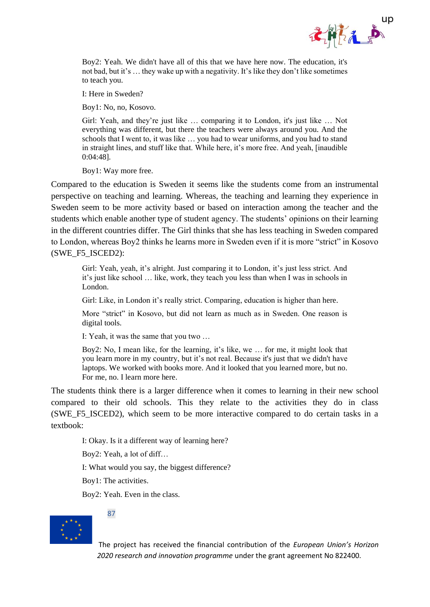

Boy2: Yeah. We didn't have all of this that we have here now. The education, it's not bad, but it's … they wake up with a negativity. It's like they don't like sometimes to teach you.

I: Here in Sweden?

Boy1: No, no, Kosovo.

Girl: Yeah, and they're just like … comparing it to London, it's just like … Not everything was different, but there the teachers were always around you. And the schools that I went to, it was like … you had to wear uniforms, and you had to stand in straight lines, and stuff like that. While here, it's more free. And yeah, [inaudible 0:04:48].

Boy1: Way more free.

Compared to the education is Sweden it seems like the students come from an instrumental perspective on teaching and learning. Whereas, the teaching and learning they experience in Sweden seem to be more activity based or based on interaction among the teacher and the students which enable another type of student agency. The students' opinions on their learning in the different countries differ. The Girl thinks that she has less teaching in Sweden compared to London, whereas Boy2 thinks he learns more in Sweden even if it is more "strict" in Kosovo (SWE\_F5\_ISCED2):

Girl: Yeah, yeah, it's alright. Just comparing it to London, it's just less strict. And it's just like school … like, work, they teach you less than when I was in schools in London.

Girl: Like, in London it's really strict. Comparing, education is higher than here.

More "strict" in Kosovo, but did not learn as much as in Sweden. One reason is digital tools.

I: Yeah, it was the same that you two …

Boy2: No, I mean like, for the learning, it's like, we … for me, it might look that you learn more in my country, but it's not real. Because it's just that we didn't have laptops. We worked with books more. And it looked that you learned more, but no. For me, no. I learn more here.

The students think there is a larger difference when it comes to learning in their new school compared to their old schools. This they relate to the activities they do in class (SWE\_F5\_ISCED2), which seem to be more interactive compared to do certain tasks in a textbook:

I: Okay. Is it a different way of learning here?

Boy2: Yeah, a lot of diff…

I: What would you say, the biggest difference?

Boy1: The activities.

87

Boy2: Yeah. Even in the class.

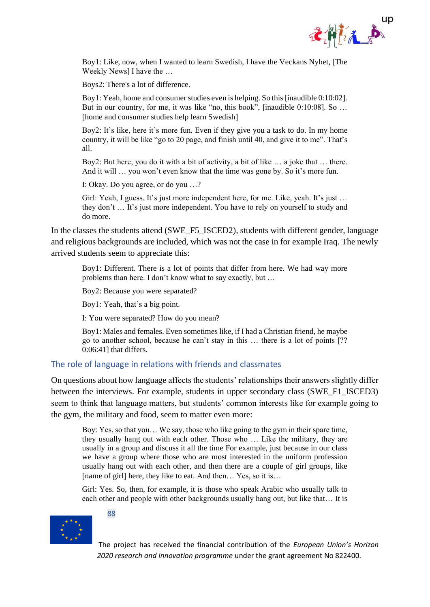

Boy1: Like, now, when I wanted to learn Swedish, I have the Veckans Nyhet, [The Weekly News] I have the …

Boys2: There's a lot of difference.

Boy1: Yeah, home and consumer studies even is helping. So this [inaudible 0:10:02]. But in our country, for me, it was like "no, this book", [inaudible 0:10:08]. So ... home and consumer studies help learn Swedish

Boy2: It's like, here it's more fun. Even if they give you a task to do. In my home country, it will be like "go to 20 page, and finish until 40, and give it to me". That's all.

Boy2: But here, you do it with a bit of activity, a bit of like … a joke that … there. And it will … you won't even know that the time was gone by. So it's more fun.

I: Okay. Do you agree, or do you …?

Girl: Yeah, I guess. It's just more independent here, for me. Like, yeah. It's just … they don't … It's just more independent. You have to rely on yourself to study and do more.

In the classes the students attend (SWE\_F5\_ISCED2), students with different gender, language and religious backgrounds are included, which was not the case in for example Iraq. The newly arrived students seem to appreciate this:

Boy1: Different. There is a lot of points that differ from here. We had way more problems than here. I don't know what to say exactly, but …

Boy2: Because you were separated?

Boy1: Yeah, that's a big point.

I: You were separated? How do you mean?

Boy1: Males and females. Even sometimes like, if I had a Christian friend, he maybe go to another school, because he can't stay in this … there is a lot of points [?? 0:06:41] that differs.

#### The role of language in relations with friends and classmates

On questions about how language affects the students' relationships their answers slightly differ between the interviews. For example, students in upper secondary class (SWE\_F1\_ISCED3) seem to think that language matters, but students' common interests like for example going to the gym, the military and food, seem to matter even more:

Boy: Yes, so that you… We say, those who like going to the gym in their spare time, they usually hang out with each other. Those who … Like the military, they are usually in a group and discuss it all the time For example, just because in our class we have a group where those who are most interested in the uniform profession usually hang out with each other, and then there are a couple of girl groups, like [name of girl] here, they like to eat. And then... Yes, so it is...

Girl: Yes. So, then, for example, it is those who speak Arabic who usually talk to each other and people with other backgrounds usually hang out, but like that… It is



88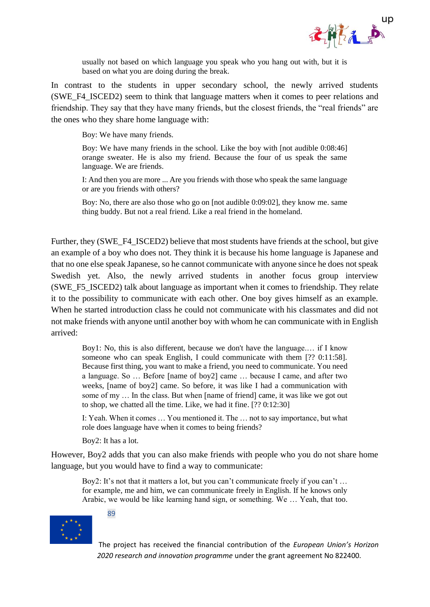

usually not based on which language you speak who you hang out with, but it is based on what you are doing during the break.

In contrast to the students in upper secondary school, the newly arrived students (SWE\_F4\_ISCED2) seem to think that language matters when it comes to peer relations and friendship. They say that they have many friends, but the closest friends, the "real friends" are the ones who they share home language with:

Boy: We have many friends.

Boy: We have many friends in the school. Like the boy with [not audible 0:08:46] orange sweater. He is also my friend. Because the four of us speak the same language. We are friends.

I: And then you are more ... Are you friends with those who speak the same language or are you friends with others?

Boy: No, there are also those who go on [not audible 0:09:02], they know me. same thing buddy. But not a real friend. Like a real friend in the homeland.

Further, they (SWE\_F4\_ISCED2) believe that most students have friends at the school, but give an example of a boy who does not. They think it is because his home language is Japanese and that no one else speak Japanese, so he cannot communicate with anyone since he does not speak Swedish yet. Also, the newly arrived students in another focus group interview (SWE\_F5\_ISCED2) talk about language as important when it comes to friendship. They relate it to the possibility to communicate with each other. One boy gives himself as an example. When he started introduction class he could not communicate with his classmates and did not not make friends with anyone until another boy with whom he can communicate with in English arrived:

Boy1: No, this is also different, because we don't have the language.… if I know someone who can speak English, I could communicate with them [?? 0:11:58]. Because first thing, you want to make a friend, you need to communicate. You need a language. So ... Before [name of boy2] came ... because I came, and after two weeks, [name of boy2] came. So before, it was like I had a communication with some of my ... In the class. But when [name of friend] came, it was like we got out to shop, we chatted all the time. Like, we had it fine. [?? 0:12:30]

I: Yeah. When it comes … You mentioned it. The … not to say importance, but what role does language have when it comes to being friends?

Boy2: It has a lot.

89

However, Boy2 adds that you can also make friends with people who you do not share home language, but you would have to find a way to communicate:

Boy2: It's not that it matters a lot, but you can't communicate freely if you can't … for example, me and him, we can communicate freely in English. If he knows only Arabic, we would be like learning hand sign, or something. We … Yeah, that too.

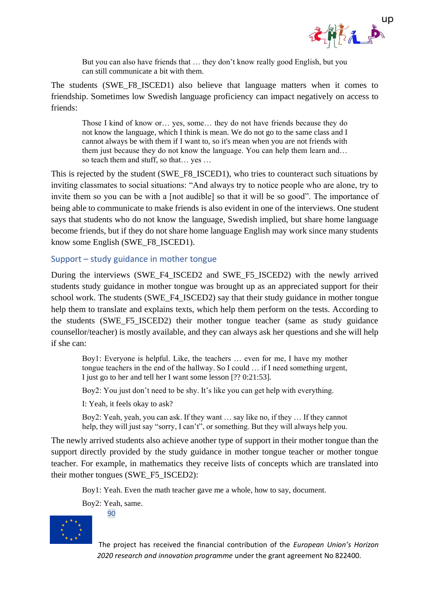

But you can also have friends that … they don't know really good English, but you can still communicate a bit with them.

The students (SWE\_F8\_ISCED1) also believe that language matters when it comes to friendship. Sometimes low Swedish language proficiency can impact negatively on access to friends:

Those I kind of know or… yes, some… they do not have friends because they do not know the language, which I think is mean. We do not go to the same class and I cannot always be with them if I want to, so it's mean when you are not friends with them just because they do not know the language. You can help them learn and… so teach them and stuff, so that… yes …

This is rejected by the student (SWE\_F8\_ISCED1), who tries to counteract such situations by inviting classmates to social situations: "And always try to notice people who are alone, try to invite them so you can be with a [not audible] so that it will be so good". The importance of being able to communicate to make friends is also evident in one of the interviews. One student says that students who do not know the language, Swedish implied, but share home language become friends, but if they do not share home language English may work since many students know some English (SWE\_F8\_ISCED1).

### Support – study guidance in mother tongue

During the interviews (SWE\_F4\_ISCED2 and SWE\_F5\_ISCED2) with the newly arrived students study guidance in mother tongue was brought up as an appreciated support for their school work. The students (SWE\_F4\_ISCED2) say that their study guidance in mother tongue help them to translate and explains texts, which help them perform on the tests. According to the students (SWE\_F5\_ISCED2) their mother tongue teacher (same as study guidance counsellor/teacher) is mostly available, and they can always ask her questions and she will help if she can:

Boy1: Everyone is helpful. Like, the teachers … even for me, I have my mother tongue teachers in the end of the hallway. So I could … if I need something urgent, I just go to her and tell her I want some lesson [?? 0:21:53].

Boy2: You just don't need to be shy. It's like you can get help with everything.

I: Yeah, it feels okay to ask?

Boy2: Yeah, yeah, you can ask. If they want … say like no, if they … If they cannot help, they will just say "sorry, I can't", or something. But they will always help you.

The newly arrived students also achieve another type of support in their mother tongue than the support directly provided by the study guidance in mother tongue teacher or mother tongue teacher. For example, in mathematics they receive lists of concepts which are translated into their mother tongues (SWE\_F5\_ISCED2):

Boy1: Yeah. Even the math teacher gave me a whole, how to say, document.

90 Boy2: Yeah, same.

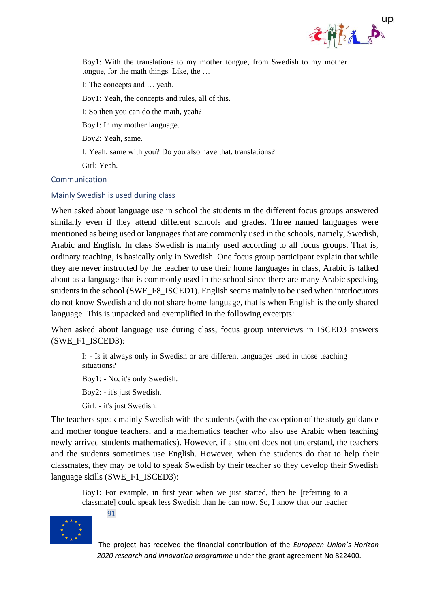

Boy1: With the translations to my mother tongue, from Swedish to my mother tongue, for the math things. Like, the …

I: The concepts and … yeah.

Boy1: Yeah, the concepts and rules, all of this.

I: So then you can do the math, yeah?

Boy1: In my mother language.

Boy2: Yeah, same.

I: Yeah, same with you? Do you also have that, translations?

Girl: Yeah.

Communication

#### Mainly Swedish is used during class

When asked about language use in school the students in the different focus groups answered similarly even if they attend different schools and grades. Three named languages were mentioned as being used or languages that are commonly used in the schools, namely, Swedish, Arabic and English. In class Swedish is mainly used according to all focus groups. That is, ordinary teaching, is basically only in Swedish. One focus group participant explain that while they are never instructed by the teacher to use their home languages in class, Arabic is talked about as a language that is commonly used in the school since there are many Arabic speaking students in the school (SWE\_F8\_ISCED1). English seems mainly to be used when interlocutors do not know Swedish and do not share home language, that is when English is the only shared language. This is unpacked and exemplified in the following excerpts:

When asked about language use during class, focus group interviews in ISCED3 answers (SWE\_F1\_ISCED3):

I: - Is it always only in Swedish or are different languages used in those teaching situations?

Boy1: - No, it's only Swedish.

Boy2: - it's just Swedish.

Girl: - it's just Swedish.

91

The teachers speak mainly Swedish with the students (with the exception of the study guidance and mother tongue teachers, and a mathematics teacher who also use Arabic when teaching newly arrived students mathematics). However, if a student does not understand, the teachers and the students sometimes use English. However, when the students do that to help their classmates, they may be told to speak Swedish by their teacher so they develop their Swedish language skills (SWE\_F1\_ISCED3):

Boy1: For example, in first year when we just started, then he [referring to a classmate] could speak less Swedish than he can now. So, I know that our teacher

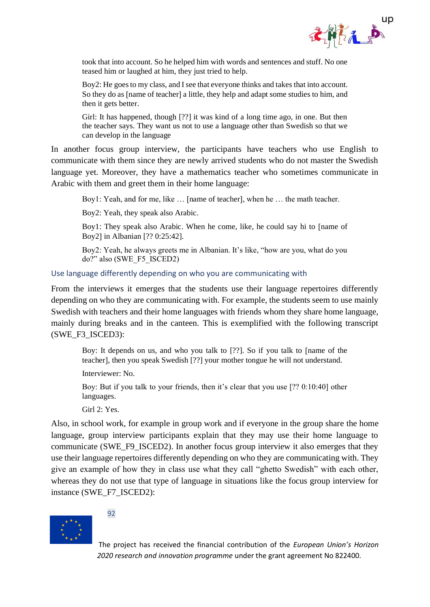

took that into account. So he helped him with words and sentences and stuff. No one teased him or laughed at him, they just tried to help.

Boy2: He goes to my class, and I see that everyone thinks and takes that into account. So they do as [name of teacher] a little, they help and adapt some studies to him, and then it gets better.

Girl: It has happened, though [??] it was kind of a long time ago, in one. But then the teacher says. They want us not to use a language other than Swedish so that we can develop in the language

In another focus group interview, the participants have teachers who use English to communicate with them since they are newly arrived students who do not master the Swedish language yet. Moreover, they have a mathematics teacher who sometimes communicate in Arabic with them and greet them in their home language:

Boy1: Yeah, and for me, like ... [name of teacher], when he ... the math teacher.

Boy2: Yeah, they speak also Arabic.

Boy1: They speak also Arabic. When he come, like, he could say hi to fname of Boy21 in Albanian [?? 0:25:42].

Boy2: Yeah, he always greets me in Albanian. It's like, "how are you, what do you do?" also (SWE\_F5\_ISCED2)

#### Use language differently depending on who you are communicating with

From the interviews it emerges that the students use their language repertoires differently depending on who they are communicating with. For example, the students seem to use mainly Swedish with teachers and their home languages with friends whom they share home language, mainly during breaks and in the canteen. This is exemplified with the following transcript (SWE\_F3\_ISCED3):

Boy: It depends on us, and who you talk to  $[??]$ . So if you talk to  $[name of the]$ teacher, then you speak Swedish [??] your mother tongue he will not understand.

Interviewer: No.

92

Boy: But if you talk to your friends, then it's clear that you use [?? 0:10:40] other languages.

Girl 2: Yes.

Also, in school work, for example in group work and if everyone in the group share the home language, group interview participants explain that they may use their home language to communicate (SWE\_F9\_ISCED2). In another focus group interview it also emerges that they use their language repertoires differently depending on who they are communicating with. They give an example of how they in class use what they call "ghetto Swedish" with each other, whereas they do not use that type of language in situations like the focus group interview for instance (SWE\_F7\_ISCED2):

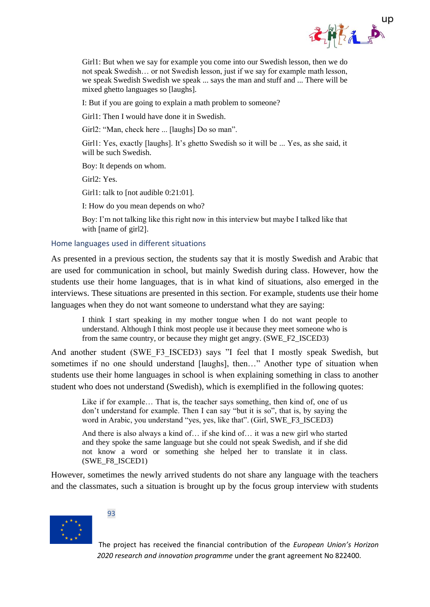

Girl1: But when we say for example you come into our Swedish lesson, then we do not speak Swedish… or not Swedish lesson, just if we say for example math lesson, we speak Swedish Swedish we speak ... says the man and stuff and ... There will be mixed ghetto languages so [laughs].

I: But if you are going to explain a math problem to someone?

Girl1: Then I would have done it in Swedish.

Girl2: "Man, check here ... [laughs] Do so man".

Girl1: Yes, exactly [laughs]. It's ghetto Swedish so it will be ... Yes, as she said, it will be such Swedish.

Boy: It depends on whom.

Girl2: Yes.

Girl1: talk to [not audible 0:21:01].

I: How do you mean depends on who?

Boy: I'm not talking like this right now in this interview but maybe I talked like that with [name of girl2].

#### Home languages used in different situations

As presented in a previous section, the students say that it is mostly Swedish and Arabic that are used for communication in school, but mainly Swedish during class. However, how the students use their home languages, that is in what kind of situations, also emerged in the interviews. These situations are presented in this section. For example, students use their home languages when they do not want someone to understand what they are saying:

I think I start speaking in my mother tongue when I do not want people to understand. Although I think most people use it because they meet someone who is from the same country, or because they might get angry. (SWE\_F2\_ISCED3)

And another student (SWE\_F3\_ISCED3) says "I feel that I mostly speak Swedish, but sometimes if no one should understand [laughs], then..." Another type of situation when students use their home languages in school is when explaining something in class to another student who does not understand (Swedish), which is exemplified in the following quotes:

Like if for example… That is, the teacher says something, then kind of, one of us don't understand for example. Then I can say "but it is so", that is, by saying the word in Arabic, you understand "yes, yes, like that". (Girl, SWE\_F3\_ISCED3)

And there is also always a kind of… if she kind of… it was a new girl who started and they spoke the same language but she could not speak Swedish, and if she did not know a word or something she helped her to translate it in class. (SWE\_F8\_ISCED1)

However, sometimes the newly arrived students do not share any language with the teachers and the classmates, such a situation is brought up by the focus group interview with students



93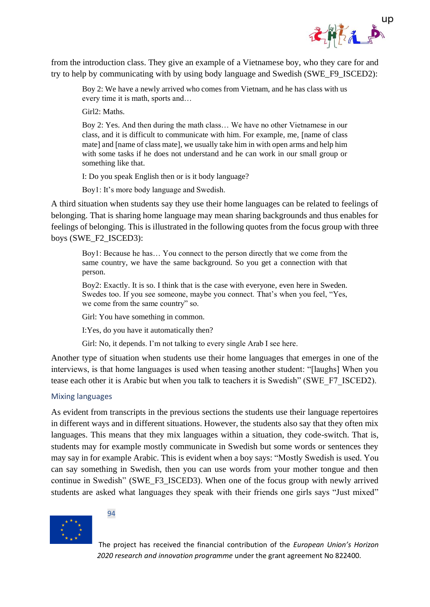

from the introduction class. They give an example of a Vietnamese boy, who they care for and try to help by communicating with by using body language and Swedish (SWE\_F9\_ISCED2):

Boy 2: We have a newly arrived who comes from Vietnam, and he has class with us every time it is math, sports and…

Girl2: Maths.

Boy 2: Yes. And then during the math class… We have no other Vietnamese in our class, and it is difficult to communicate with him. For example, me, fname of class mate] and [name of class mate], we usually take him in with open arms and help him with some tasks if he does not understand and he can work in our small group or something like that.

I: Do you speak English then or is it body language?

Boy1: It's more body language and Swedish.

A third situation when students say they use their home languages can be related to feelings of belonging. That is sharing home language may mean sharing backgrounds and thus enables for feelings of belonging. This is illustrated in the following quotes from the focus group with three boys (SWE\_F2\_ISCED3):

Boy1: Because he has… You connect to the person directly that we come from the same country, we have the same background. So you get a connection with that person.

Boy2: Exactly. It is so. I think that is the case with everyone, even here in Sweden. Swedes too. If you see someone, maybe you connect. That's when you feel, "Yes, we come from the same country" so.

Girl: You have something in common.

I:Yes, do you have it automatically then?

Girl: No, it depends. I'm not talking to every single Arab I see here.

Another type of situation when students use their home languages that emerges in one of the interviews, is that home languages is used when teasing another student: "[laughs] When you tease each other it is Arabic but when you talk to teachers it is Swedish" (SWE\_F7\_ISCED2).

### Mixing languages

As evident from transcripts in the previous sections the students use their language repertoires in different ways and in different situations. However, the students also say that they often mix languages. This means that they mix languages within a situation, they code-switch. That is, students may for example mostly communicate in Swedish but some words or sentences they may say in for example Arabic. This is evident when a boy says: "Mostly Swedish is used. You can say something in Swedish, then you can use words from your mother tongue and then continue in Swedish" (SWE\_F3\_ISCED3). When one of the focus group with newly arrived students are asked what languages they speak with their friends one girls says "Just mixed"



94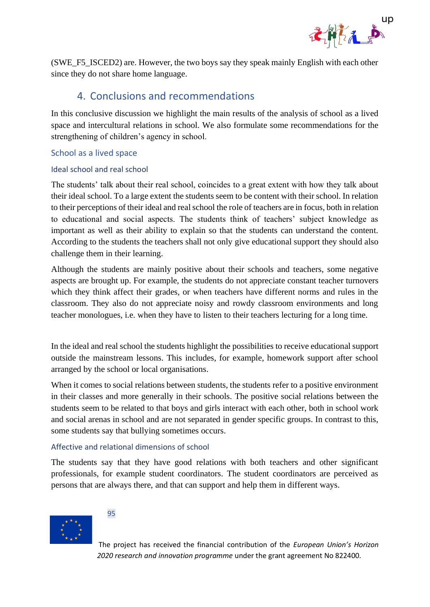

(SWE\_F5\_ISCED2) are. However, the two boys say they speak mainly English with each other since they do not share home language.

# 4. Conclusions and recommendations

In this conclusive discussion we highlight the main results of the analysis of school as a lived space and intercultural relations in school. We also formulate some recommendations for the strengthening of children's agency in school.

# School as a lived space

# Ideal school and real school

The students' talk about their real school, coincides to a great extent with how they talk about their ideal school. To a large extent the students seem to be content with their school. In relation to their perceptions of their ideal and real school the role of teachers are in focus, both in relation to educational and social aspects. The students think of teachers' subject knowledge as important as well as their ability to explain so that the students can understand the content. According to the students the teachers shall not only give educational support they should also challenge them in their learning.

Although the students are mainly positive about their schools and teachers, some negative aspects are brought up. For example, the students do not appreciate constant teacher turnovers which they think affect their grades, or when teachers have different norms and rules in the classroom. They also do not appreciate noisy and rowdy classroom environments and long teacher monologues, i.e. when they have to listen to their teachers lecturing for a long time.

In the ideal and real school the students highlight the possibilities to receive educational support outside the mainstream lessons. This includes, for example, homework support after school arranged by the school or local organisations.

When it comes to social relations between students, the students refer to a positive environment in their classes and more generally in their schools. The positive social relations between the students seem to be related to that boys and girls interact with each other, both in school work and social arenas in school and are not separated in gender specific groups. In contrast to this, some students say that bullying sometimes occurs.

# Affective and relational dimensions of school

95

The students say that they have good relations with both teachers and other significant professionals, for example student coordinators. The student coordinators are perceived as persons that are always there, and that can support and help them in different ways.

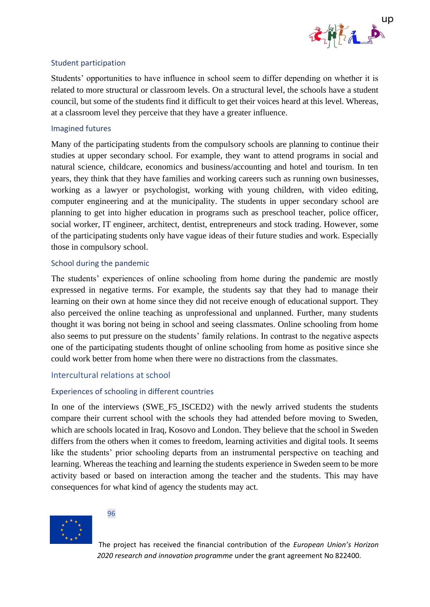

## Student participation

Students' opportunities to have influence in school seem to differ depending on whether it is related to more structural or classroom levels. On a structural level, the schools have a student council, but some of the students find it difficult to get their voices heard at this level. Whereas, at a classroom level they perceive that they have a greater influence.

#### Imagined futures

Many of the participating students from the compulsory schools are planning to continue their studies at upper secondary school. For example, they want to attend programs in social and natural science, childcare, economics and business/accounting and hotel and tourism. In ten years, they think that they have families and working careers such as running own businesses, working as a lawyer or psychologist, working with young children, with video editing, computer engineering and at the municipality. The students in upper secondary school are planning to get into higher education in programs such as preschool teacher, police officer, social worker, IT engineer, architect, dentist, entrepreneurs and stock trading. However, some of the participating students only have vague ideas of their future studies and work. Especially those in compulsory school.

### School during the pandemic

The students' experiences of online schooling from home during the pandemic are mostly expressed in negative terms. For example, the students say that they had to manage their learning on their own at home since they did not receive enough of educational support. They also perceived the online teaching as unprofessional and unplanned. Further, many students thought it was boring not being in school and seeing classmates. Online schooling from home also seems to put pressure on the students' family relations. In contrast to the negative aspects one of the participating students thought of online schooling from home as positive since she could work better from home when there were no distractions from the classmates.

# Intercultural relations at school

96

### Experiences of schooling in different countries

In one of the interviews (SWE\_F5\_ISCED2) with the newly arrived students the students compare their current school with the schools they had attended before moving to Sweden, which are schools located in Iraq, Kosovo and London. They believe that the school in Sweden differs from the others when it comes to freedom, learning activities and digital tools. It seems like the students' prior schooling departs from an instrumental perspective on teaching and learning. Whereas the teaching and learning the students experience in Sweden seem to be more activity based or based on interaction among the teacher and the students. This may have consequences for what kind of agency the students may act.

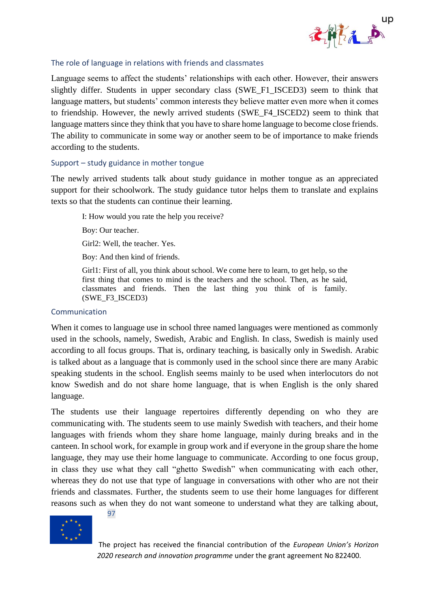

## The role of language in relations with friends and classmates

Language seems to affect the students' relationships with each other. However, their answers slightly differ. Students in upper secondary class (SWE\_F1\_ISCED3) seem to think that language matters, but students' common interests they believe matter even more when it comes to friendship. However, the newly arrived students (SWE\_F4\_ISCED2) seem to think that language matters since they think that you have to share home language to become close friends. The ability to communicate in some way or another seem to be of importance to make friends according to the students.

#### Support – study guidance in mother tongue

The newly arrived students talk about study guidance in mother tongue as an appreciated support for their schoolwork. The study guidance tutor helps them to translate and explains texts so that the students can continue their learning.

I: How would you rate the help you receive?

Boy: Our teacher.

Girl2: Well, the teacher. Yes.

Boy: And then kind of friends.

Girl1: First of all, you think about school. We come here to learn, to get help, so the first thing that comes to mind is the teachers and the school. Then, as he said, classmates and friends. Then the last thing you think of is family. (SWE\_F3\_ISCED3)

### Communication

When it comes to language use in school three named languages were mentioned as commonly used in the schools, namely, Swedish, Arabic and English. In class, Swedish is mainly used according to all focus groups. That is, ordinary teaching, is basically only in Swedish. Arabic is talked about as a language that is commonly used in the school since there are many Arabic speaking students in the school. English seems mainly to be used when interlocutors do not know Swedish and do not share home language, that is when English is the only shared language.

The students use their language repertoires differently depending on who they are communicating with. The students seem to use mainly Swedish with teachers, and their home languages with friends whom they share home language, mainly during breaks and in the canteen. In school work, for example in group work and if everyone in the group share the home language, they may use their home language to communicate. According to one focus group, in class they use what they call "ghetto Swedish" when communicating with each other, whereas they do not use that type of language in conversations with other who are not their friends and classmates. Further, the students seem to use their home languages for different reasons such as when they do not want someone to understand what they are talking about,



97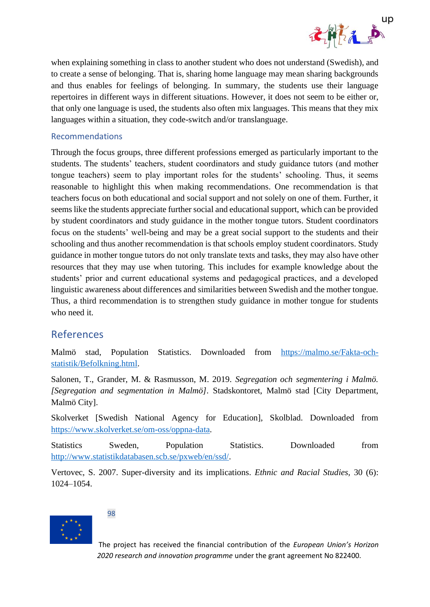

when explaining something in class to another student who does not understand (Swedish), and to create a sense of belonging. That is, sharing home language may mean sharing backgrounds and thus enables for feelings of belonging. In summary, the students use their language repertoires in different ways in different situations. However, it does not seem to be either or, that only one language is used, the students also often mix languages. This means that they mix languages within a situation, they code-switch and/or translanguage.

## Recommendations

Through the focus groups, three different professions emerged as particularly important to the students. The students' teachers, student coordinators and study guidance tutors (and mother tongue teachers) seem to play important roles for the students' schooling. Thus, it seems reasonable to highlight this when making recommendations. One recommendation is that teachers focus on both educational and social support and not solely on one of them. Further, it seems like the students appreciate further social and educational support, which can be provided by student coordinators and study guidance in the mother tongue tutors. Student coordinators focus on the students' well-being and may be a great social support to the students and their schooling and thus another recommendation is that schools employ student coordinators. Study guidance in mother tongue tutors do not only translate texts and tasks, they may also have other resources that they may use when tutoring. This includes for example knowledge about the students' prior and current educational systems and pedagogical practices, and a developed linguistic awareness about differences and similarities between Swedish and the mother tongue. Thus, a third recommendation is to strengthen study guidance in mother tongue for students who need it.

# References

Malmö stad, Population Statistics. Downloaded from [https://malmo.se/Fakta-och](https://malmo.se/Fakta-och-statistik/Befolkning.html)[statistik/Befolkning.html.](https://malmo.se/Fakta-och-statistik/Befolkning.html)

Salonen, T., Grander, M. & Rasmusson, M. 2019. *Segregation och segmentering i Malmö. [Segregation and segmentation in Malmö]*. Stadskontoret, Malmö stad [City Department, Malmö City].

Skolverket [Swedish National Agency for Education], Skolblad. Downloaded from [https://www.skolverket.se/om-oss/oppna-data.](https://www.skolverket.se/om-oss/oppna-data)

Statistics Sweden, Population Statistics. Downloaded from [http://www.statistikdatabasen.scb.se/pxweb/en/ssd/.](http://www.statistikdatabasen.scb.se/pxweb/en/ssd/)

Vertovec, S. 2007. Super-diversity and its implications. *Ethnic and Racial Studies,* 30 (6): 1024–1054.



98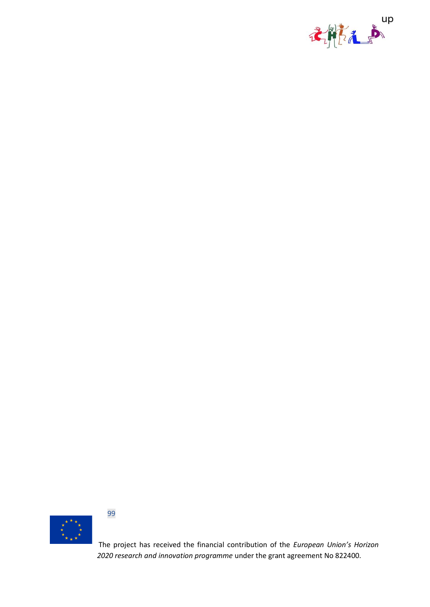



99